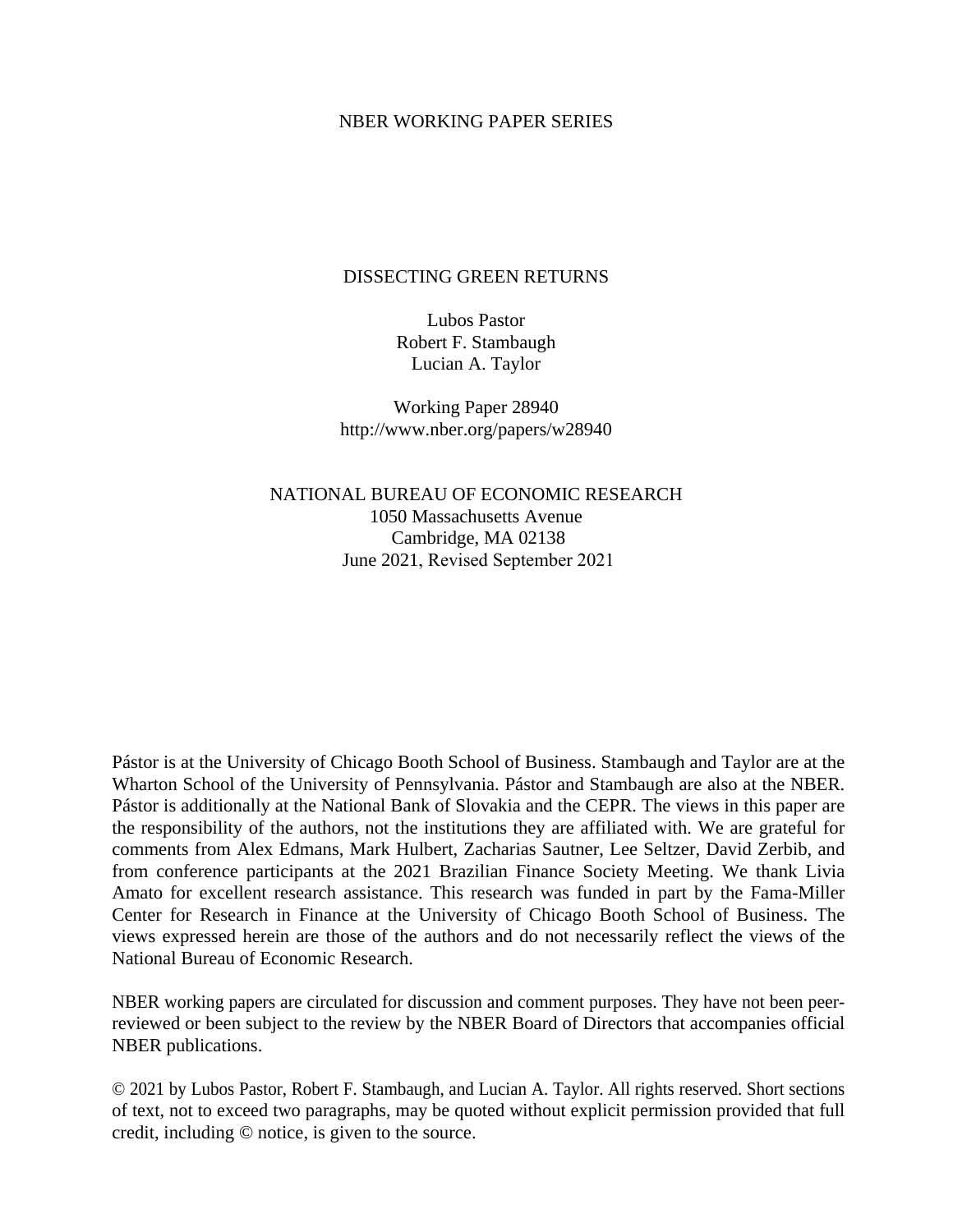#### NBER WORKING PAPER SERIES

#### DISSECTING GREEN RETURNS

Lubos Pastor Robert F. Stambaugh Lucian A. Taylor

Working Paper 28940 http://www.nber.org/papers/w28940

NATIONAL BUREAU OF ECONOMIC RESEARCH 1050 Massachusetts Avenue Cambridge, MA 02138 June 2021, Revised September 2021

Pástor is at the University of Chicago Booth School of Business. Stambaugh and Taylor are at the Wharton School of the University of Pennsylvania. Pástor and Stambaugh are also at the NBER. Pástor is additionally at the National Bank of Slovakia and the CEPR. The views in this paper are the responsibility of the authors, not the institutions they are affiliated with. We are grateful for comments from Alex Edmans, Mark Hulbert, Zacharias Sautner, Lee Seltzer, David Zerbib, and from conference participants at the 2021 Brazilian Finance Society Meeting. We thank Livia Amato for excellent research assistance. This research was funded in part by the Fama-Miller Center for Research in Finance at the University of Chicago Booth School of Business. The views expressed herein are those of the authors and do not necessarily reflect the views of the National Bureau of Economic Research.

NBER working papers are circulated for discussion and comment purposes. They have not been peerreviewed or been subject to the review by the NBER Board of Directors that accompanies official NBER publications.

© 2021 by Lubos Pastor, Robert F. Stambaugh, and Lucian A. Taylor. All rights reserved. Short sections of text, not to exceed two paragraphs, may be quoted without explicit permission provided that full credit, including © notice, is given to the source.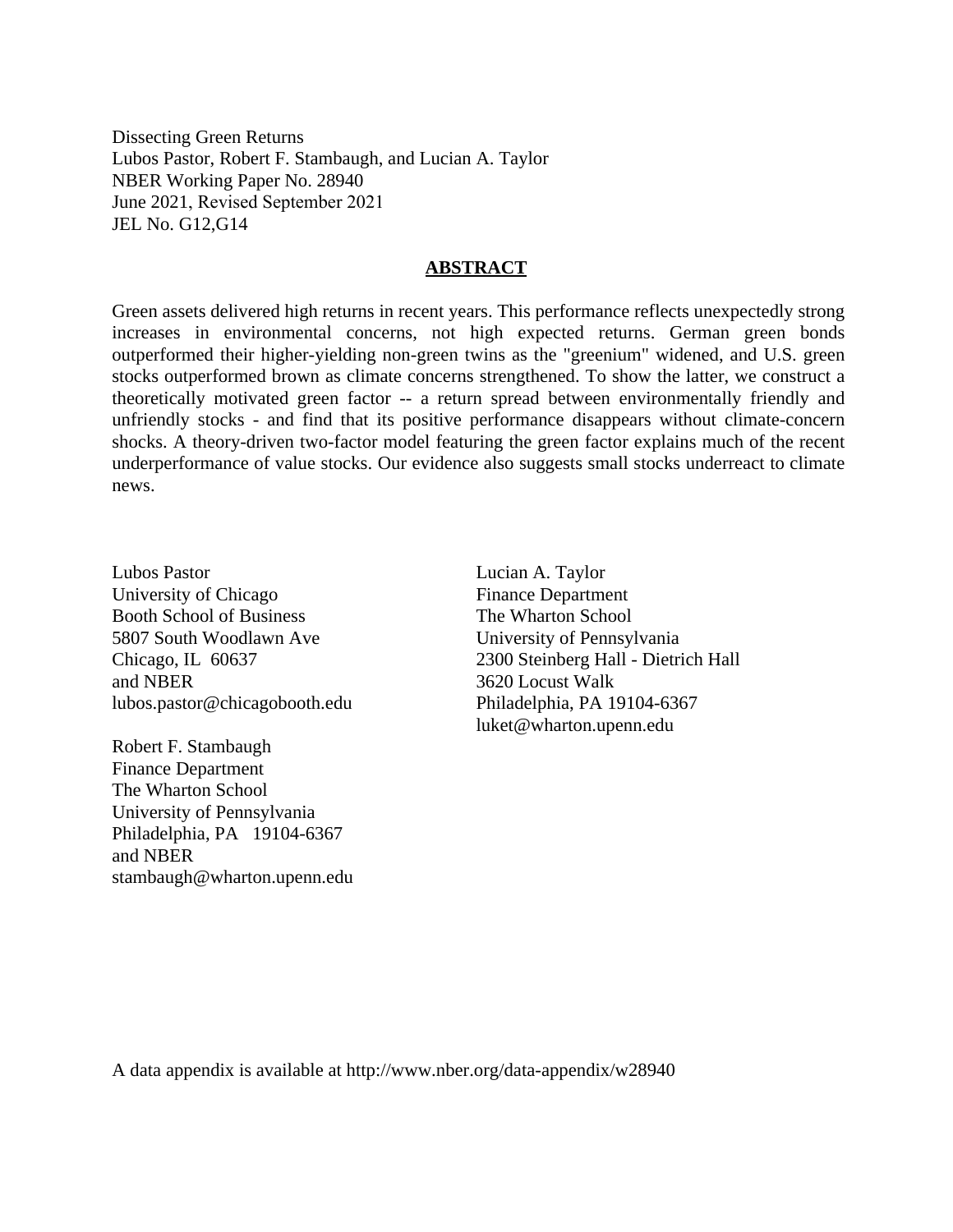Dissecting Green Returns Lubos Pastor, Robert F. Stambaugh, and Lucian A. Taylor NBER Working Paper No. 28940 June 2021, Revised September 2021 JEL No. G12,G14

### **ABSTRACT**

Green assets delivered high returns in recent years. This performance reflects unexpectedly strong increases in environmental concerns, not high expected returns. German green bonds outperformed their higher-yielding non-green twins as the "greenium" widened, and U.S. green stocks outperformed brown as climate concerns strengthened. To show the latter, we construct a theoretically motivated green factor -- a return spread between environmentally friendly and unfriendly stocks - and find that its positive performance disappears without climate-concern shocks. A theory-driven two-factor model featuring the green factor explains much of the recent underperformance of value stocks. Our evidence also suggests small stocks underreact to climate news.

Lubos Pastor University of Chicago Booth School of Business 5807 South Woodlawn Ave Chicago, IL 60637 and NBER lubos.pastor@chicagobooth.edu

Robert F. Stambaugh Finance Department The Wharton School University of Pennsylvania Philadelphia, PA 19104-6367 and NBER stambaugh@wharton.upenn.edu Lucian A. Taylor Finance Department The Wharton School University of Pennsylvania 2300 Steinberg Hall - Dietrich Hall 3620 Locust Walk Philadelphia, PA 19104-6367 luket@wharton.upenn.edu

A data appendix is available at http://www.nber.org/data-appendix/w28940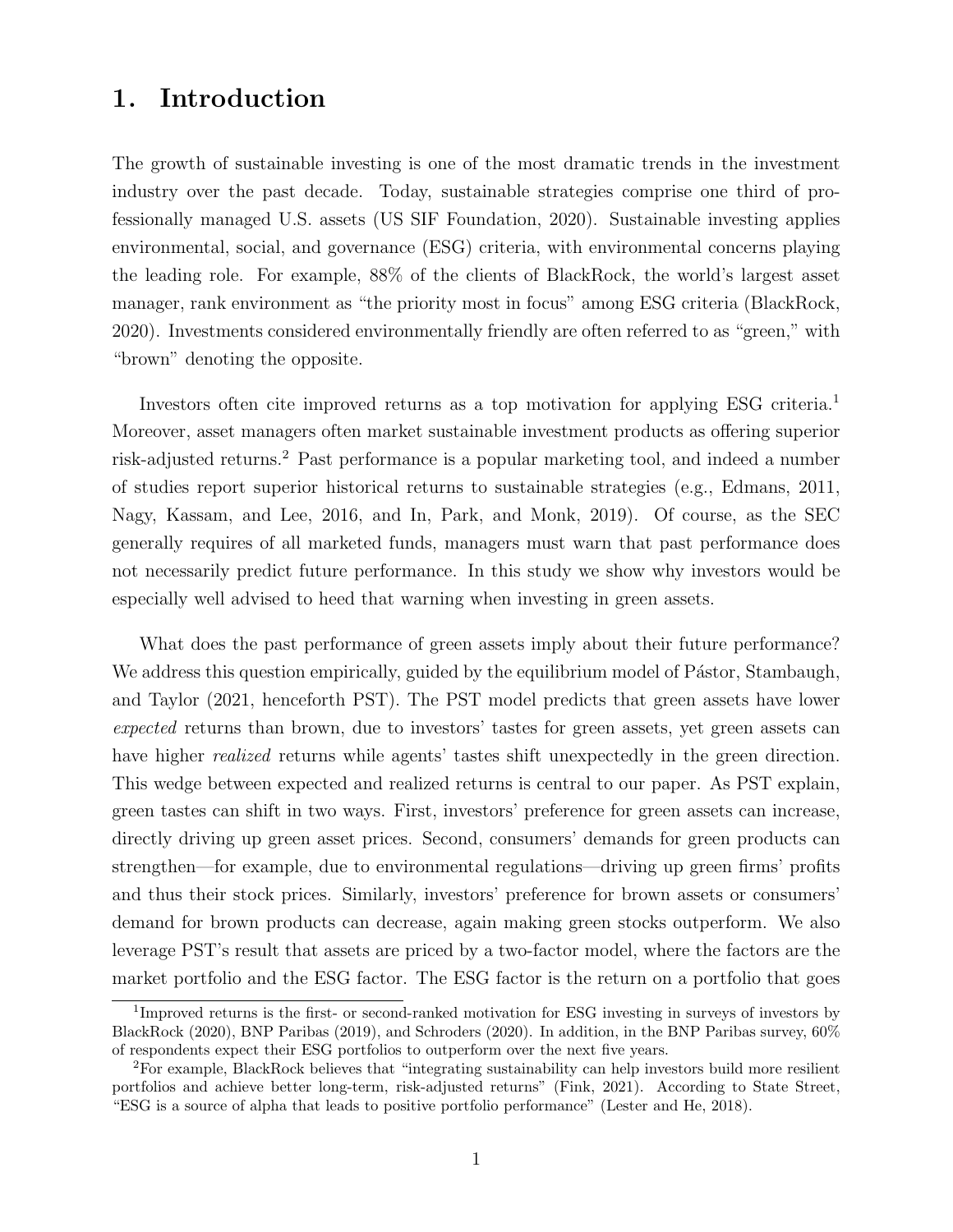# 1. Introduction

The growth of sustainable investing is one of the most dramatic trends in the investment industry over the past decade. Today, sustainable strategies comprise one third of professionally managed U.S. assets (US SIF Foundation, 2020). Sustainable investing applies environmental, social, and governance (ESG) criteria, with environmental concerns playing the leading role. For example, 88% of the clients of BlackRock, the world's largest asset manager, rank environment as "the priority most in focus" among ESG criteria (BlackRock, 2020). Investments considered environmentally friendly are often referred to as "green," with "brown" denoting the opposite.

Investors often cite improved returns as a top motivation for applying ESG criteria.<sup>1</sup> Moreover, asset managers often market sustainable investment products as offering superior risk-adjusted returns.<sup>2</sup> Past performance is a popular marketing tool, and indeed a number of studies report superior historical returns to sustainable strategies (e.g., Edmans, 2011, Nagy, Kassam, and Lee, 2016, and In, Park, and Monk, 2019). Of course, as the SEC generally requires of all marketed funds, managers must warn that past performance does not necessarily predict future performance. In this study we show why investors would be especially well advised to heed that warning when investing in green assets.

What does the past performance of green assets imply about their future performance? We address this question empirically, guided by the equilibrium model of Pástor, Stambaugh, and Taylor (2021, henceforth PST). The PST model predicts that green assets have lower expected returns than brown, due to investors' tastes for green assets, yet green assets can have higher *realized* returns while agents' tastes shift unexpectedly in the green direction. This wedge between expected and realized returns is central to our paper. As PST explain, green tastes can shift in two ways. First, investors' preference for green assets can increase, directly driving up green asset prices. Second, consumers' demands for green products can strengthen—for example, due to environmental regulations—driving up green firms' profits and thus their stock prices. Similarly, investors' preference for brown assets or consumers' demand for brown products can decrease, again making green stocks outperform. We also leverage PST's result that assets are priced by a two-factor model, where the factors are the market portfolio and the ESG factor. The ESG factor is the return on a portfolio that goes

<sup>&</sup>lt;sup>1</sup>Improved returns is the first- or second-ranked motivation for ESG investing in surveys of investors by BlackRock (2020), BNP Paribas (2019), and Schroders (2020). In addition, in the BNP Paribas survey, 60% of respondents expect their ESG portfolios to outperform over the next five years.

<sup>2</sup>For example, BlackRock believes that "integrating sustainability can help investors build more resilient portfolios and achieve better long-term, risk-adjusted returns" (Fink, 2021). According to State Street, "ESG is a source of alpha that leads to positive portfolio performance" (Lester and He, 2018).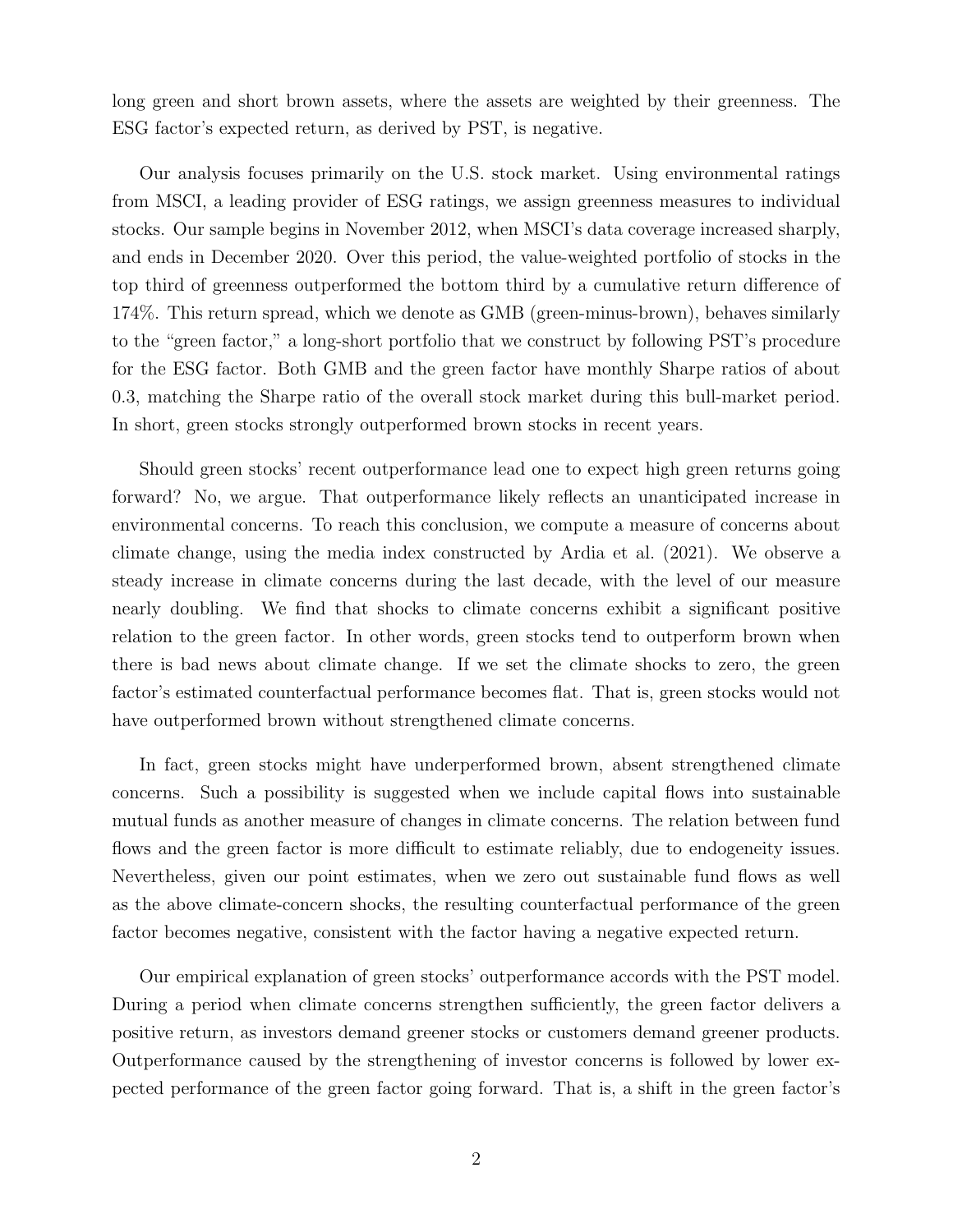long green and short brown assets, where the assets are weighted by their greenness. The ESG factor's expected return, as derived by PST, is negative.

Our analysis focuses primarily on the U.S. stock market. Using environmental ratings from MSCI, a leading provider of ESG ratings, we assign greenness measures to individual stocks. Our sample begins in November 2012, when MSCI's data coverage increased sharply, and ends in December 2020. Over this period, the value-weighted portfolio of stocks in the top third of greenness outperformed the bottom third by a cumulative return difference of 174%. This return spread, which we denote as GMB (green-minus-brown), behaves similarly to the "green factor," a long-short portfolio that we construct by following PST's procedure for the ESG factor. Both GMB and the green factor have monthly Sharpe ratios of about 0.3, matching the Sharpe ratio of the overall stock market during this bull-market period. In short, green stocks strongly outperformed brown stocks in recent years.

Should green stocks' recent outperformance lead one to expect high green returns going forward? No, we argue. That outperformance likely reflects an unanticipated increase in environmental concerns. To reach this conclusion, we compute a measure of concerns about climate change, using the media index constructed by Ardia et al. (2021). We observe a steady increase in climate concerns during the last decade, with the level of our measure nearly doubling. We find that shocks to climate concerns exhibit a significant positive relation to the green factor. In other words, green stocks tend to outperform brown when there is bad news about climate change. If we set the climate shocks to zero, the green factor's estimated counterfactual performance becomes flat. That is, green stocks would not have outperformed brown without strengthened climate concerns.

In fact, green stocks might have underperformed brown, absent strengthened climate concerns. Such a possibility is suggested when we include capital flows into sustainable mutual funds as another measure of changes in climate concerns. The relation between fund flows and the green factor is more difficult to estimate reliably, due to endogeneity issues. Nevertheless, given our point estimates, when we zero out sustainable fund flows as well as the above climate-concern shocks, the resulting counterfactual performance of the green factor becomes negative, consistent with the factor having a negative expected return.

Our empirical explanation of green stocks' outperformance accords with the PST model. During a period when climate concerns strengthen sufficiently, the green factor delivers a positive return, as investors demand greener stocks or customers demand greener products. Outperformance caused by the strengthening of investor concerns is followed by lower expected performance of the green factor going forward. That is, a shift in the green factor's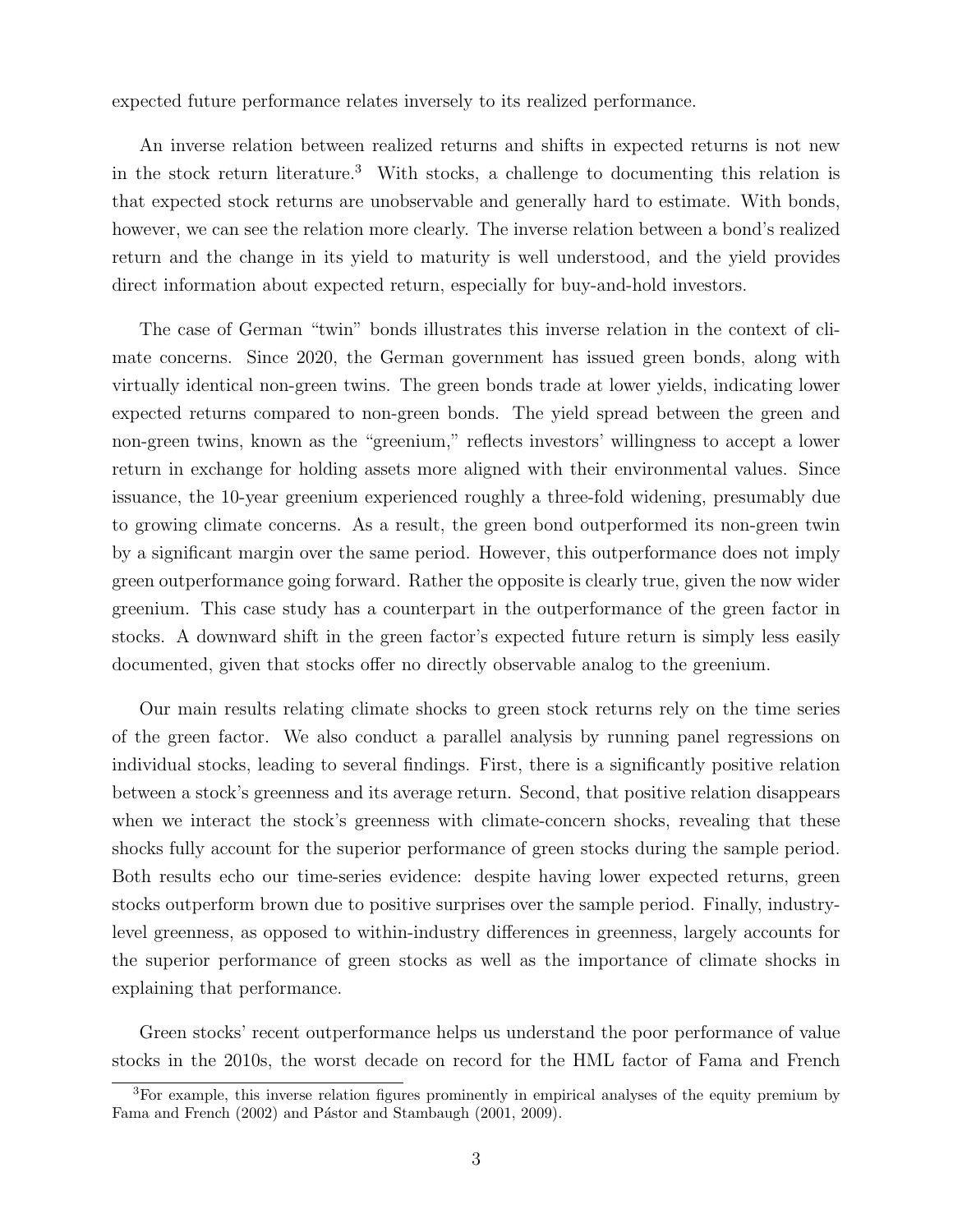expected future performance relates inversely to its realized performance.

An inverse relation between realized returns and shifts in expected returns is not new in the stock return literature.<sup>3</sup> With stocks, a challenge to documenting this relation is that expected stock returns are unobservable and generally hard to estimate. With bonds, however, we can see the relation more clearly. The inverse relation between a bond's realized return and the change in its yield to maturity is well understood, and the yield provides direct information about expected return, especially for buy-and-hold investors.

The case of German "twin" bonds illustrates this inverse relation in the context of climate concerns. Since 2020, the German government has issued green bonds, along with virtually identical non-green twins. The green bonds trade at lower yields, indicating lower expected returns compared to non-green bonds. The yield spread between the green and non-green twins, known as the "greenium," reflects investors' willingness to accept a lower return in exchange for holding assets more aligned with their environmental values. Since issuance, the 10-year greenium experienced roughly a three-fold widening, presumably due to growing climate concerns. As a result, the green bond outperformed its non-green twin by a significant margin over the same period. However, this outperformance does not imply green outperformance going forward. Rather the opposite is clearly true, given the now wider greenium. This case study has a counterpart in the outperformance of the green factor in stocks. A downward shift in the green factor's expected future return is simply less easily documented, given that stocks offer no directly observable analog to the greenium.

Our main results relating climate shocks to green stock returns rely on the time series of the green factor. We also conduct a parallel analysis by running panel regressions on individual stocks, leading to several findings. First, there is a significantly positive relation between a stock's greenness and its average return. Second, that positive relation disappears when we interact the stock's greenness with climate-concern shocks, revealing that these shocks fully account for the superior performance of green stocks during the sample period. Both results echo our time-series evidence: despite having lower expected returns, green stocks outperform brown due to positive surprises over the sample period. Finally, industrylevel greenness, as opposed to within-industry differences in greenness, largely accounts for the superior performance of green stocks as well as the importance of climate shocks in explaining that performance.

Green stocks' recent outperformance helps us understand the poor performance of value stocks in the 2010s, the worst decade on record for the HML factor of Fama and French

<sup>3</sup>For example, this inverse relation figures prominently in empirical analyses of the equity premium by Fama and French (2002) and Pástor and Stambaugh (2001, 2009).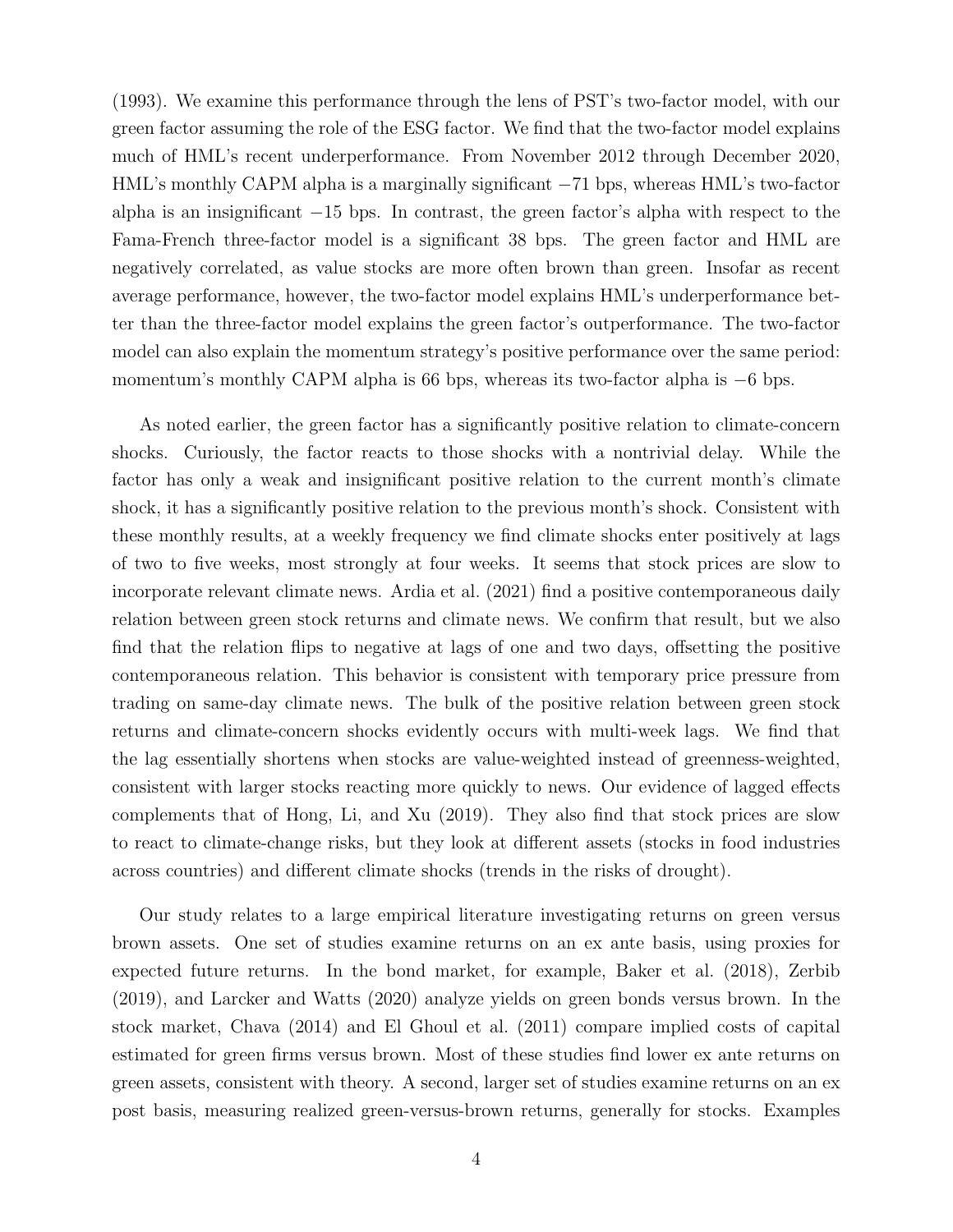(1993). We examine this performance through the lens of PST's two-factor model, with our green factor assuming the role of the ESG factor. We find that the two-factor model explains much of HML's recent underperformance. From November 2012 through December 2020, HML's monthly CAPM alpha is a marginally significant −71 bps, whereas HML's two-factor alpha is an insignificant −15 bps. In contrast, the green factor's alpha with respect to the Fama-French three-factor model is a significant 38 bps. The green factor and HML are negatively correlated, as value stocks are more often brown than green. Insofar as recent average performance, however, the two-factor model explains HML's underperformance better than the three-factor model explains the green factor's outperformance. The two-factor model can also explain the momentum strategy's positive performance over the same period: momentum's monthly CAPM alpha is 66 bps, whereas its two-factor alpha is −6 bps.

As noted earlier, the green factor has a significantly positive relation to climate-concern shocks. Curiously, the factor reacts to those shocks with a nontrivial delay. While the factor has only a weak and insignificant positive relation to the current month's climate shock, it has a significantly positive relation to the previous month's shock. Consistent with these monthly results, at a weekly frequency we find climate shocks enter positively at lags of two to five weeks, most strongly at four weeks. It seems that stock prices are slow to incorporate relevant climate news. Ardia et al. (2021) find a positive contemporaneous daily relation between green stock returns and climate news. We confirm that result, but we also find that the relation flips to negative at lags of one and two days, offsetting the positive contemporaneous relation. This behavior is consistent with temporary price pressure from trading on same-day climate news. The bulk of the positive relation between green stock returns and climate-concern shocks evidently occurs with multi-week lags. We find that the lag essentially shortens when stocks are value-weighted instead of greenness-weighted, consistent with larger stocks reacting more quickly to news. Our evidence of lagged effects complements that of Hong, Li, and Xu (2019). They also find that stock prices are slow to react to climate-change risks, but they look at different assets (stocks in food industries across countries) and different climate shocks (trends in the risks of drought).

Our study relates to a large empirical literature investigating returns on green versus brown assets. One set of studies examine returns on an ex ante basis, using proxies for expected future returns. In the bond market, for example, Baker et al. (2018), Zerbib (2019), and Larcker and Watts (2020) analyze yields on green bonds versus brown. In the stock market, Chava (2014) and El Ghoul et al. (2011) compare implied costs of capital estimated for green firms versus brown. Most of these studies find lower ex ante returns on green assets, consistent with theory. A second, larger set of studies examine returns on an ex post basis, measuring realized green-versus-brown returns, generally for stocks. Examples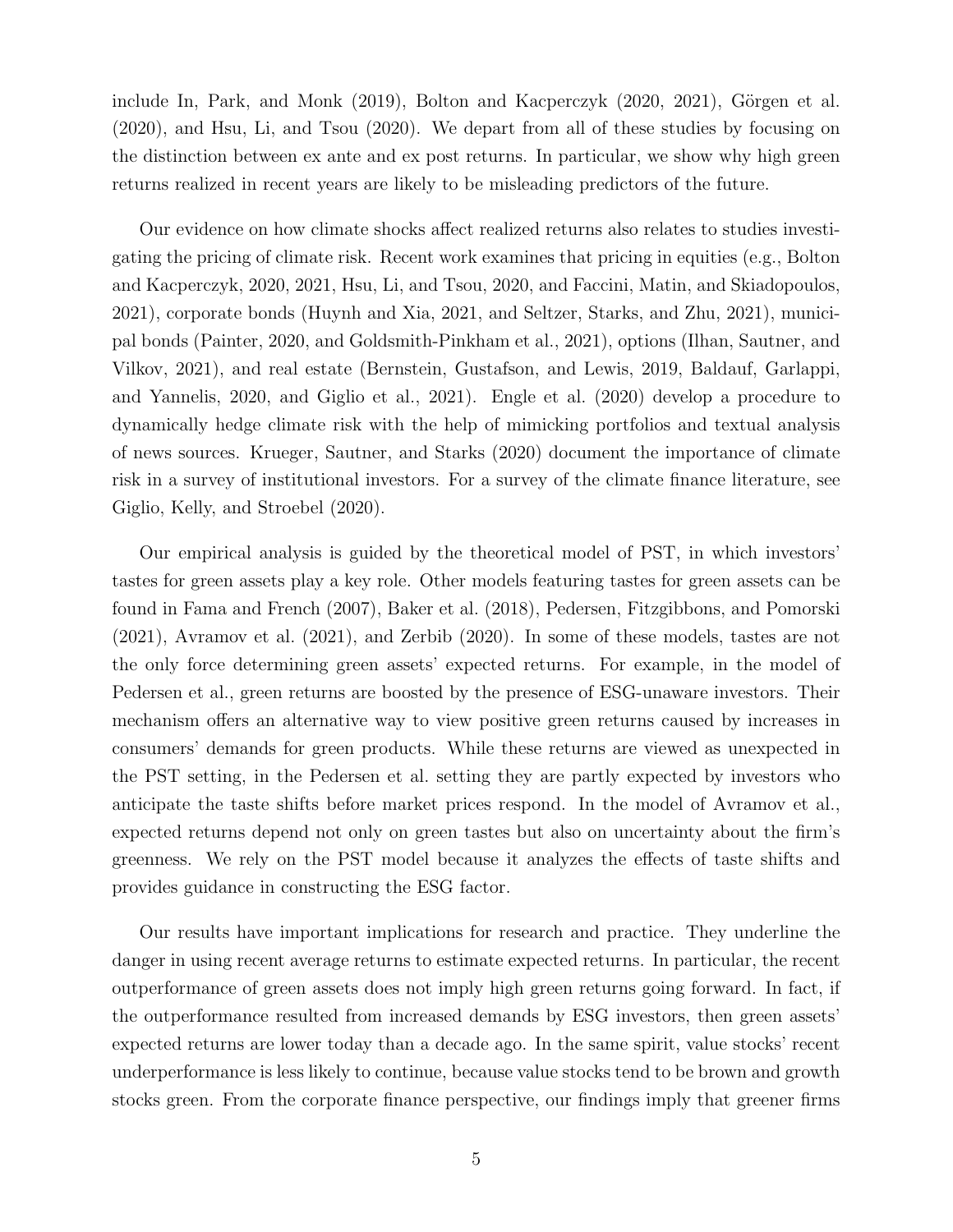include In, Park, and Monk  $(2019)$ , Bolton and Kacperczyk  $(2020, 2021)$ , Görgen et al. (2020), and Hsu, Li, and Tsou (2020). We depart from all of these studies by focusing on the distinction between ex ante and ex post returns. In particular, we show why high green returns realized in recent years are likely to be misleading predictors of the future.

Our evidence on how climate shocks affect realized returns also relates to studies investigating the pricing of climate risk. Recent work examines that pricing in equities (e.g., Bolton and Kacperczyk, 2020, 2021, Hsu, Li, and Tsou, 2020, and Faccini, Matin, and Skiadopoulos, 2021), corporate bonds (Huynh and Xia, 2021, and Seltzer, Starks, and Zhu, 2021), municipal bonds (Painter, 2020, and Goldsmith-Pinkham et al., 2021), options (Ilhan, Sautner, and Vilkov, 2021), and real estate (Bernstein, Gustafson, and Lewis, 2019, Baldauf, Garlappi, and Yannelis, 2020, and Giglio et al., 2021). Engle et al. (2020) develop a procedure to dynamically hedge climate risk with the help of mimicking portfolios and textual analysis of news sources. Krueger, Sautner, and Starks (2020) document the importance of climate risk in a survey of institutional investors. For a survey of the climate finance literature, see Giglio, Kelly, and Stroebel (2020).

Our empirical analysis is guided by the theoretical model of PST, in which investors' tastes for green assets play a key role. Other models featuring tastes for green assets can be found in Fama and French (2007), Baker et al. (2018), Pedersen, Fitzgibbons, and Pomorski (2021), Avramov et al. (2021), and Zerbib (2020). In some of these models, tastes are not the only force determining green assets' expected returns. For example, in the model of Pedersen et al., green returns are boosted by the presence of ESG-unaware investors. Their mechanism offers an alternative way to view positive green returns caused by increases in consumers' demands for green products. While these returns are viewed as unexpected in the PST setting, in the Pedersen et al. setting they are partly expected by investors who anticipate the taste shifts before market prices respond. In the model of Avramov et al., expected returns depend not only on green tastes but also on uncertainty about the firm's greenness. We rely on the PST model because it analyzes the effects of taste shifts and provides guidance in constructing the ESG factor.

Our results have important implications for research and practice. They underline the danger in using recent average returns to estimate expected returns. In particular, the recent outperformance of green assets does not imply high green returns going forward. In fact, if the outperformance resulted from increased demands by ESG investors, then green assets' expected returns are lower today than a decade ago. In the same spirit, value stocks' recent underperformance is less likely to continue, because value stocks tend to be brown and growth stocks green. From the corporate finance perspective, our findings imply that greener firms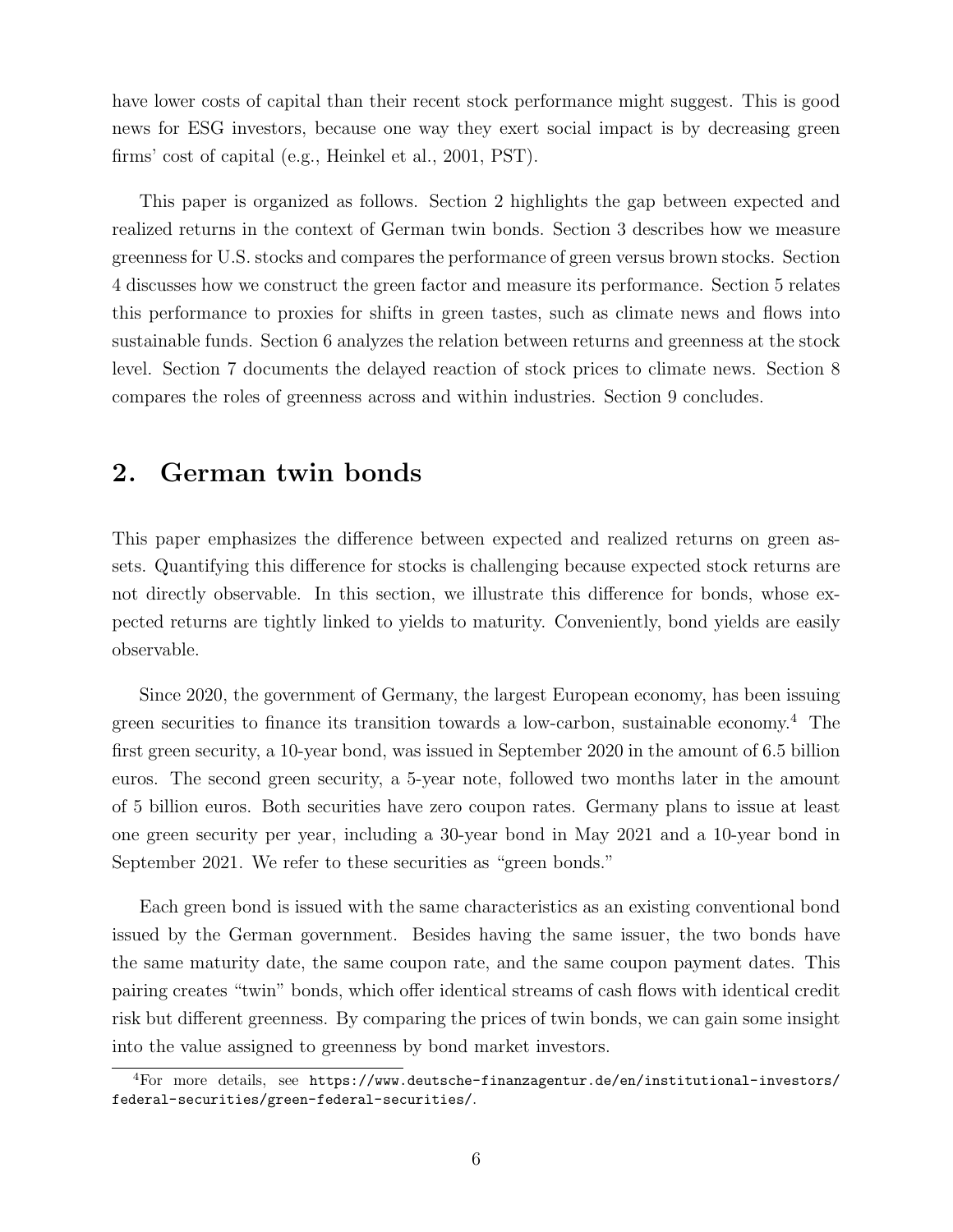have lower costs of capital than their recent stock performance might suggest. This is good news for ESG investors, because one way they exert social impact is by decreasing green firms' cost of capital (e.g., Heinkel et al., 2001, PST).

This paper is organized as follows. Section 2 highlights the gap between expected and realized returns in the context of German twin bonds. Section 3 describes how we measure greenness for U.S. stocks and compares the performance of green versus brown stocks. Section 4 discusses how we construct the green factor and measure its performance. Section 5 relates this performance to proxies for shifts in green tastes, such as climate news and flows into sustainable funds. Section 6 analyzes the relation between returns and greenness at the stock level. Section 7 documents the delayed reaction of stock prices to climate news. Section 8 compares the roles of greenness across and within industries. Section 9 concludes.

# 2. German twin bonds

This paper emphasizes the difference between expected and realized returns on green assets. Quantifying this difference for stocks is challenging because expected stock returns are not directly observable. In this section, we illustrate this difference for bonds, whose expected returns are tightly linked to yields to maturity. Conveniently, bond yields are easily observable.

Since 2020, the government of Germany, the largest European economy, has been issuing green securities to finance its transition towards a low-carbon, sustainable economy.<sup>4</sup> The first green security, a 10-year bond, was issued in September 2020 in the amount of 6.5 billion euros. The second green security, a 5-year note, followed two months later in the amount of 5 billion euros. Both securities have zero coupon rates. Germany plans to issue at least one green security per year, including a 30-year bond in May 2021 and a 10-year bond in September 2021. We refer to these securities as "green bonds."

Each green bond is issued with the same characteristics as an existing conventional bond issued by the German government. Besides having the same issuer, the two bonds have the same maturity date, the same coupon rate, and the same coupon payment dates. This pairing creates "twin" bonds, which offer identical streams of cash flows with identical credit risk but different greenness. By comparing the prices of twin bonds, we can gain some insight into the value assigned to greenness by bond market investors.

 $4$ For more details, see https://www.deutsche-finanzagentur.de/en/institutional-investors/ federal-securities/green-federal-securities/.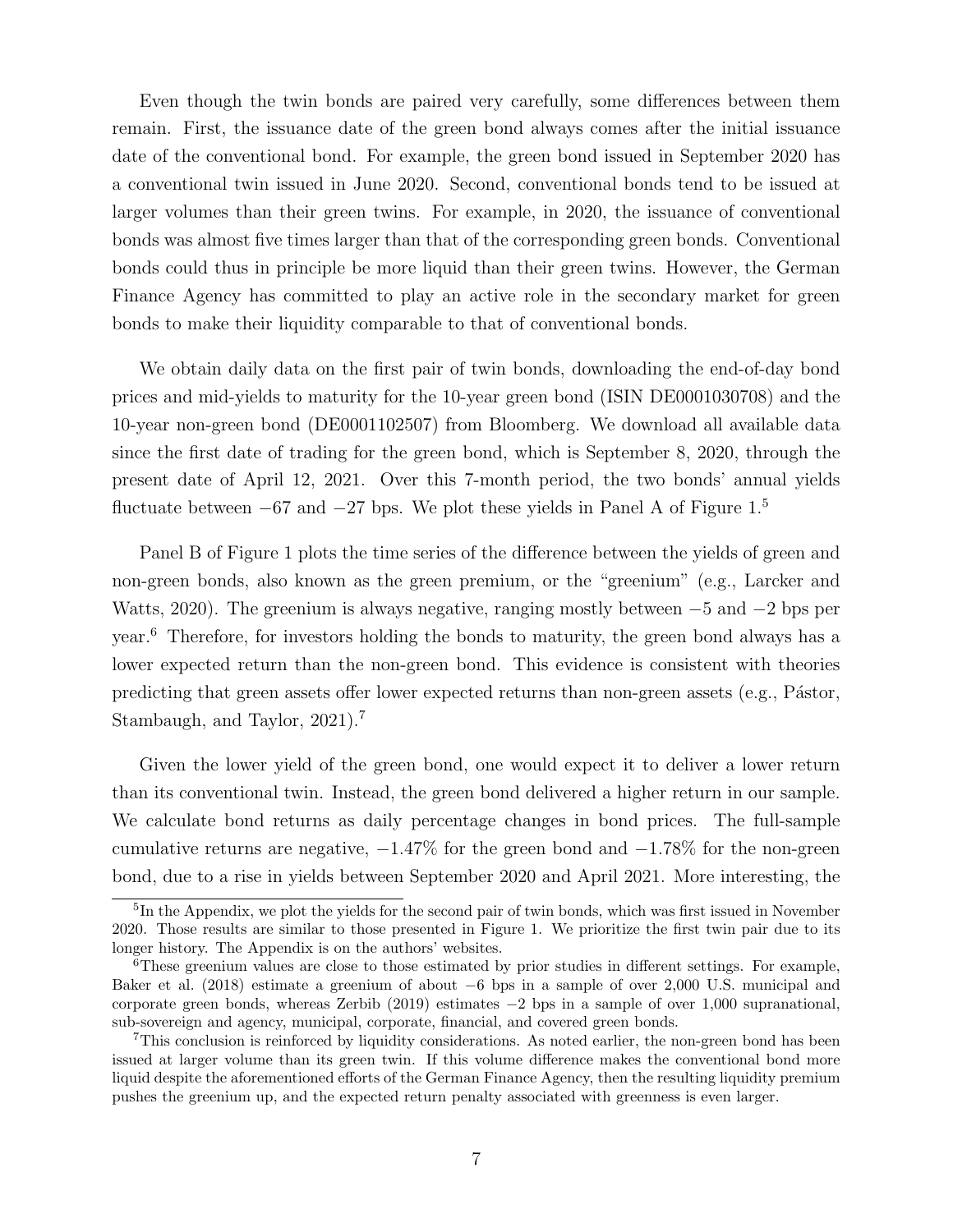Even though the twin bonds are paired very carefully, some differences between them remain. First, the issuance date of the green bond always comes after the initial issuance date of the conventional bond. For example, the green bond issued in September 2020 has a conventional twin issued in June 2020. Second, conventional bonds tend to be issued at larger volumes than their green twins. For example, in 2020, the issuance of conventional bonds was almost five times larger than that of the corresponding green bonds. Conventional bonds could thus in principle be more liquid than their green twins. However, the German Finance Agency has committed to play an active role in the secondary market for green bonds to make their liquidity comparable to that of conventional bonds.

We obtain daily data on the first pair of twin bonds, downloading the end-of-day bond prices and mid-yields to maturity for the 10-year green bond (ISIN DE0001030708) and the 10-year non-green bond (DE0001102507) from Bloomberg. We download all available data since the first date of trading for the green bond, which is September 8, 2020, through the present date of April 12, 2021. Over this 7-month period, the two bonds' annual yields fluctuate between  $-67$  and  $-27$  bps. We plot these yields in Panel A of Figure 1.<sup>5</sup>

Panel B of Figure 1 plots the time series of the difference between the yields of green and non-green bonds, also known as the green premium, or the "greenium" (e.g., Larcker and Watts, 2020). The greenium is always negative, ranging mostly between −5 and −2 bps per year.<sup>6</sup> Therefore, for investors holding the bonds to maturity, the green bond always has a lower expected return than the non-green bond. This evidence is consistent with theories predicting that green assets offer lower expected returns than non-green assets (e.g., Pástor, Stambaugh, and Taylor, 2021).<sup>7</sup>

Given the lower yield of the green bond, one would expect it to deliver a lower return than its conventional twin. Instead, the green bond delivered a higher return in our sample. We calculate bond returns as daily percentage changes in bond prices. The full-sample cumulative returns are negative,  $-1.47\%$  for the green bond and  $-1.78\%$  for the non-green bond, due to a rise in yields between September 2020 and April 2021. More interesting, the

<sup>&</sup>lt;sup>5</sup>In the Appendix, we plot the yields for the second pair of twin bonds, which was first issued in November 2020. Those results are similar to those presented in Figure 1. We prioritize the first twin pair due to its longer history. The Appendix is on the authors' websites.

<sup>6</sup>These greenium values are close to those estimated by prior studies in different settings. For example, Baker et al. (2018) estimate a greenium of about −6 bps in a sample of over 2,000 U.S. municipal and corporate green bonds, whereas Zerbib (2019) estimates −2 bps in a sample of over 1,000 supranational, sub-sovereign and agency, municipal, corporate, financial, and covered green bonds.

<sup>7</sup>This conclusion is reinforced by liquidity considerations. As noted earlier, the non-green bond has been issued at larger volume than its green twin. If this volume difference makes the conventional bond more liquid despite the aforementioned efforts of the German Finance Agency, then the resulting liquidity premium pushes the greenium up, and the expected return penalty associated with greenness is even larger.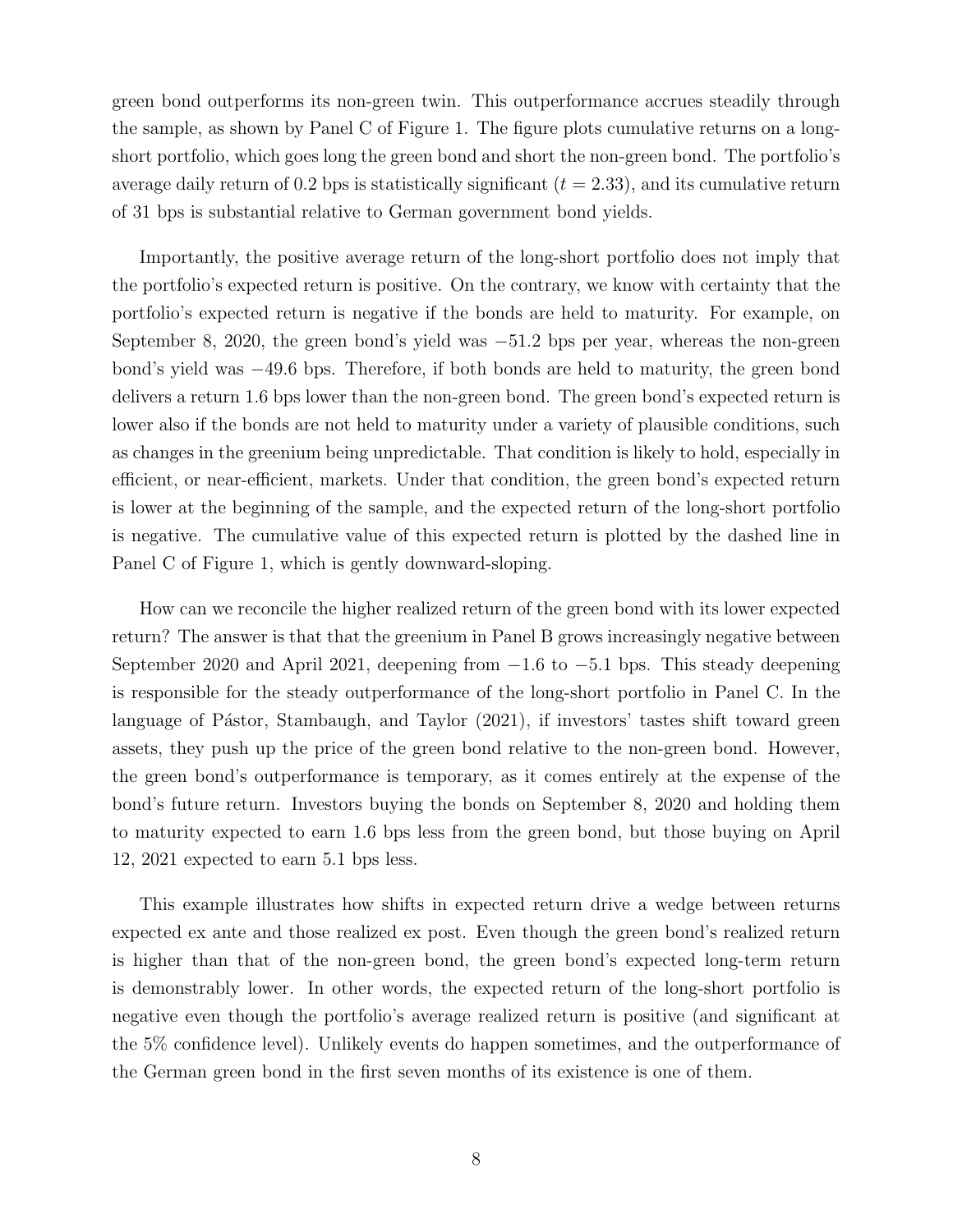green bond outperforms its non-green twin. This outperformance accrues steadily through the sample, as shown by Panel C of Figure 1. The figure plots cumulative returns on a longshort portfolio, which goes long the green bond and short the non-green bond. The portfolio's average daily return of 0.2 bps is statistically significant  $(t = 2.33)$ , and its cumulative return of 31 bps is substantial relative to German government bond yields.

Importantly, the positive average return of the long-short portfolio does not imply that the portfolio's expected return is positive. On the contrary, we know with certainty that the portfolio's expected return is negative if the bonds are held to maturity. For example, on September 8, 2020, the green bond's yield was −51.2 bps per year, whereas the non-green bond's yield was −49.6 bps. Therefore, if both bonds are held to maturity, the green bond delivers a return 1.6 bps lower than the non-green bond. The green bond's expected return is lower also if the bonds are not held to maturity under a variety of plausible conditions, such as changes in the greenium being unpredictable. That condition is likely to hold, especially in efficient, or near-efficient, markets. Under that condition, the green bond's expected return is lower at the beginning of the sample, and the expected return of the long-short portfolio is negative. The cumulative value of this expected return is plotted by the dashed line in Panel C of Figure 1, which is gently downward-sloping.

How can we reconcile the higher realized return of the green bond with its lower expected return? The answer is that that the greenium in Panel B grows increasingly negative between September 2020 and April 2021, deepening from −1.6 to −5.1 bps. This steady deepening is responsible for the steady outperformance of the long-short portfolio in Panel C. In the language of Pástor, Stambaugh, and Taylor (2021), if investors' tastes shift toward green assets, they push up the price of the green bond relative to the non-green bond. However, the green bond's outperformance is temporary, as it comes entirely at the expense of the bond's future return. Investors buying the bonds on September 8, 2020 and holding them to maturity expected to earn 1.6 bps less from the green bond, but those buying on April 12, 2021 expected to earn 5.1 bps less.

This example illustrates how shifts in expected return drive a wedge between returns expected ex ante and those realized ex post. Even though the green bond's realized return is higher than that of the non-green bond, the green bond's expected long-term return is demonstrably lower. In other words, the expected return of the long-short portfolio is negative even though the portfolio's average realized return is positive (and significant at the 5% confidence level). Unlikely events do happen sometimes, and the outperformance of the German green bond in the first seven months of its existence is one of them.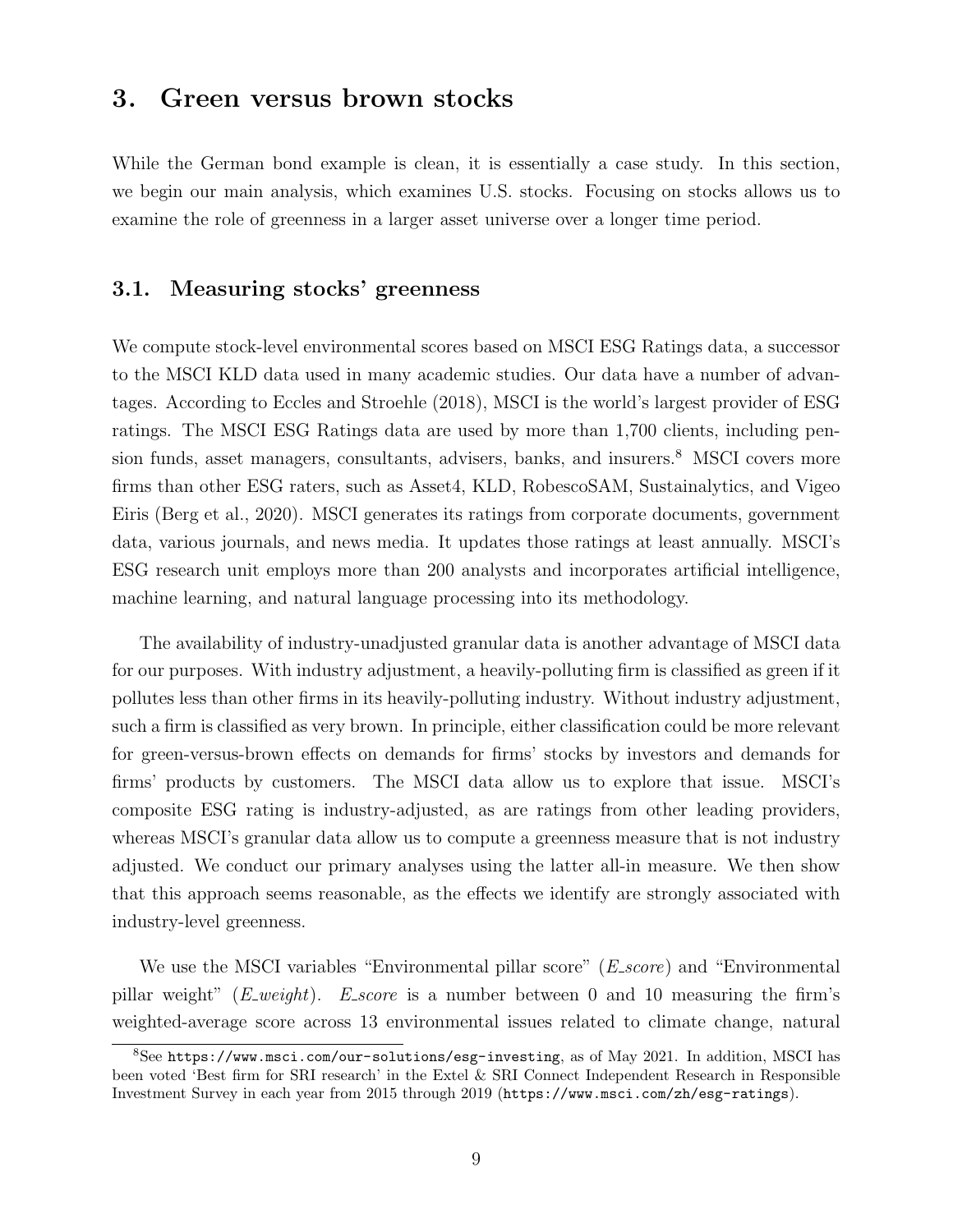# 3. Green versus brown stocks

While the German bond example is clean, it is essentially a case study. In this section, we begin our main analysis, which examines U.S. stocks. Focusing on stocks allows us to examine the role of greenness in a larger asset universe over a longer time period.

### 3.1. Measuring stocks' greenness

We compute stock-level environmental scores based on MSCI ESG Ratings data, a successor to the MSCI KLD data used in many academic studies. Our data have a number of advantages. According to Eccles and Stroehle (2018), MSCI is the world's largest provider of ESG ratings. The MSCI ESG Ratings data are used by more than 1,700 clients, including pension funds, asset managers, consultants, advisers, banks, and insurers.<sup>8</sup> MSCI covers more firms than other ESG raters, such as Asset4, KLD, RobescoSAM, Sustainalytics, and Vigeo Eiris (Berg et al., 2020). MSCI generates its ratings from corporate documents, government data, various journals, and news media. It updates those ratings at least annually. MSCI's ESG research unit employs more than 200 analysts and incorporates artificial intelligence, machine learning, and natural language processing into its methodology.

The availability of industry-unadjusted granular data is another advantage of MSCI data for our purposes. With industry adjustment, a heavily-polluting firm is classified as green if it pollutes less than other firms in its heavily-polluting industry. Without industry adjustment, such a firm is classified as very brown. In principle, either classification could be more relevant for green-versus-brown effects on demands for firms' stocks by investors and demands for firms' products by customers. The MSCI data allow us to explore that issue. MSCI's composite ESG rating is industry-adjusted, as are ratings from other leading providers, whereas MSCI's granular data allow us to compute a greenness measure that is not industry adjusted. We conduct our primary analyses using the latter all-in measure. We then show that this approach seems reasonable, as the effects we identify are strongly associated with industry-level greenness.

We use the MSCI variables "Environmental pillar score" (*E\_score*) and "Environmental pillar weight"  $(E \text{-} weight)$ . Escore is a number between 0 and 10 measuring the firm's weighted-average score across 13 environmental issues related to climate change, natural

<sup>8</sup>See https://www.msci.com/our-solutions/esg-investing, as of May 2021. In addition, MSCI has been voted 'Best firm for SRI research' in the Extel & SRI Connect Independent Research in Responsible Investment Survey in each year from 2015 through 2019 (https://www.msci.com/zh/esg-ratings).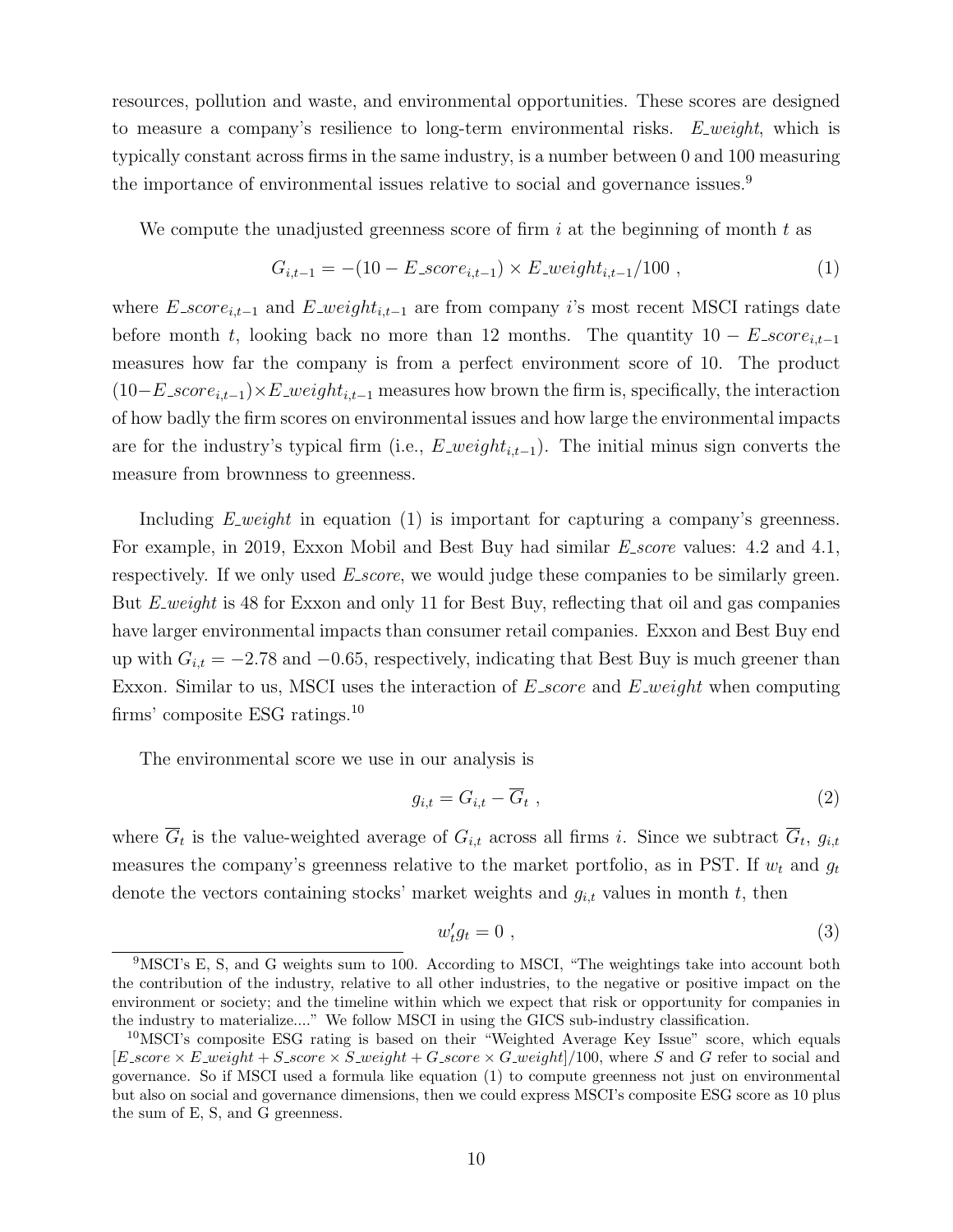resources, pollution and waste, and environmental opportunities. These scores are designed to measure a company's resilience to long-term environmental risks.  $E$ -weight, which is typically constant across firms in the same industry, is a number between 0 and 100 measuring the importance of environmental issues relative to social and governance issues.<sup>9</sup>

We compute the unadjusted greenness score of firm  $i$  at the beginning of month  $t$  as

$$
G_{i,t-1} = -(10 - E\_score_{i,t-1}) \times E\_weight_{i,t-1}/100 , \qquad (1)
$$

where  $E\_score_{i,t-1}$  and  $E\_weight_{i,t-1}$  are from company i's most recent MSCI ratings date before month t, looking back no more than 12 months. The quantity  $10 - E$ \_score<sub>it-1</sub> measures how far the company is from a perfect environment score of 10. The product  $(10-E\_score_{i,t-1})\times E\_weight_{i,t-1}$  measures how brown the firm is, specifically, the interaction of how badly the firm scores on environmental issues and how large the environmental impacts are for the industry's typical firm (i.e.,  $E\_weight_{it-1}$ ). The initial minus sign converts the measure from brownness to greenness.

Including  $E$ -weight in equation (1) is important for capturing a company's greenness. For example, in 2019, Exxon Mobil and Best Buy had similar *E\_score* values: 4.2 and 4.1, respectively. If we only used  $E\_score$ , we would judge these companies to be similarly green. But E-weight is 48 for Exxon and only 11 for Best Buy, reflecting that oil and gas companies have larger environmental impacts than consumer retail companies. Exxon and Best Buy end up with  $G_{i,t} = -2.78$  and  $-0.65$ , respectively, indicating that Best Buy is much greener than Exxon. Similar to us, MSCI uses the interaction of  $E\_score$  and  $E\_weight$  when computing firms' composite ESG ratings.<sup>10</sup>

The environmental score we use in our analysis is

$$
g_{i,t} = G_{i,t} - \overline{G}_t \t\t(2)
$$

where  $G_t$  is the value-weighted average of  $G_{i,t}$  across all firms i. Since we subtract  $G_t$ ,  $g_{i,t}$ measures the company's greenness relative to the market portfolio, as in PST. If  $w_t$  and  $g_t$ denote the vectors containing stocks' market weights and  $g_{i,t}$  values in month t, then

$$
w_t' g_t = 0 \t\t(3)
$$

<sup>&</sup>lt;sup>9</sup>MSCI's E, S, and G weights sum to 100. According to MSCI, "The weightings take into account both the contribution of the industry, relative to all other industries, to the negative or positive impact on the environment or society; and the timeline within which we expect that risk or opportunity for companies in the industry to materialize...." We follow MSCI in using the GICS sub-industry classification.

 $10$ MSCI's composite ESG rating is based on their "Weighted Average Key Issue" score, which equals  $[E\_score \times E\_weight + S\_score \times S\_weight + G\_score \times G\_weight]/100$ , where S and G refer to social and governance. So if MSCI used a formula like equation (1) to compute greenness not just on environmental but also on social and governance dimensions, then we could express MSCI's composite ESG score as 10 plus the sum of E, S, and G greenness.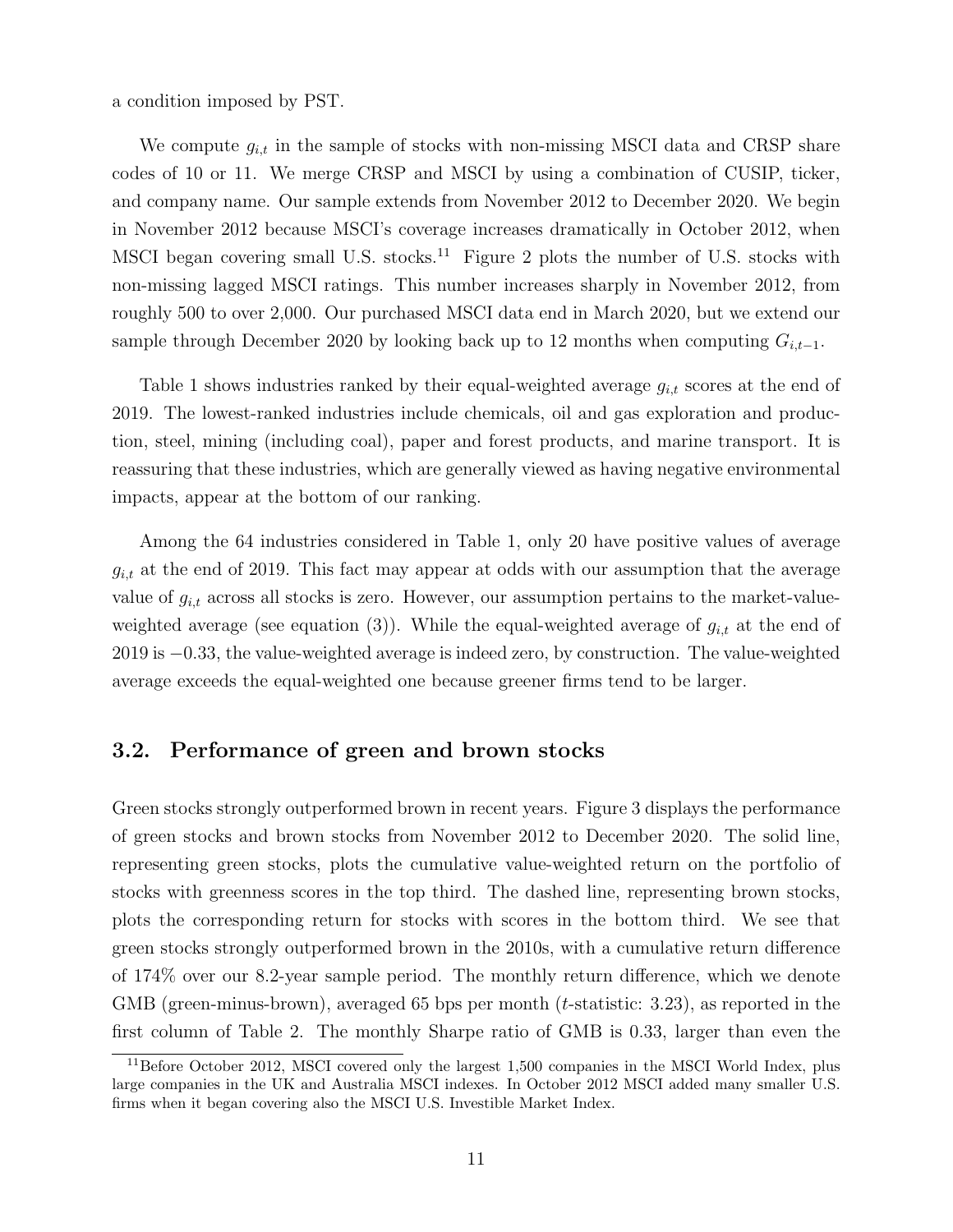a condition imposed by PST.

We compute  $g_{i,t}$  in the sample of stocks with non-missing MSCI data and CRSP share codes of 10 or 11. We merge CRSP and MSCI by using a combination of CUSIP, ticker, and company name. Our sample extends from November 2012 to December 2020. We begin in November 2012 because MSCI's coverage increases dramatically in October 2012, when MSCI began covering small U.S. stocks.<sup>11</sup> Figure 2 plots the number of U.S. stocks with non-missing lagged MSCI ratings. This number increases sharply in November 2012, from roughly 500 to over 2,000. Our purchased MSCI data end in March 2020, but we extend our sample through December 2020 by looking back up to 12 months when computing  $G_{i,t-1}$ .

Table 1 shows industries ranked by their equal-weighted average  $g_{i,t}$  scores at the end of 2019. The lowest-ranked industries include chemicals, oil and gas exploration and production, steel, mining (including coal), paper and forest products, and marine transport. It is reassuring that these industries, which are generally viewed as having negative environmental impacts, appear at the bottom of our ranking.

Among the 64 industries considered in Table 1, only 20 have positive values of average  $g_{i,t}$  at the end of 2019. This fact may appear at odds with our assumption that the average value of  $g_{i,t}$  across all stocks is zero. However, our assumption pertains to the market-valueweighted average (see equation (3)). While the equal-weighted average of  $g_{i,t}$  at the end of 2019 is −0.33, the value-weighted average is indeed zero, by construction. The value-weighted average exceeds the equal-weighted one because greener firms tend to be larger.

### 3.2. Performance of green and brown stocks

Green stocks strongly outperformed brown in recent years. Figure 3 displays the performance of green stocks and brown stocks from November 2012 to December 2020. The solid line, representing green stocks, plots the cumulative value-weighted return on the portfolio of stocks with greenness scores in the top third. The dashed line, representing brown stocks, plots the corresponding return for stocks with scores in the bottom third. We see that green stocks strongly outperformed brown in the 2010s, with a cumulative return difference of 174% over our 8.2-year sample period. The monthly return difference, which we denote GMB (green-minus-brown), averaged 65 bps per month (*t*-statistic: 3.23), as reported in the first column of Table 2. The monthly Sharpe ratio of GMB is 0.33, larger than even the

<sup>11</sup>Before October 2012, MSCI covered only the largest 1,500 companies in the MSCI World Index, plus large companies in the UK and Australia MSCI indexes. In October 2012 MSCI added many smaller U.S. firms when it began covering also the MSCI U.S. Investible Market Index.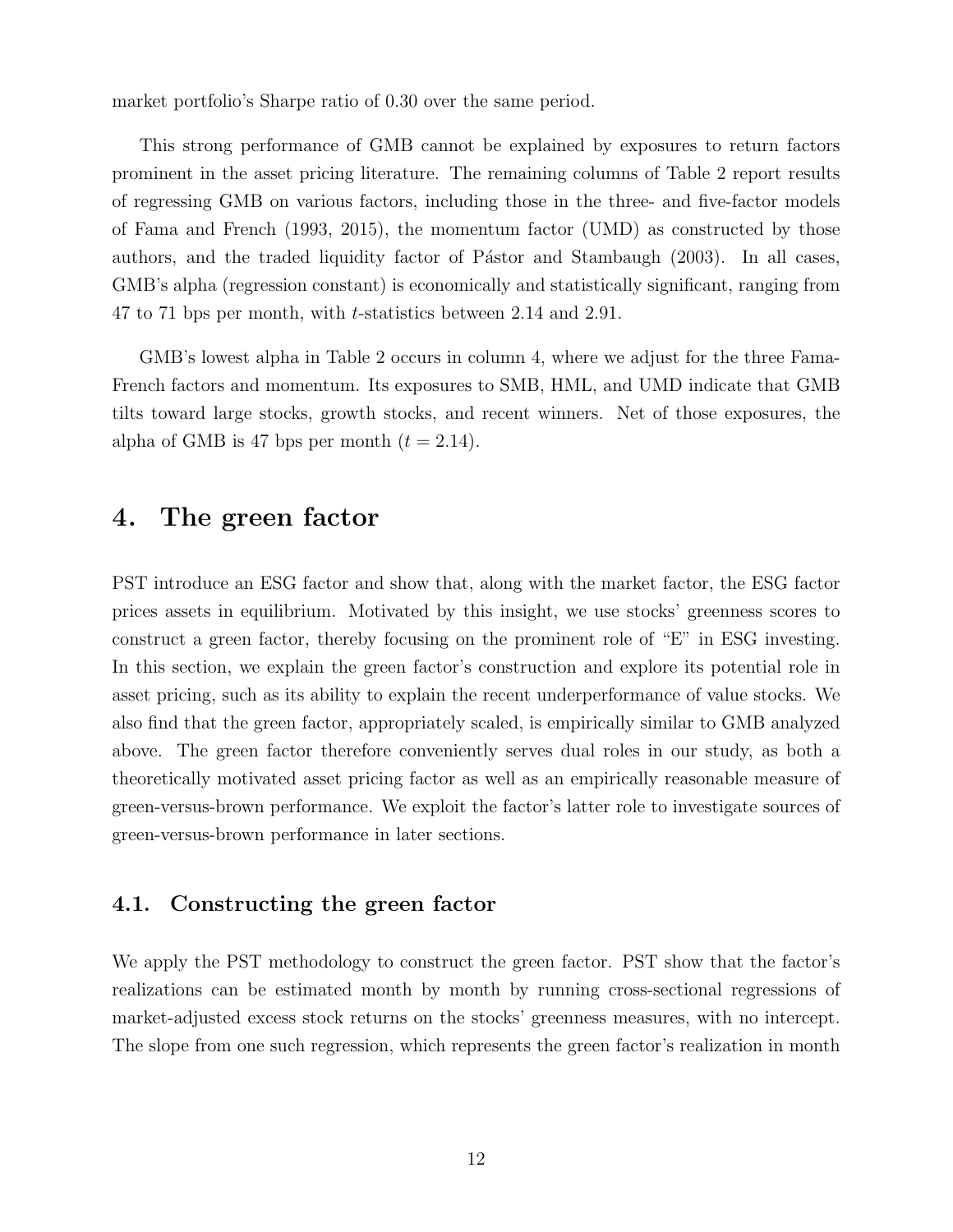market portfolio's Sharpe ratio of 0.30 over the same period.

This strong performance of GMB cannot be explained by exposures to return factors prominent in the asset pricing literature. The remaining columns of Table 2 report results of regressing GMB on various factors, including those in the three- and five-factor models of Fama and French (1993, 2015), the momentum factor (UMD) as constructed by those authors, and the traded liquidity factor of Pástor and Stambaugh (2003). In all cases, GMB's alpha (regression constant) is economically and statistically significant, ranging from 47 to 71 bps per month, with t-statistics between 2.14 and 2.91.

GMB's lowest alpha in Table 2 occurs in column 4, where we adjust for the three Fama-French factors and momentum. Its exposures to SMB, HML, and UMD indicate that GMB tilts toward large stocks, growth stocks, and recent winners. Net of those exposures, the alpha of GMB is 47 bps per month  $(t = 2.14)$ .

# 4. The green factor

PST introduce an ESG factor and show that, along with the market factor, the ESG factor prices assets in equilibrium. Motivated by this insight, we use stocks' greenness scores to construct a green factor, thereby focusing on the prominent role of "E" in ESG investing. In this section, we explain the green factor's construction and explore its potential role in asset pricing, such as its ability to explain the recent underperformance of value stocks. We also find that the green factor, appropriately scaled, is empirically similar to GMB analyzed above. The green factor therefore conveniently serves dual roles in our study, as both a theoretically motivated asset pricing factor as well as an empirically reasonable measure of green-versus-brown performance. We exploit the factor's latter role to investigate sources of green-versus-brown performance in later sections.

#### 4.1. Constructing the green factor

We apply the PST methodology to construct the green factor. PST show that the factor's realizations can be estimated month by month by running cross-sectional regressions of market-adjusted excess stock returns on the stocks' greenness measures, with no intercept. The slope from one such regression, which represents the green factor's realization in month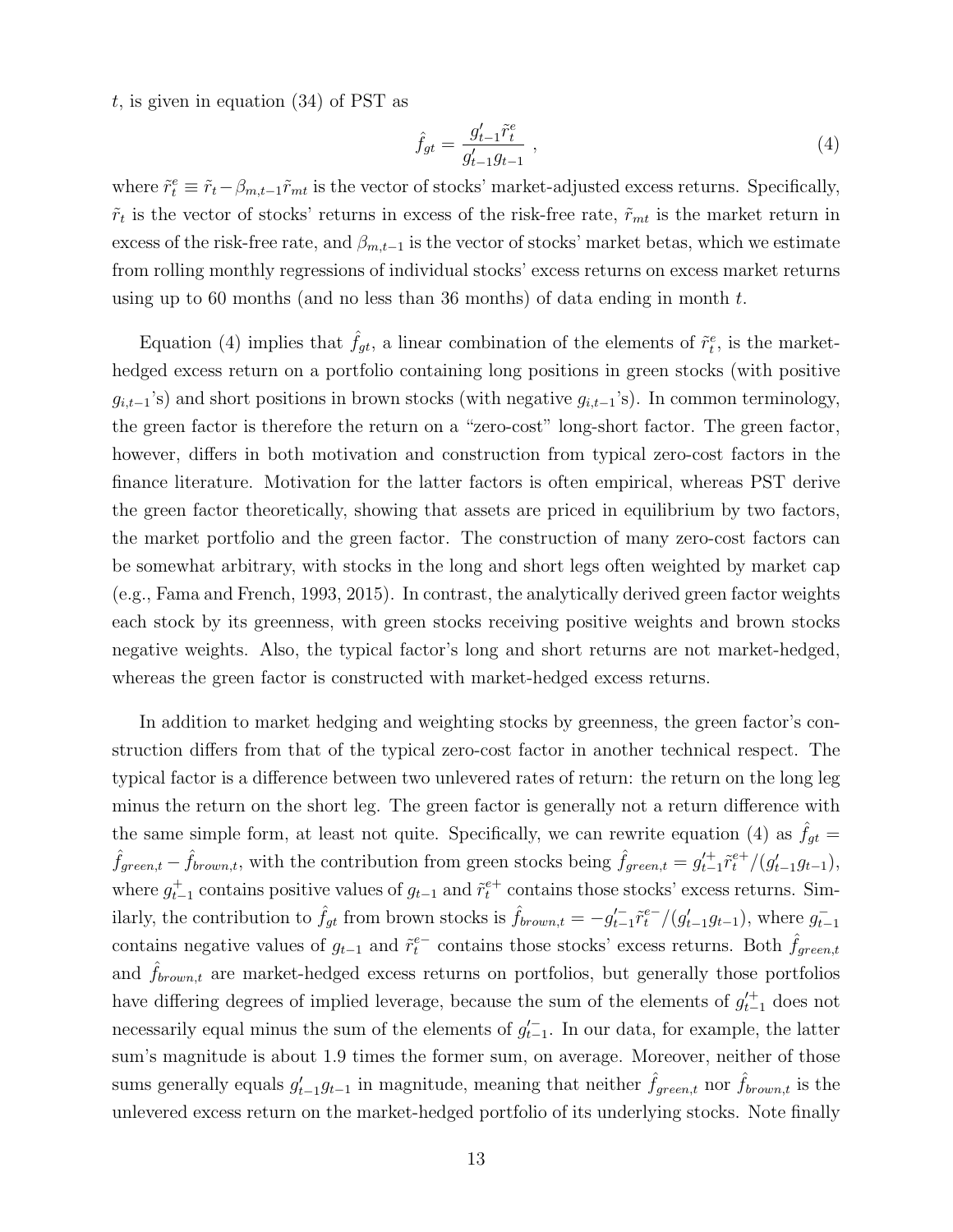$t$ , is given in equation (34) of PST as

$$
\hat{f}_{gt} = \frac{g'_{t-1}\tilde{r}^e_t}{g'_{t-1}g_{t-1}}\,,\tag{4}
$$

where  $\tilde{r}_t^e \equiv \tilde{r}_t - \beta_{m,t-1}\tilde{r}_{mt}$  is the vector of stocks' market-adjusted excess returns. Specifically,  $\tilde{r}_t$  is the vector of stocks' returns in excess of the risk-free rate,  $\tilde{r}_{mt}$  is the market return in excess of the risk-free rate, and  $\beta_{m,t-1}$  is the vector of stocks' market betas, which we estimate from rolling monthly regressions of individual stocks' excess returns on excess market returns using up to 60 months (and no less than 36 months) of data ending in month  $t$ .

Equation (4) implies that  $\hat{f}_{gt}$ , a linear combination of the elements of  $\tilde{r}_t^e$ , is the markethedged excess return on a portfolio containing long positions in green stocks (with positive  $g_{i,t-1}$ 's) and short positions in brown stocks (with negative  $g_{i,t-1}$ 's). In common terminology, the green factor is therefore the return on a "zero-cost" long-short factor. The green factor, however, differs in both motivation and construction from typical zero-cost factors in the finance literature. Motivation for the latter factors is often empirical, whereas PST derive the green factor theoretically, showing that assets are priced in equilibrium by two factors, the market portfolio and the green factor. The construction of many zero-cost factors can be somewhat arbitrary, with stocks in the long and short legs often weighted by market cap (e.g., Fama and French, 1993, 2015). In contrast, the analytically derived green factor weights each stock by its greenness, with green stocks receiving positive weights and brown stocks negative weights. Also, the typical factor's long and short returns are not market-hedged, whereas the green factor is constructed with market-hedged excess returns.

In addition to market hedging and weighting stocks by greenness, the green factor's construction differs from that of the typical zero-cost factor in another technical respect. The typical factor is a difference between two unlevered rates of return: the return on the long leg minus the return on the short leg. The green factor is generally not a return difference with the same simple form, at least not quite. Specifically, we can rewrite equation (4) as  $\hat{f}_{gt}$  =  $\hat{f}_{green,t} - \hat{f}_{brown,t}$ , with the contribution from green stocks being  $\hat{f}_{green,t} = g'^{+}_{t-1} \tilde{r}^{e+}_{t}/(g'_{t-1}g_{t-1}),$ where  $g_{t-1}^+$  contains positive values of  $g_{t-1}$  and  $\tilde{r}_t^{e+}$  contains those stocks' excess returns. Similarly, the contribution to  $\hat{f}_{gt}$  from brown stocks is  $\hat{f}_{brown,t} = -g'_{t-1}\tilde{r}^{e-}_t/(g'_{t-1}g_{t-1})$ , where  $g_{t-1}^$ contains negative values of  $g_{t-1}$  and  $\tilde{r}^{e-}_t$  contains those stocks' excess returns. Both  $\hat{f}_{green,t}$ and  $f_{brown, t}$  are market-hedged excess returns on portfolios, but generally those portfolios have differing degrees of implied leverage, because the sum of the elements of  $g_{t-1}^{\prime +}$  does not necessarily equal minus the sum of the elements of  $g'_{t-1}$ . In our data, for example, the latter sum's magnitude is about 1.9 times the former sum, on average. Moreover, neither of those sums generally equals  $g'_{t-1}g_{t-1}$  in magnitude, meaning that neither  $\hat{f}_{green,t}$  nor  $\hat{f}_{brown,t}$  is the unlevered excess return on the market-hedged portfolio of its underlying stocks. Note finally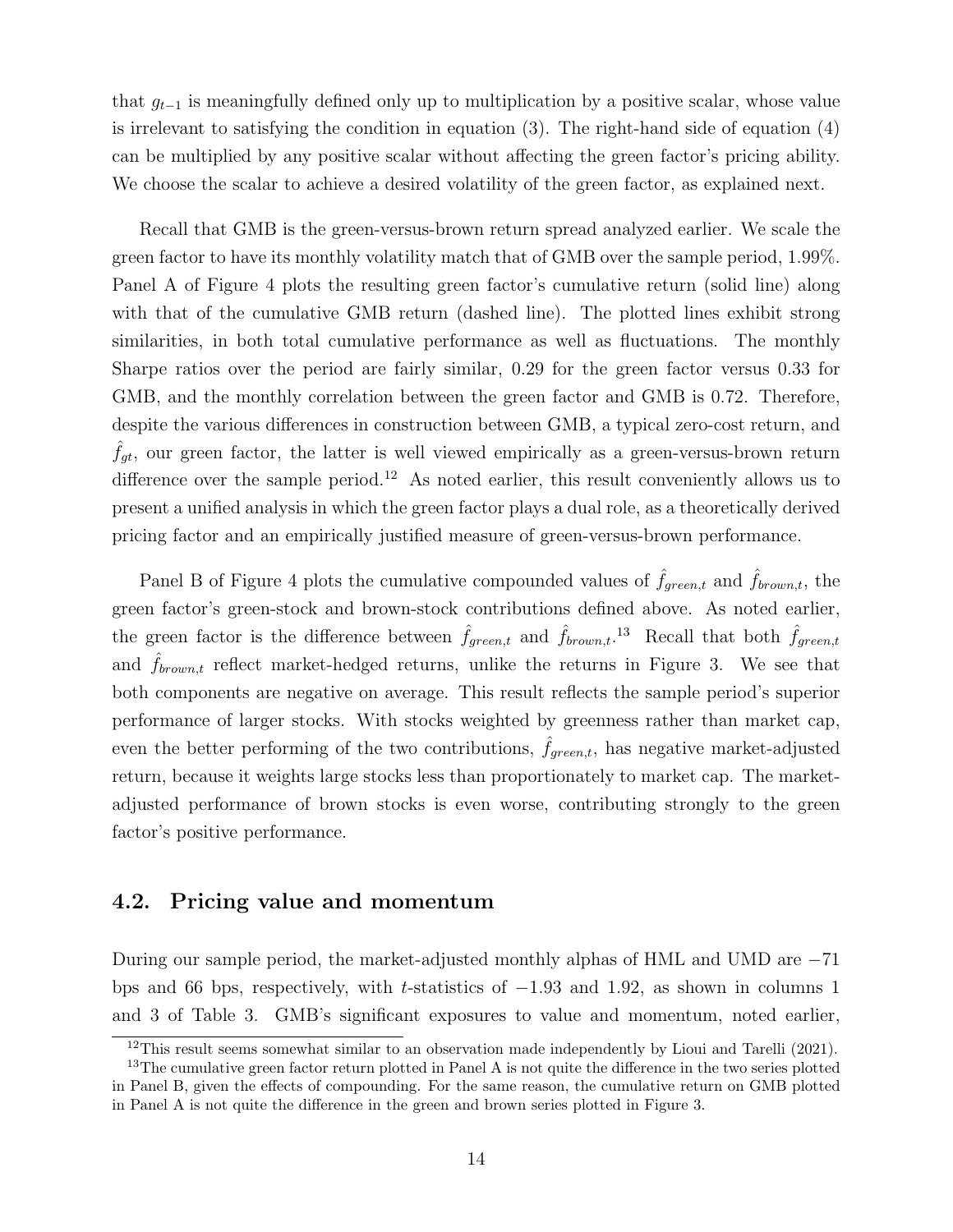that  $g_{t-1}$  is meaningfully defined only up to multiplication by a positive scalar, whose value is irrelevant to satisfying the condition in equation (3). The right-hand side of equation (4) can be multiplied by any positive scalar without affecting the green factor's pricing ability. We choose the scalar to achieve a desired volatility of the green factor, as explained next.

Recall that GMB is the green-versus-brown return spread analyzed earlier. We scale the green factor to have its monthly volatility match that of GMB over the sample period, 1.99%. Panel A of Figure 4 plots the resulting green factor's cumulative return (solid line) along with that of the cumulative GMB return (dashed line). The plotted lines exhibit strong similarities, in both total cumulative performance as well as fluctuations. The monthly Sharpe ratios over the period are fairly similar, 0.29 for the green factor versus 0.33 for GMB, and the monthly correlation between the green factor and GMB is 0.72. Therefore, despite the various differences in construction between GMB, a typical zero-cost return, and  $f_{qt}$ , our green factor, the latter is well viewed empirically as a green-versus-brown return difference over the sample period.<sup>12</sup> As noted earlier, this result conveniently allows us to present a unified analysis in which the green factor plays a dual role, as a theoretically derived pricing factor and an empirically justified measure of green-versus-brown performance.

Panel B of Figure 4 plots the cumulative compounded values of  $\hat{f}_{green,t}$  and  $\hat{f}_{brown,t}$ , the green factor's green-stock and brown-stock contributions defined above. As noted earlier, the green factor is the difference between  $\hat{f}_{green,t}$  and  $\hat{f}_{brown,t}$ .<sup>13</sup> Recall that both  $\hat{f}_{green,t}$ and  $\hat{f}_{brown, t}$  reflect market-hedged returns, unlike the returns in Figure 3. We see that both components are negative on average. This result reflects the sample period's superior performance of larger stocks. With stocks weighted by greenness rather than market cap, even the better performing of the two contributions,  $f_{green,t}$ , has negative market-adjusted return, because it weights large stocks less than proportionately to market cap. The marketadjusted performance of brown stocks is even worse, contributing strongly to the green factor's positive performance.

### 4.2. Pricing value and momentum

During our sample period, the market-adjusted monthly alphas of HML and UMD are  $-71$ bps and 66 bps, respectively, with t-statistics of  $-1.93$  and 1.92, as shown in columns 1 and 3 of Table 3. GMB's significant exposures to value and momentum, noted earlier,

<sup>&</sup>lt;sup>12</sup>This result seems somewhat similar to an observation made independently by Lioui and Tarelli (2021).

<sup>&</sup>lt;sup>13</sup>The cumulative green factor return plotted in Panel A is not quite the difference in the two series plotted in Panel B, given the effects of compounding. For the same reason, the cumulative return on GMB plotted in Panel A is not quite the difference in the green and brown series plotted in Figure 3.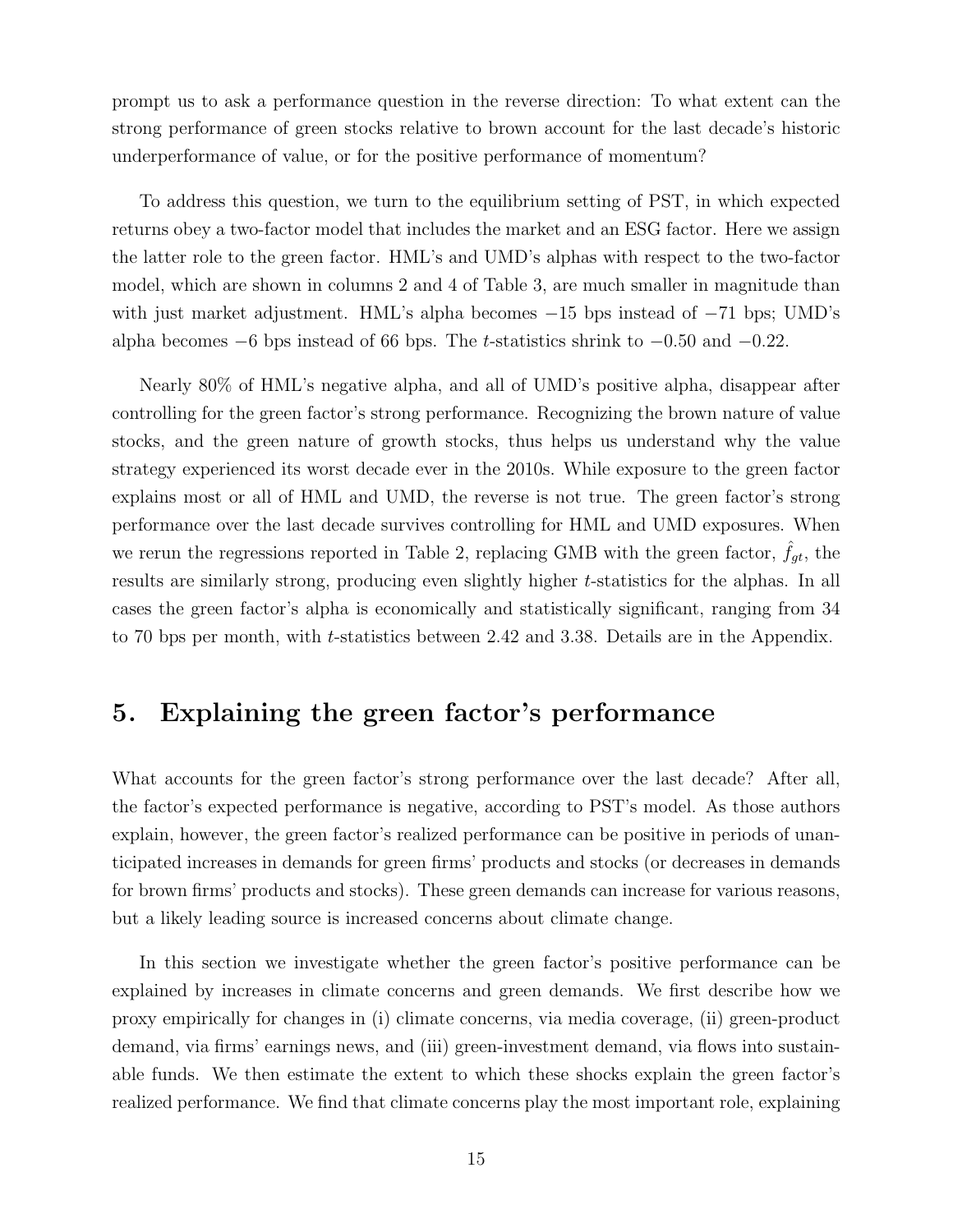prompt us to ask a performance question in the reverse direction: To what extent can the strong performance of green stocks relative to brown account for the last decade's historic underperformance of value, or for the positive performance of momentum?

To address this question, we turn to the equilibrium setting of PST, in which expected returns obey a two-factor model that includes the market and an ESG factor. Here we assign the latter role to the green factor. HML's and UMD's alphas with respect to the two-factor model, which are shown in columns 2 and 4 of Table 3, are much smaller in magnitude than with just market adjustment. HML's alpha becomes  $-15$  bps instead of  $-71$  bps; UMD's alpha becomes  $-6$  bps instead of 66 bps. The t-statistics shrink to  $-0.50$  and  $-0.22$ .

Nearly 80% of HML's negative alpha, and all of UMD's positive alpha, disappear after controlling for the green factor's strong performance. Recognizing the brown nature of value stocks, and the green nature of growth stocks, thus helps us understand why the value strategy experienced its worst decade ever in the 2010s. While exposure to the green factor explains most or all of HML and UMD, the reverse is not true. The green factor's strong performance over the last decade survives controlling for HML and UMD exposures. When we rerun the regressions reported in Table 2, replacing GMB with the green factor,  $f_{gt}$ , the results are similarly strong, producing even slightly higher t-statistics for the alphas. In all cases the green factor's alpha is economically and statistically significant, ranging from 34 to 70 bps per month, with t-statistics between 2.42 and 3.38. Details are in the Appendix.

# 5. Explaining the green factor's performance

What accounts for the green factor's strong performance over the last decade? After all, the factor's expected performance is negative, according to PST's model. As those authors explain, however, the green factor's realized performance can be positive in periods of unanticipated increases in demands for green firms' products and stocks (or decreases in demands for brown firms' products and stocks). These green demands can increase for various reasons, but a likely leading source is increased concerns about climate change.

In this section we investigate whether the green factor's positive performance can be explained by increases in climate concerns and green demands. We first describe how we proxy empirically for changes in (i) climate concerns, via media coverage, (ii) green-product demand, via firms' earnings news, and (iii) green-investment demand, via flows into sustainable funds. We then estimate the extent to which these shocks explain the green factor's realized performance. We find that climate concerns play the most important role, explaining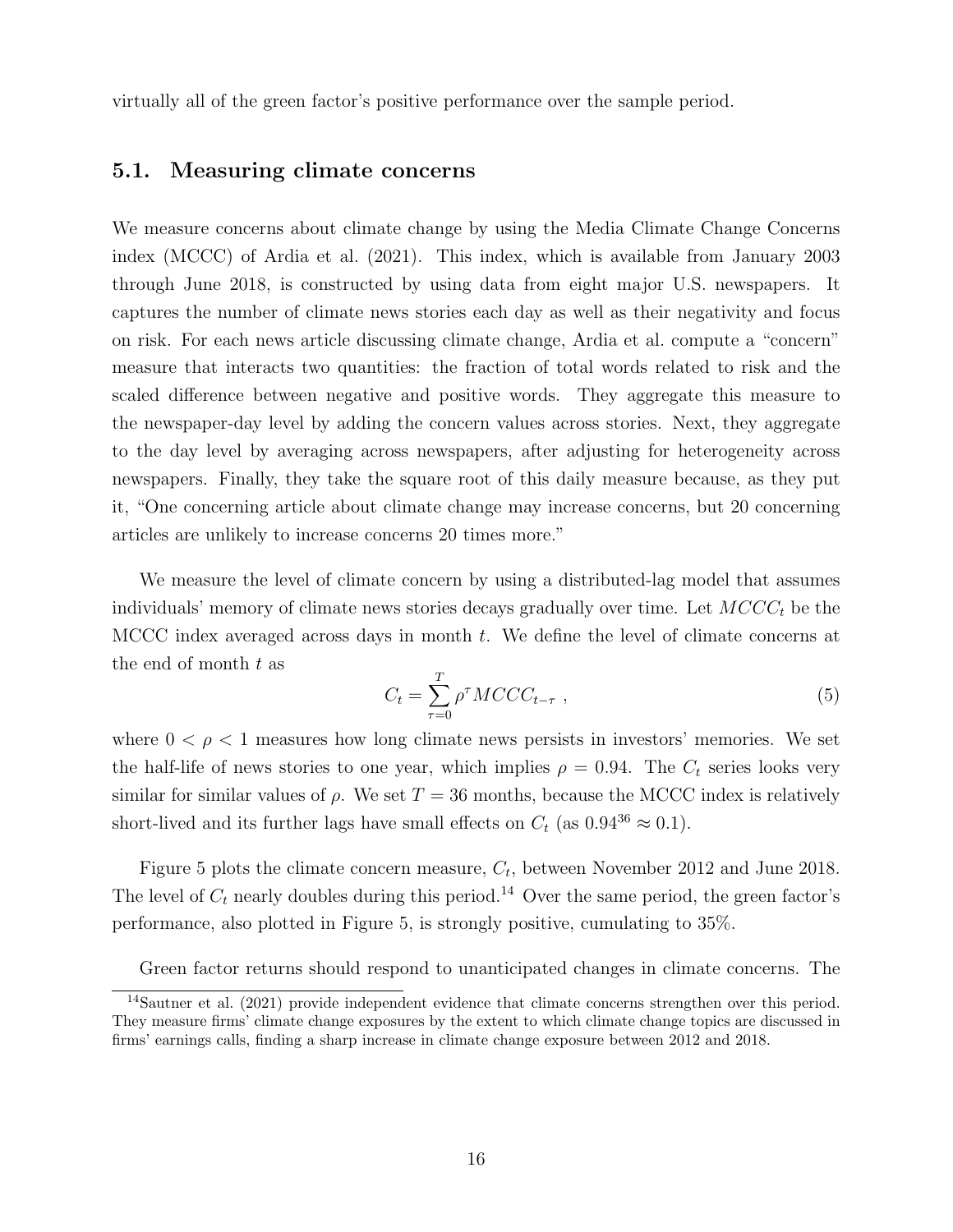virtually all of the green factor's positive performance over the sample period.

### 5.1. Measuring climate concerns

We measure concerns about climate change by using the Media Climate Change Concerns index (MCCC) of Ardia et al. (2021). This index, which is available from January 2003 through June 2018, is constructed by using data from eight major U.S. newspapers. It captures the number of climate news stories each day as well as their negativity and focus on risk. For each news article discussing climate change, Ardia et al. compute a "concern" measure that interacts two quantities: the fraction of total words related to risk and the scaled difference between negative and positive words. They aggregate this measure to the newspaper-day level by adding the concern values across stories. Next, they aggregate to the day level by averaging across newspapers, after adjusting for heterogeneity across newspapers. Finally, they take the square root of this daily measure because, as they put it, "One concerning article about climate change may increase concerns, but 20 concerning articles are unlikely to increase concerns 20 times more."

We measure the level of climate concern by using a distributed-lag model that assumes individuals' memory of climate news stories decays gradually over time. Let  $MCCC_t$  be the MCCC index averaged across days in month  $t$ . We define the level of climate concerns at the end of month  $t$  as

$$
C_t = \sum_{\tau=0}^{T} \rho^{\tau} MCCC_{t-\tau} \tag{5}
$$

where  $0 < \rho < 1$  measures how long climate news persists in investors' memories. We set the half-life of news stories to one year, which implies  $\rho = 0.94$ . The  $C_t$  series looks very similar for similar values of  $\rho$ . We set  $T = 36$  months, because the MCCC index is relatively short-lived and its further lags have small effects on  $C_t$  (as  $0.94^{36} \approx 0.1$ ).

Figure 5 plots the climate concern measure,  $C_t$ , between November 2012 and June 2018. The level of  $C_t$  nearly doubles during this period.<sup>14</sup> Over the same period, the green factor's performance, also plotted in Figure 5, is strongly positive, cumulating to 35%.

Green factor returns should respond to unanticipated changes in climate concerns. The

<sup>14</sup>Sautner et al. (2021) provide independent evidence that climate concerns strengthen over this period. They measure firms' climate change exposures by the extent to which climate change topics are discussed in firms' earnings calls, finding a sharp increase in climate change exposure between 2012 and 2018.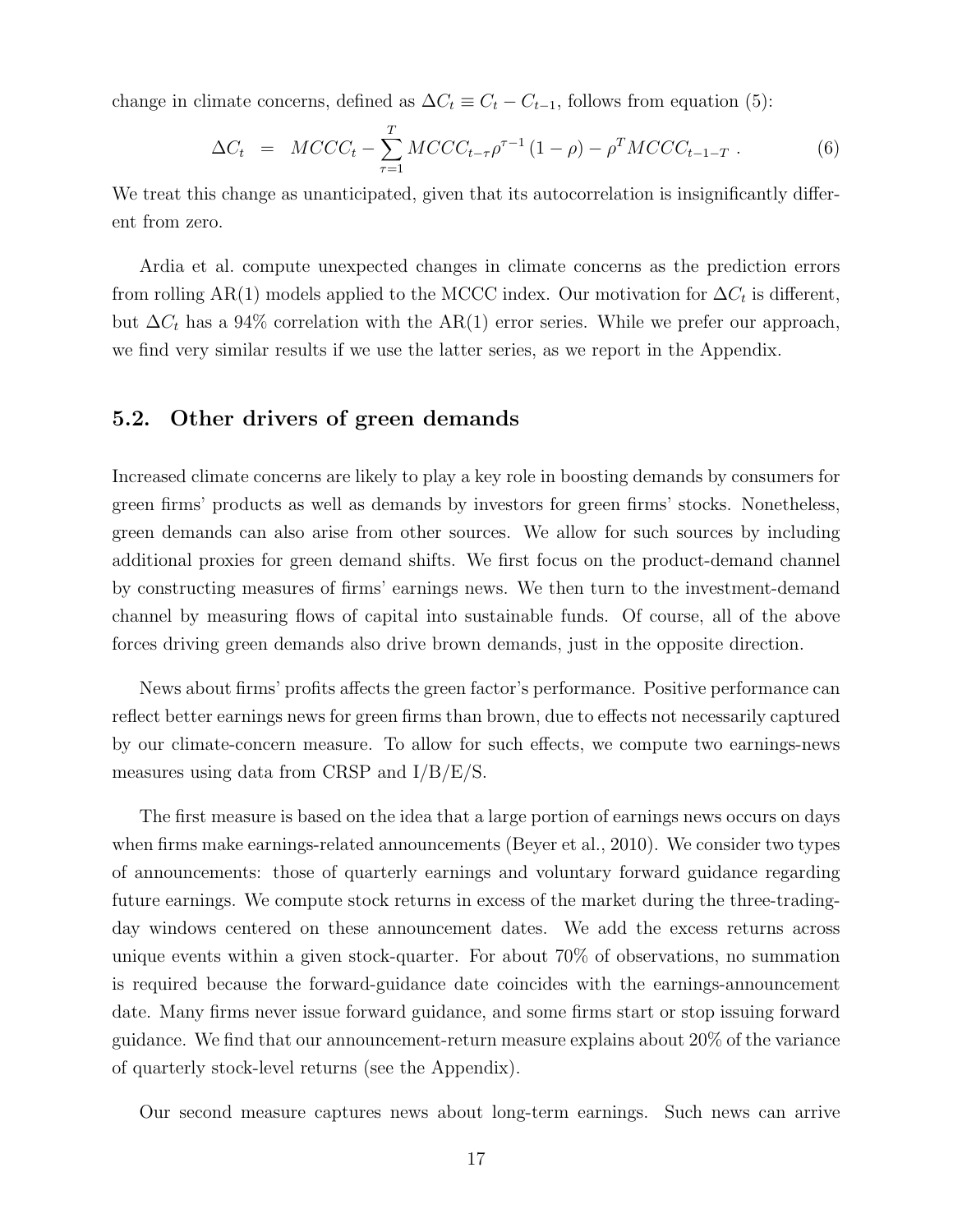change in climate concerns, defined as  $\Delta C_t \equiv C_t - C_{t-1}$ , follows from equation (5):

$$
\Delta C_t = MCCC_t - \sum_{\tau=1}^T MCCC_{t-\tau} \rho^{\tau-1} (1-\rho) - \rho^T MCCC_{t-1-T} . \tag{6}
$$

We treat this change as unanticipated, given that its autocorrelation is insignificantly different from zero.

Ardia et al. compute unexpected changes in climate concerns as the prediction errors from rolling AR(1) models applied to the MCCC index. Our motivation for  $\Delta C_t$  is different, but  $\Delta C_t$  has a 94% correlation with the AR(1) error series. While we prefer our approach, we find very similar results if we use the latter series, as we report in the Appendix.

## 5.2. Other drivers of green demands

Increased climate concerns are likely to play a key role in boosting demands by consumers for green firms' products as well as demands by investors for green firms' stocks. Nonetheless, green demands can also arise from other sources. We allow for such sources by including additional proxies for green demand shifts. We first focus on the product-demand channel by constructing measures of firms' earnings news. We then turn to the investment-demand channel by measuring flows of capital into sustainable funds. Of course, all of the above forces driving green demands also drive brown demands, just in the opposite direction.

News about firms' profits affects the green factor's performance. Positive performance can reflect better earnings news for green firms than brown, due to effects not necessarily captured by our climate-concern measure. To allow for such effects, we compute two earnings-news measures using data from CRSP and I/B/E/S.

The first measure is based on the idea that a large portion of earnings news occurs on days when firms make earnings-related announcements (Beyer et al., 2010). We consider two types of announcements: those of quarterly earnings and voluntary forward guidance regarding future earnings. We compute stock returns in excess of the market during the three-tradingday windows centered on these announcement dates. We add the excess returns across unique events within a given stock-quarter. For about 70% of observations, no summation is required because the forward-guidance date coincides with the earnings-announcement date. Many firms never issue forward guidance, and some firms start or stop issuing forward guidance. We find that our announcement-return measure explains about 20% of the variance of quarterly stock-level returns (see the Appendix).

Our second measure captures news about long-term earnings. Such news can arrive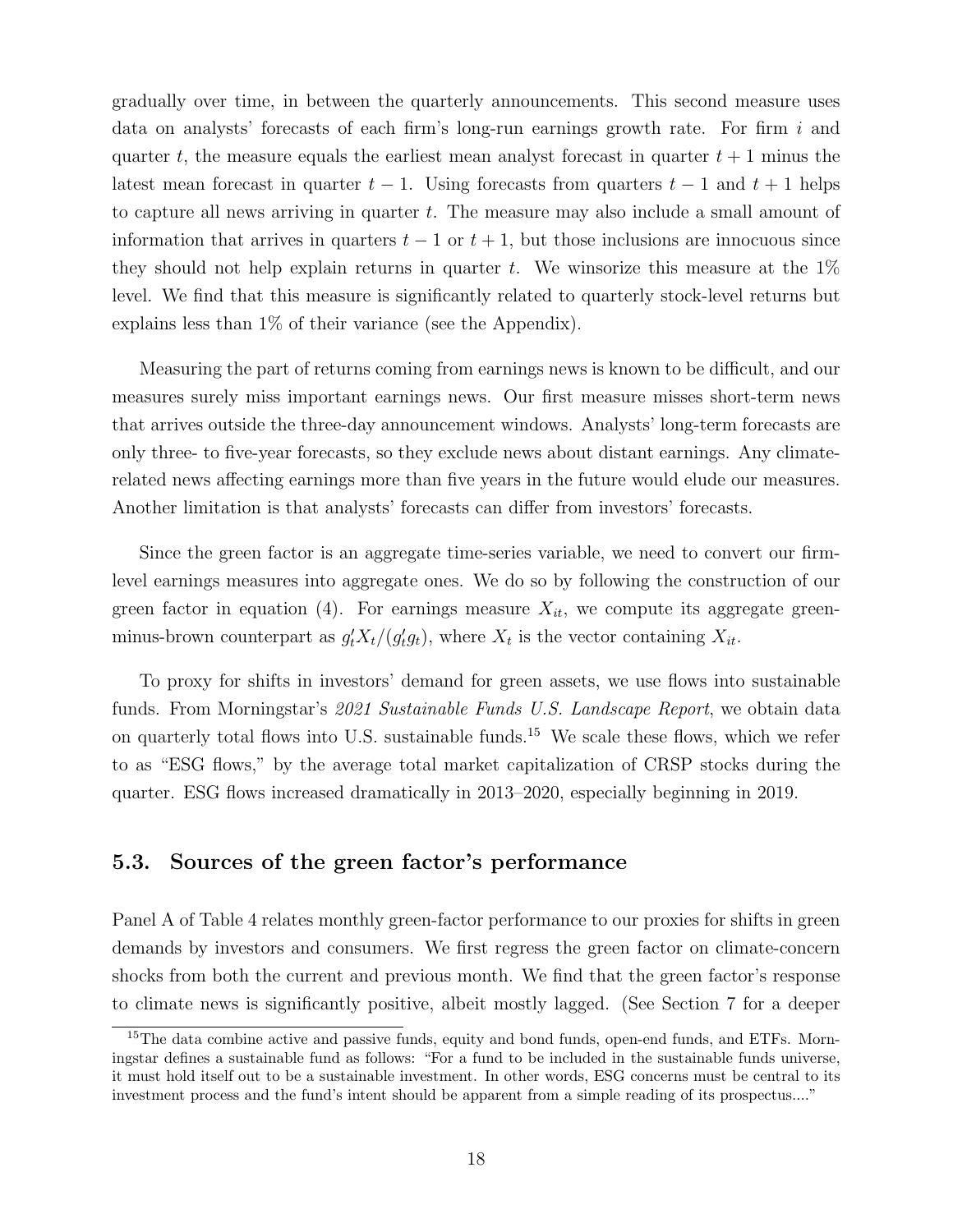gradually over time, in between the quarterly announcements. This second measure uses data on analysts' forecasts of each firm's long-run earnings growth rate. For firm  $i$  and quarter t, the measure equals the earliest mean analyst forecast in quarter  $t + 1$  minus the latest mean forecast in quarter  $t - 1$ . Using forecasts from quarters  $t - 1$  and  $t + 1$  helps to capture all news arriving in quarter  $t$ . The measure may also include a small amount of information that arrives in quarters  $t - 1$  or  $t + 1$ , but those inclusions are innocuous since they should not help explain returns in quarter t. We winsorize this measure at the  $1\%$ level. We find that this measure is significantly related to quarterly stock-level returns but explains less than 1% of their variance (see the Appendix).

Measuring the part of returns coming from earnings news is known to be difficult, and our measures surely miss important earnings news. Our first measure misses short-term news that arrives outside the three-day announcement windows. Analysts' long-term forecasts are only three- to five-year forecasts, so they exclude news about distant earnings. Any climaterelated news affecting earnings more than five years in the future would elude our measures. Another limitation is that analysts' forecasts can differ from investors' forecasts.

Since the green factor is an aggregate time-series variable, we need to convert our firmlevel earnings measures into aggregate ones. We do so by following the construction of our green factor in equation (4). For earnings measure  $X_{it}$ , we compute its aggregate greenminus-brown counterpart as  $g_t' X_t/(g_t' g_t)$ , where  $X_t$  is the vector containing  $X_{it}$ .

To proxy for shifts in investors' demand for green assets, we use flows into sustainable funds. From Morningstar's 2021 Sustainable Funds U.S. Landscape Report, we obtain data on quarterly total flows into U.S. sustainable funds.<sup>15</sup> We scale these flows, which we refer to as "ESG flows," by the average total market capitalization of CRSP stocks during the quarter. ESG flows increased dramatically in 2013–2020, especially beginning in 2019.

### 5.3. Sources of the green factor's performance

Panel A of Table 4 relates monthly green-factor performance to our proxies for shifts in green demands by investors and consumers. We first regress the green factor on climate-concern shocks from both the current and previous month. We find that the green factor's response to climate news is significantly positive, albeit mostly lagged. (See Section 7 for a deeper

<sup>&</sup>lt;sup>15</sup>The data combine active and passive funds, equity and bond funds, open-end funds, and ETFs. Morningstar defines a sustainable fund as follows: "For a fund to be included in the sustainable funds universe, it must hold itself out to be a sustainable investment. In other words, ESG concerns must be central to its investment process and the fund's intent should be apparent from a simple reading of its prospectus...."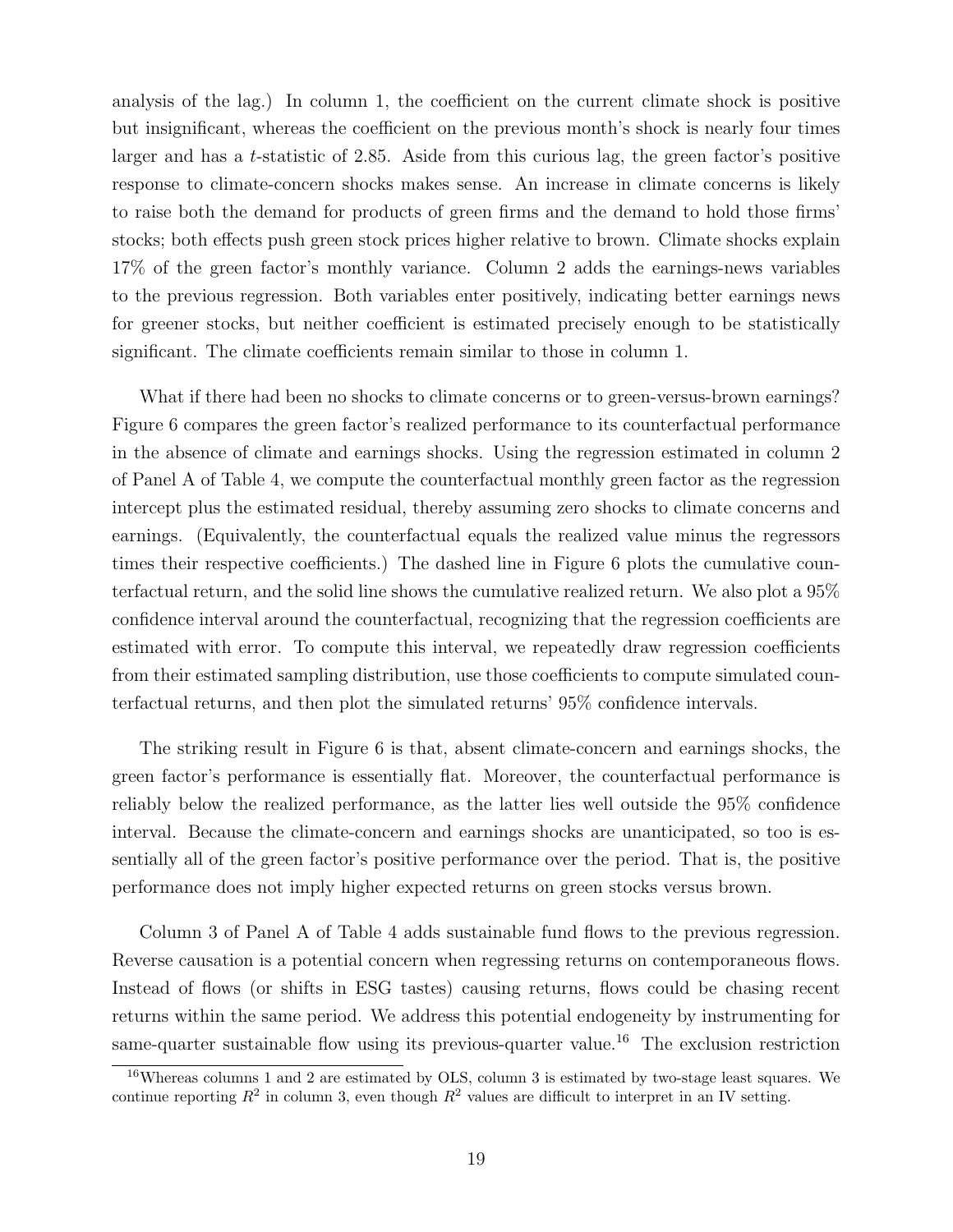analysis of the lag.) In column 1, the coefficient on the current climate shock is positive but insignificant, whereas the coefficient on the previous month's shock is nearly four times larger and has a t-statistic of 2.85. Aside from this curious lag, the green factor's positive response to climate-concern shocks makes sense. An increase in climate concerns is likely to raise both the demand for products of green firms and the demand to hold those firms' stocks; both effects push green stock prices higher relative to brown. Climate shocks explain 17% of the green factor's monthly variance. Column 2 adds the earnings-news variables to the previous regression. Both variables enter positively, indicating better earnings news for greener stocks, but neither coefficient is estimated precisely enough to be statistically significant. The climate coefficients remain similar to those in column 1.

What if there had been no shocks to climate concerns or to green-versus-brown earnings? Figure 6 compares the green factor's realized performance to its counterfactual performance in the absence of climate and earnings shocks. Using the regression estimated in column 2 of Panel A of Table 4, we compute the counterfactual monthly green factor as the regression intercept plus the estimated residual, thereby assuming zero shocks to climate concerns and earnings. (Equivalently, the counterfactual equals the realized value minus the regressors times their respective coefficients.) The dashed line in Figure 6 plots the cumulative counterfactual return, and the solid line shows the cumulative realized return. We also plot a 95% confidence interval around the counterfactual, recognizing that the regression coefficients are estimated with error. To compute this interval, we repeatedly draw regression coefficients from their estimated sampling distribution, use those coefficients to compute simulated counterfactual returns, and then plot the simulated returns' 95% confidence intervals.

The striking result in Figure 6 is that, absent climate-concern and earnings shocks, the green factor's performance is essentially flat. Moreover, the counterfactual performance is reliably below the realized performance, as the latter lies well outside the 95% confidence interval. Because the climate-concern and earnings shocks are unanticipated, so too is essentially all of the green factor's positive performance over the period. That is, the positive performance does not imply higher expected returns on green stocks versus brown.

Column 3 of Panel A of Table 4 adds sustainable fund flows to the previous regression. Reverse causation is a potential concern when regressing returns on contemporaneous flows. Instead of flows (or shifts in ESG tastes) causing returns, flows could be chasing recent returns within the same period. We address this potential endogeneity by instrumenting for same-quarter sustainable flow using its previous-quarter value.<sup>16</sup> The exclusion restriction

<sup>16</sup>Whereas columns 1 and 2 are estimated by OLS, column 3 is estimated by two-stage least squares. We continue reporting  $R^2$  in column 3, even though  $R^2$  values are difficult to interpret in an IV setting.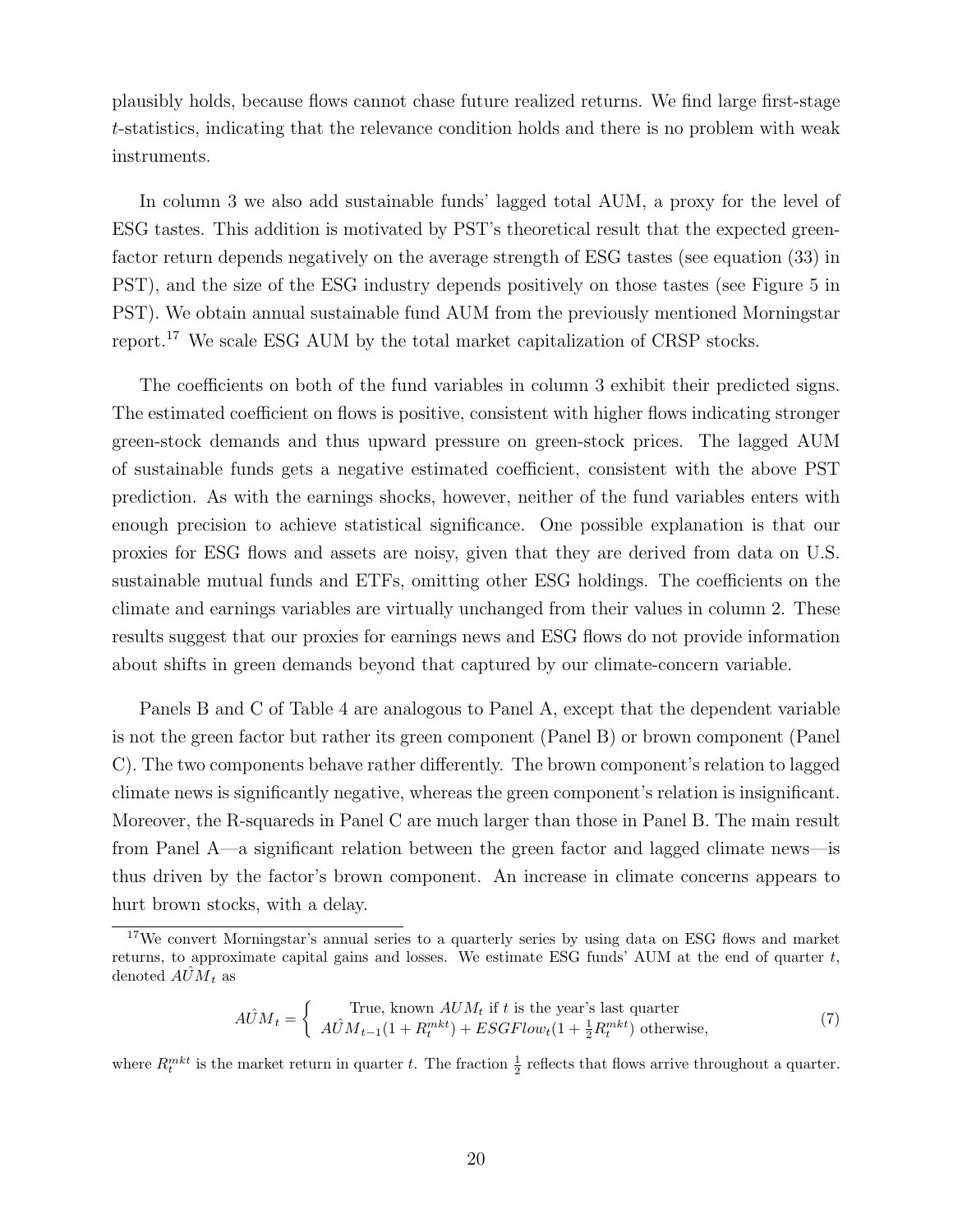plausibly holds, because flows cannot chase future realized returns. We find large first-stage t-statistics, indicating that the relevance condition holds and there is no problem with weak instruments.

In column 3 we also add sustainable funds' lagged total AUM, a proxy for the level of ESG tastes. This addition is motivated by PST's theoretical result that the expected greenfactor return depends negatively on the average strength of ESG tastes (see equation (33) in PST), and the size of the ESG industry depends positively on those tastes (see Figure 5 in PST). We obtain annual sustainable fund AUM from the previously mentioned Morningstar report.<sup>17</sup> We scale ESG AUM by the total market capitalization of CRSP stocks.

The coefficients on both of the fund variables in column 3 exhibit their predicted signs. The estimated coefficient on flows is positive, consistent with higher flows indicating stronger green-stock demands and thus upward pressure on green-stock prices. The lagged AUM of sustainable funds gets a negative estimated coefficient, consistent with the above PST prediction. As with the earnings shocks, however, neither of the fund variables enters with enough precision to achieve statistical significance. One possible explanation is that our proxies for ESG flows and assets are noisy, given that they are derived from data on U.S. sustainable mutual funds and ETFs, omitting other ESG holdings. The coefficients on the climate and earnings variables are virtually unchanged from their values in column 2. These results suggest that our proxies for earnings news and ESG flows do not provide information about shifts in green demands beyond that captured by our climate-concern variable.

Panels B and C of Table 4 are analogous to Panel A, except that the dependent variable is not the green factor but rather its green component (Panel B) or brown component (Panel C). The two components behave rather differently. The brown component's relation to lagged climate news is significantly negative, whereas the green component's relation is insignificant. Moreover, the R-squareds in Panel C are much larger than those in Panel B. The main result from Panel A—a significant relation between the green factor and lagged climate news—is thus driven by the factor's brown component. An increase in climate concerns appears to hurt brown stocks, with a delay.

$$
A\hat{U}M_t = \begin{cases} \text{True, known } AUM_t \text{ if } t \text{ is the year's last quarter} \\ A\hat{U}M_{t-1}(1+R_t^{mkt}) + ESGFlow_t(1+\frac{1}{2}R_t^{mkt}) \text{ otherwise,} \end{cases}
$$
(7)

where  $R_t^{mkt}$  is the market return in quarter t. The fraction  $\frac{1}{2}$  reflects that flows arrive throughout a quarter.

<sup>&</sup>lt;sup>17</sup>We convert Morningstar's annual series to a quarterly series by using data on ESG flows and market returns, to approximate capital gains and losses. We estimate ESG funds' AUM at the end of quarter  $t$ , denoted  $A\hat{U}\overline{M}_t$  as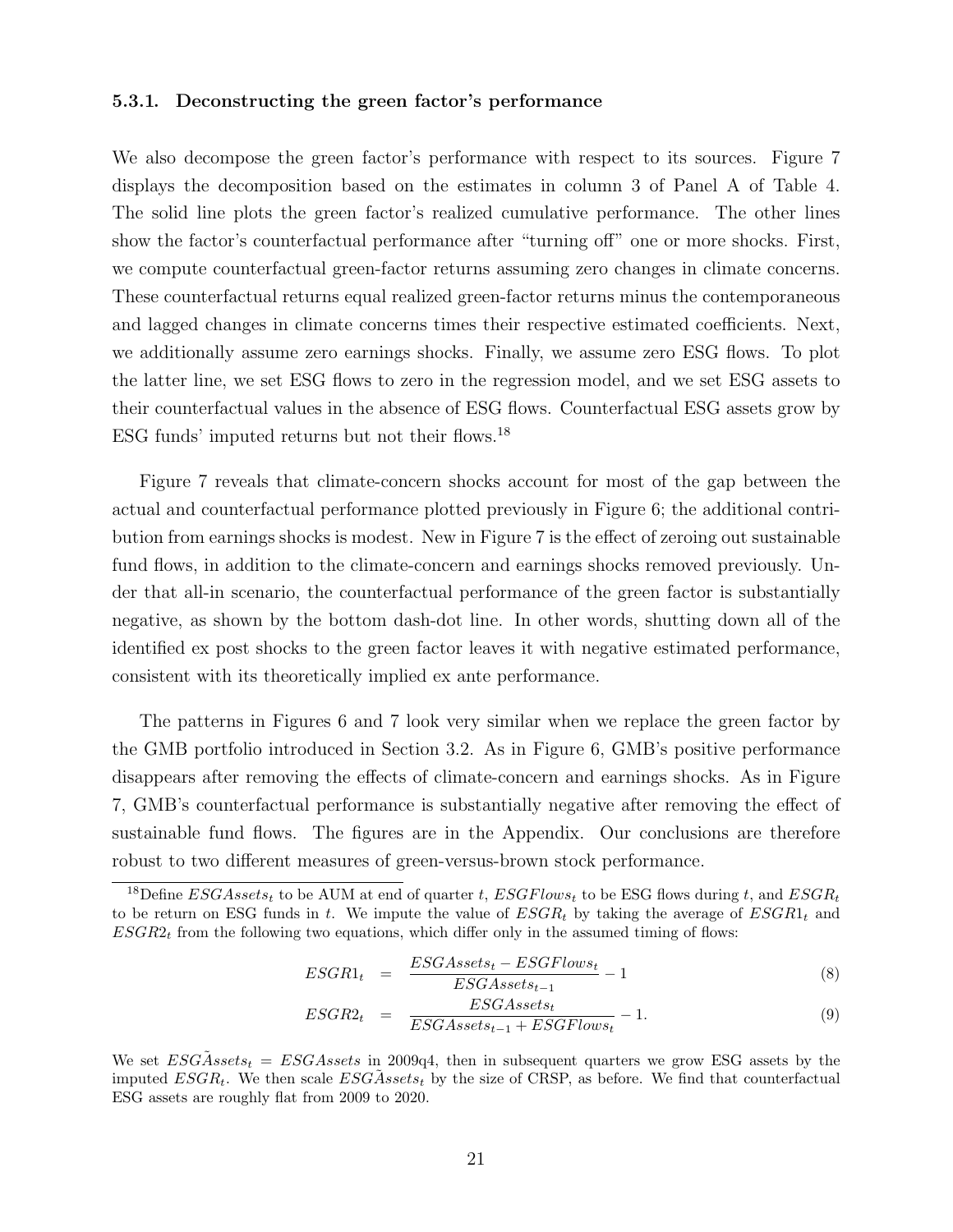#### 5.3.1. Deconstructing the green factor's performance

We also decompose the green factor's performance with respect to its sources. Figure 7 displays the decomposition based on the estimates in column 3 of Panel A of Table 4. The solid line plots the green factor's realized cumulative performance. The other lines show the factor's counterfactual performance after "turning off" one or more shocks. First, we compute counterfactual green-factor returns assuming zero changes in climate concerns. These counterfactual returns equal realized green-factor returns minus the contemporaneous and lagged changes in climate concerns times their respective estimated coefficients. Next, we additionally assume zero earnings shocks. Finally, we assume zero ESG flows. To plot the latter line, we set ESG flows to zero in the regression model, and we set ESG assets to their counterfactual values in the absence of ESG flows. Counterfactual ESG assets grow by ESG funds' imputed returns but not their flows.<sup>18</sup>

Figure 7 reveals that climate-concern shocks account for most of the gap between the actual and counterfactual performance plotted previously in Figure 6; the additional contribution from earnings shocks is modest. New in Figure 7 is the effect of zeroing out sustainable fund flows, in addition to the climate-concern and earnings shocks removed previously. Under that all-in scenario, the counterfactual performance of the green factor is substantially negative, as shown by the bottom dash-dot line. In other words, shutting down all of the identified ex post shocks to the green factor leaves it with negative estimated performance, consistent with its theoretically implied ex ante performance.

The patterns in Figures 6 and 7 look very similar when we replace the green factor by the GMB portfolio introduced in Section 3.2. As in Figure 6, GMB's positive performance disappears after removing the effects of climate-concern and earnings shocks. As in Figure 7, GMB's counterfactual performance is substantially negative after removing the effect of sustainable fund flows. The figures are in the Appendix. Our conclusions are therefore robust to two different measures of green-versus-brown stock performance.

$$
ESGR1_t = \frac{ESGAssets_t - ESGFlows_t}{ESGAssets_{t-1}} - 1 \tag{8}
$$

$$
ESGR2_t = \frac{ESGAssets_t}{ESGAssets_{t-1} + ESGFlows_t} - 1.
$$
\n(9)

We set  $ESG\tilde{A}ssets_t = ESGAssets$  in 2009q4, then in subsequent quarters we grow ESG assets by the imputed  $ESGR_t$ . We then scale  $ESG\tilde{A}ssets_t$  by the size of CRSP, as before. We find that counterfactual ESG assets are roughly flat from 2009 to 2020.

<sup>&</sup>lt;sup>18</sup>Define *ESGAssets<sub>t</sub>* to be AUM at end of quarter t, *ESGFlows<sub>t</sub>* to be ESG flows during t, and *ESGR<sub>t</sub>* to be return on ESG funds in t. We impute the value of  $ESGR_t$  by taking the average of  $ESGR_{1t}$  and  $ESGR2<sub>t</sub>$  from the following two equations, which differ only in the assumed timing of flows: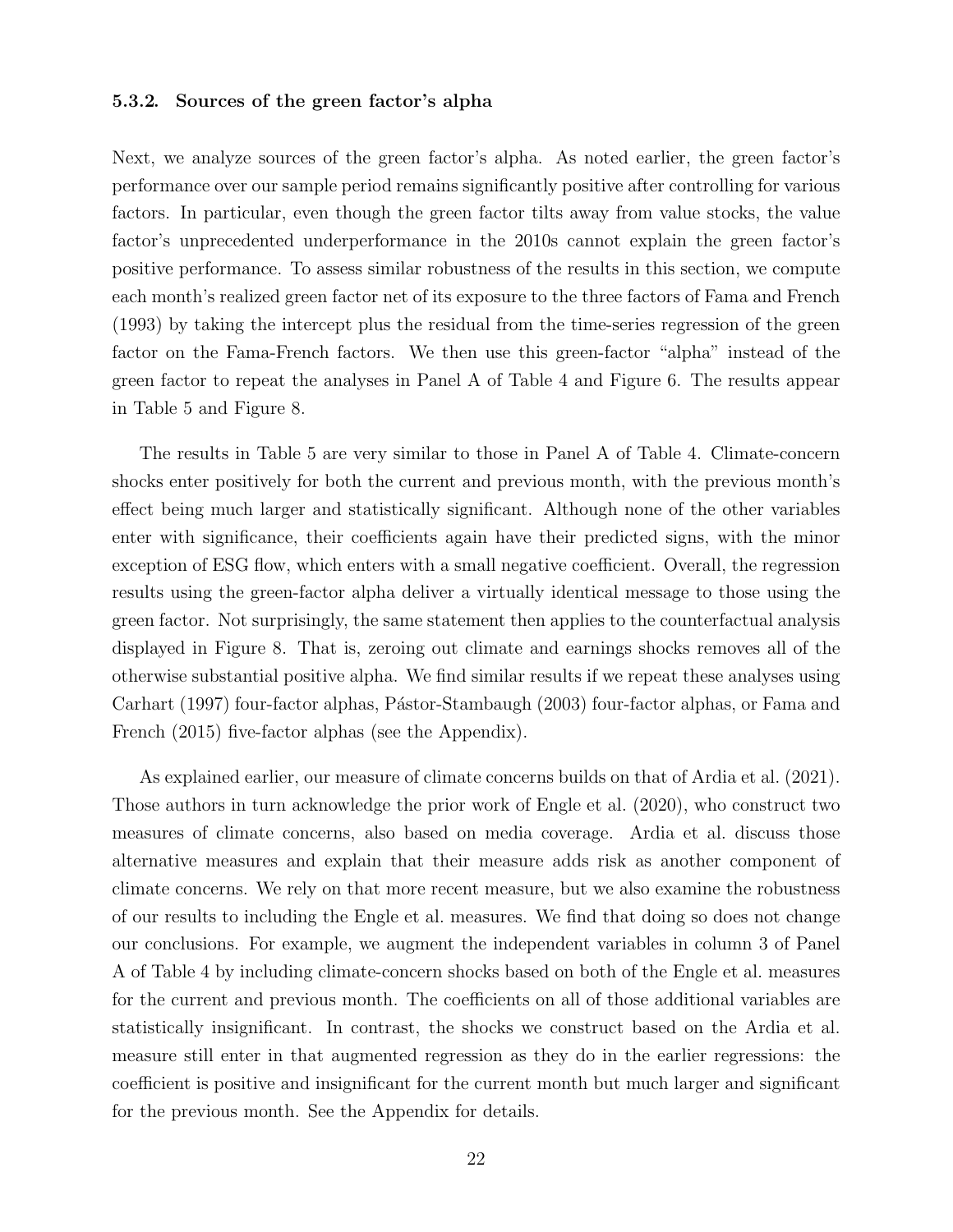#### 5.3.2. Sources of the green factor's alpha

Next, we analyze sources of the green factor's alpha. As noted earlier, the green factor's performance over our sample period remains significantly positive after controlling for various factors. In particular, even though the green factor tilts away from value stocks, the value factor's unprecedented underperformance in the 2010s cannot explain the green factor's positive performance. To assess similar robustness of the results in this section, we compute each month's realized green factor net of its exposure to the three factors of Fama and French (1993) by taking the intercept plus the residual from the time-series regression of the green factor on the Fama-French factors. We then use this green-factor "alpha" instead of the green factor to repeat the analyses in Panel A of Table 4 and Figure 6. The results appear in Table 5 and Figure 8.

The results in Table 5 are very similar to those in Panel A of Table 4. Climate-concern shocks enter positively for both the current and previous month, with the previous month's effect being much larger and statistically significant. Although none of the other variables enter with significance, their coefficients again have their predicted signs, with the minor exception of ESG flow, which enters with a small negative coefficient. Overall, the regression results using the green-factor alpha deliver a virtually identical message to those using the green factor. Not surprisingly, the same statement then applies to the counterfactual analysis displayed in Figure 8. That is, zeroing out climate and earnings shocks removes all of the otherwise substantial positive alpha. We find similar results if we repeat these analyses using Carhart (1997) four-factor alphas, Pástor-Stambaugh (2003) four-factor alphas, or Fama and French (2015) five-factor alphas (see the Appendix).

As explained earlier, our measure of climate concerns builds on that of Ardia et al. (2021). Those authors in turn acknowledge the prior work of Engle et al. (2020), who construct two measures of climate concerns, also based on media coverage. Ardia et al. discuss those alternative measures and explain that their measure adds risk as another component of climate concerns. We rely on that more recent measure, but we also examine the robustness of our results to including the Engle et al. measures. We find that doing so does not change our conclusions. For example, we augment the independent variables in column 3 of Panel A of Table 4 by including climate-concern shocks based on both of the Engle et al. measures for the current and previous month. The coefficients on all of those additional variables are statistically insignificant. In contrast, the shocks we construct based on the Ardia et al. measure still enter in that augmented regression as they do in the earlier regressions: the coefficient is positive and insignificant for the current month but much larger and significant for the previous month. See the Appendix for details.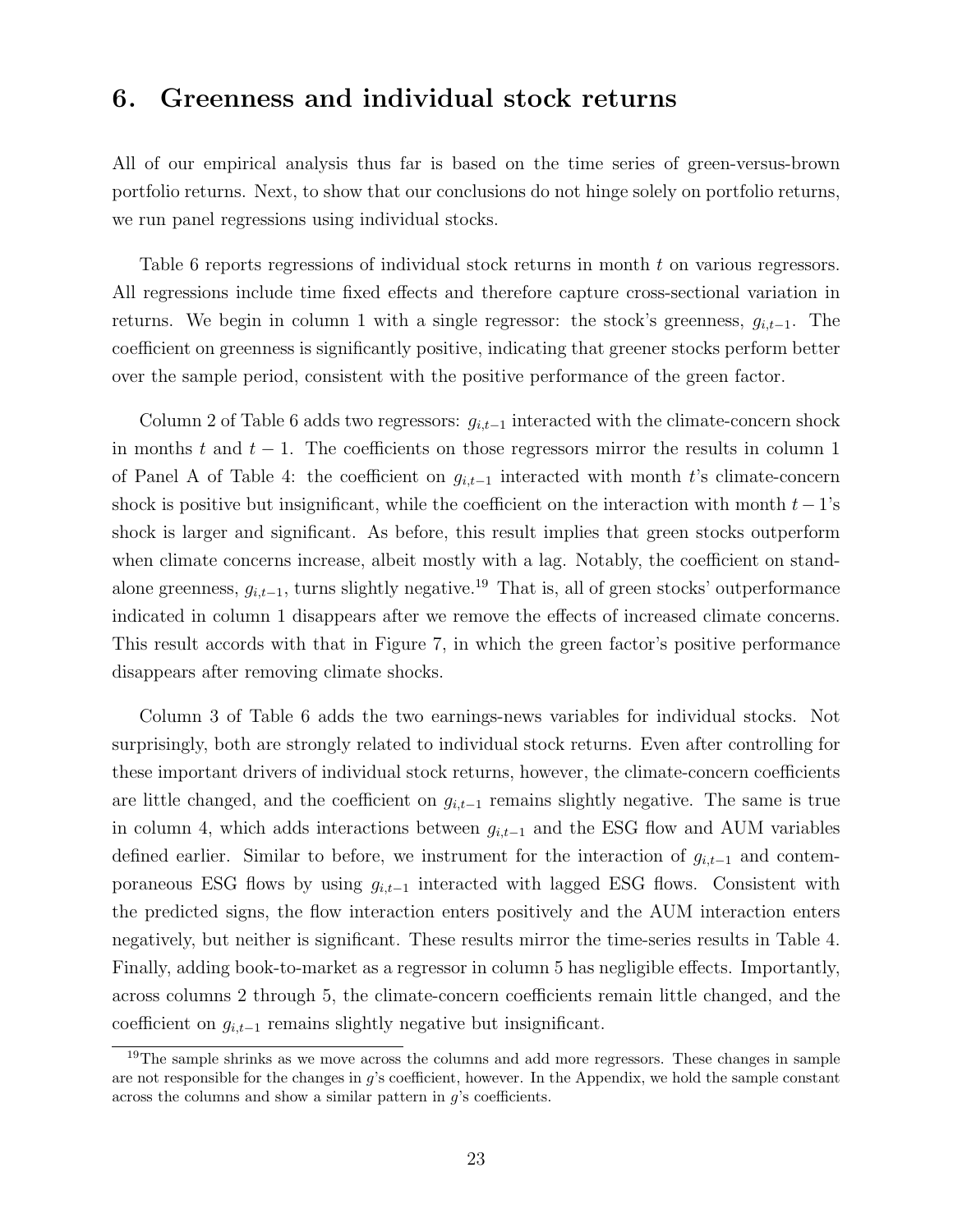# 6. Greenness and individual stock returns

All of our empirical analysis thus far is based on the time series of green-versus-brown portfolio returns. Next, to show that our conclusions do not hinge solely on portfolio returns, we run panel regressions using individual stocks.

Table 6 reports regressions of individual stock returns in month t on various regressors. All regressions include time fixed effects and therefore capture cross-sectional variation in returns. We begin in column 1 with a single regressor: the stock's greenness,  $g_{i,t-1}$ . The coefficient on greenness is significantly positive, indicating that greener stocks perform better over the sample period, consistent with the positive performance of the green factor.

Column 2 of Table 6 adds two regressors:  $g_{i,t-1}$  interacted with the climate-concern shock in months t and  $t - 1$ . The coefficients on those regressors mirror the results in column 1 of Panel A of Table 4: the coefficient on  $g_{i,t-1}$  interacted with month t's climate-concern shock is positive but insignificant, while the coefficient on the interaction with month  $t - 1$ 's shock is larger and significant. As before, this result implies that green stocks outperform when climate concerns increase, albeit mostly with a lag. Notably, the coefficient on standalone greenness,  $g_{i,t-1}$ , turns slightly negative.<sup>19</sup> That is, all of green stocks' outperformance indicated in column 1 disappears after we remove the effects of increased climate concerns. This result accords with that in Figure 7, in which the green factor's positive performance disappears after removing climate shocks.

Column 3 of Table 6 adds the two earnings-news variables for individual stocks. Not surprisingly, both are strongly related to individual stock returns. Even after controlling for these important drivers of individual stock returns, however, the climate-concern coefficients are little changed, and the coefficient on  $g_{i,t-1}$  remains slightly negative. The same is true in column 4, which adds interactions between  $g_{i,t-1}$  and the ESG flow and AUM variables defined earlier. Similar to before, we instrument for the interaction of  $g_{i,t-1}$  and contemporaneous ESG flows by using  $g_{i,t-1}$  interacted with lagged ESG flows. Consistent with the predicted signs, the flow interaction enters positively and the AUM interaction enters negatively, but neither is significant. These results mirror the time-series results in Table 4. Finally, adding book-to-market as a regressor in column 5 has negligible effects. Importantly, across columns 2 through 5, the climate-concern coefficients remain little changed, and the coefficient on  $g_{i,t-1}$  remains slightly negative but insignificant.

<sup>&</sup>lt;sup>19</sup>The sample shrinks as we move across the columns and add more regressors. These changes in sample are not responsible for the changes in g's coefficient, however. In the Appendix, we hold the sample constant across the columns and show a similar pattern in  $q$ 's coefficients.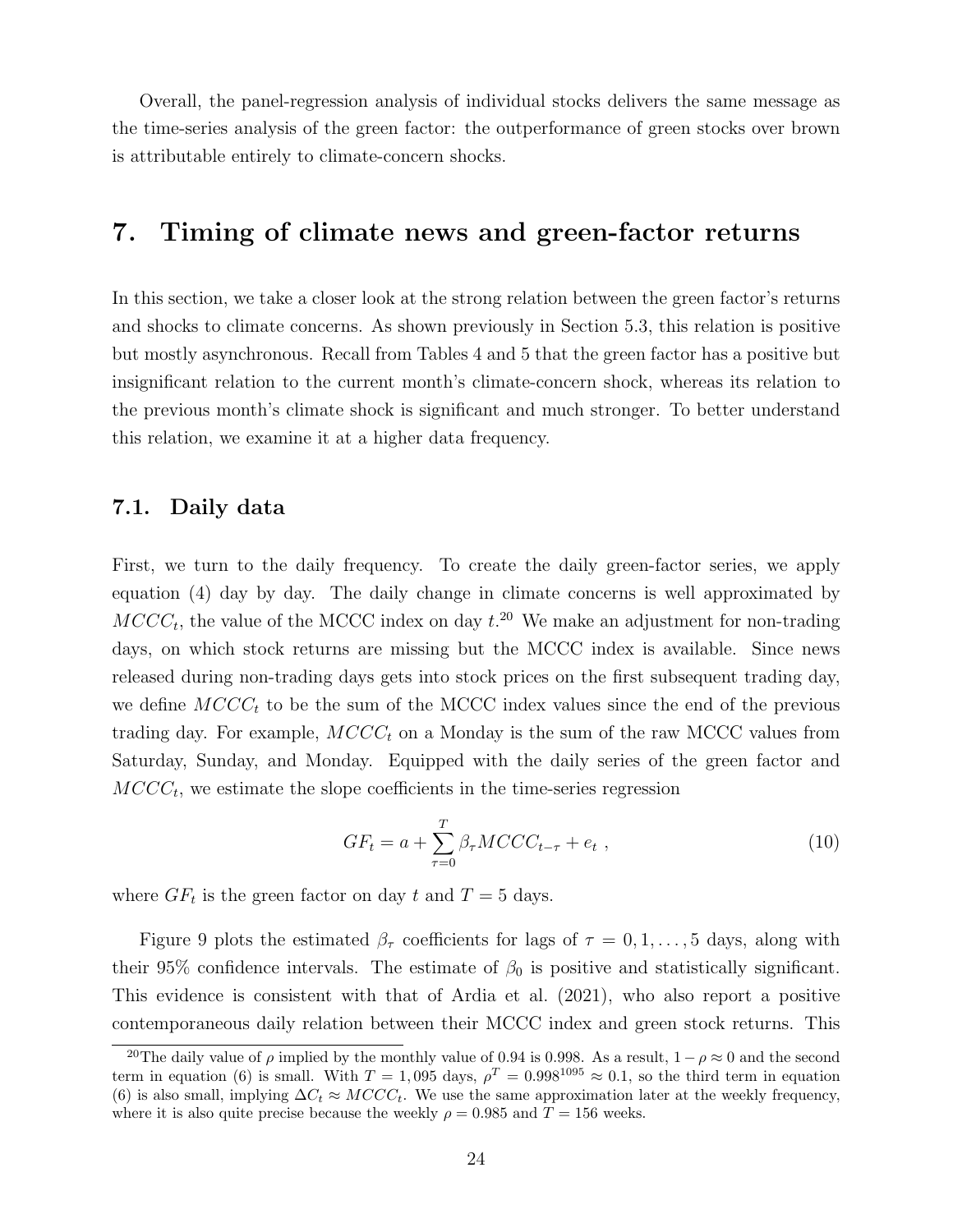Overall, the panel-regression analysis of individual stocks delivers the same message as the time-series analysis of the green factor: the outperformance of green stocks over brown is attributable entirely to climate-concern shocks.

# 7. Timing of climate news and green-factor returns

In this section, we take a closer look at the strong relation between the green factor's returns and shocks to climate concerns. As shown previously in Section 5.3, this relation is positive but mostly asynchronous. Recall from Tables 4 and 5 that the green factor has a positive but insignificant relation to the current month's climate-concern shock, whereas its relation to the previous month's climate shock is significant and much stronger. To better understand this relation, we examine it at a higher data frequency.

### 7.1. Daily data

First, we turn to the daily frequency. To create the daily green-factor series, we apply equation (4) day by day. The daily change in climate concerns is well approximated by  $MCCC_t$ , the value of the MCCC index on day  $t^{20}$  We make an adjustment for non-trading days, on which stock returns are missing but the MCCC index is available. Since news released during non-trading days gets into stock prices on the first subsequent trading day, we define  $MCCC_t$  to be the sum of the MCCC index values since the end of the previous trading day. For example,  $MCCC_t$  on a Monday is the sum of the raw MCCC values from Saturday, Sunday, and Monday. Equipped with the daily series of the green factor and  $MCCC_t$ , we estimate the slope coefficients in the time-series regression

$$
GF_t = a + \sum_{\tau=0}^{T} \beta_{\tau} MCCC_{t-\tau} + e_t , \qquad (10)
$$

where  $GF_t$  is the green factor on day t and  $T = 5$  days.

Figure 9 plots the estimated  $\beta_{\tau}$  coefficients for lags of  $\tau = 0, 1, \ldots, 5$  days, along with their 95% confidence intervals. The estimate of  $\beta_0$  is positive and statistically significant. This evidence is consistent with that of Ardia et al. (2021), who also report a positive contemporaneous daily relation between their MCCC index and green stock returns. This

<sup>&</sup>lt;sup>20</sup>The daily value of  $\rho$  implied by the monthly value of 0.94 is 0.998. As a result,  $1 - \rho \approx 0$  and the second term in equation (6) is small. With  $T = 1,095$  days,  $\rho^T = 0.998^{1095} \approx 0.1$ , so the third term in equation (6) is also small, implying  $\Delta C_t \approx MCCC_t$ . We use the same approximation later at the weekly frequency, where it is also quite precise because the weekly  $\rho = 0.985$  and  $T = 156$  weeks.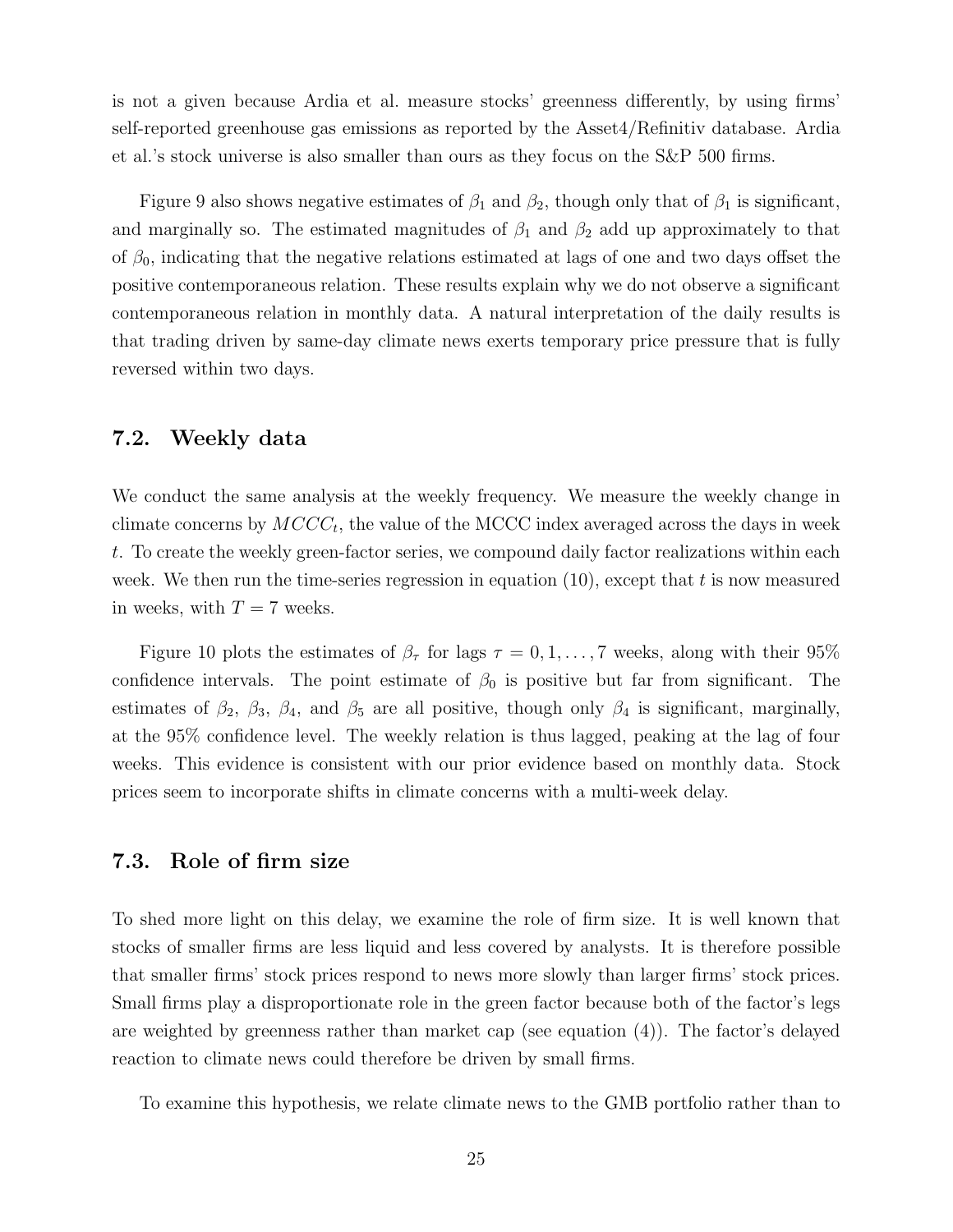is not a given because Ardia et al. measure stocks' greenness differently, by using firms' self-reported greenhouse gas emissions as reported by the Asset4/Refinitiv database. Ardia et al.'s stock universe is also smaller than ours as they focus on the S&P 500 firms.

Figure 9 also shows negative estimates of  $\beta_1$  and  $\beta_2$ , though only that of  $\beta_1$  is significant, and marginally so. The estimated magnitudes of  $\beta_1$  and  $\beta_2$  add up approximately to that of  $\beta_0$ , indicating that the negative relations estimated at lags of one and two days offset the positive contemporaneous relation. These results explain why we do not observe a significant contemporaneous relation in monthly data. A natural interpretation of the daily results is that trading driven by same-day climate news exerts temporary price pressure that is fully reversed within two days.

### 7.2. Weekly data

We conduct the same analysis at the weekly frequency. We measure the weekly change in climate concerns by  $MCCC_t$ , the value of the MCCC index averaged across the days in week t. To create the weekly green-factor series, we compound daily factor realizations within each week. We then run the time-series regression in equation  $(10)$ , except that t is now measured in weeks, with  $T = 7$  weeks.

Figure 10 plots the estimates of  $\beta_{\tau}$  for lags  $\tau = 0, 1, \ldots, 7$  weeks, along with their 95% confidence intervals. The point estimate of  $\beta_0$  is positive but far from significant. The estimates of  $\beta_2$ ,  $\beta_3$ ,  $\beta_4$ , and  $\beta_5$  are all positive, though only  $\beta_4$  is significant, marginally, at the 95% confidence level. The weekly relation is thus lagged, peaking at the lag of four weeks. This evidence is consistent with our prior evidence based on monthly data. Stock prices seem to incorporate shifts in climate concerns with a multi-week delay.

## 7.3. Role of firm size

To shed more light on this delay, we examine the role of firm size. It is well known that stocks of smaller firms are less liquid and less covered by analysts. It is therefore possible that smaller firms' stock prices respond to news more slowly than larger firms' stock prices. Small firms play a disproportionate role in the green factor because both of the factor's legs are weighted by greenness rather than market cap (see equation (4)). The factor's delayed reaction to climate news could therefore be driven by small firms.

To examine this hypothesis, we relate climate news to the GMB portfolio rather than to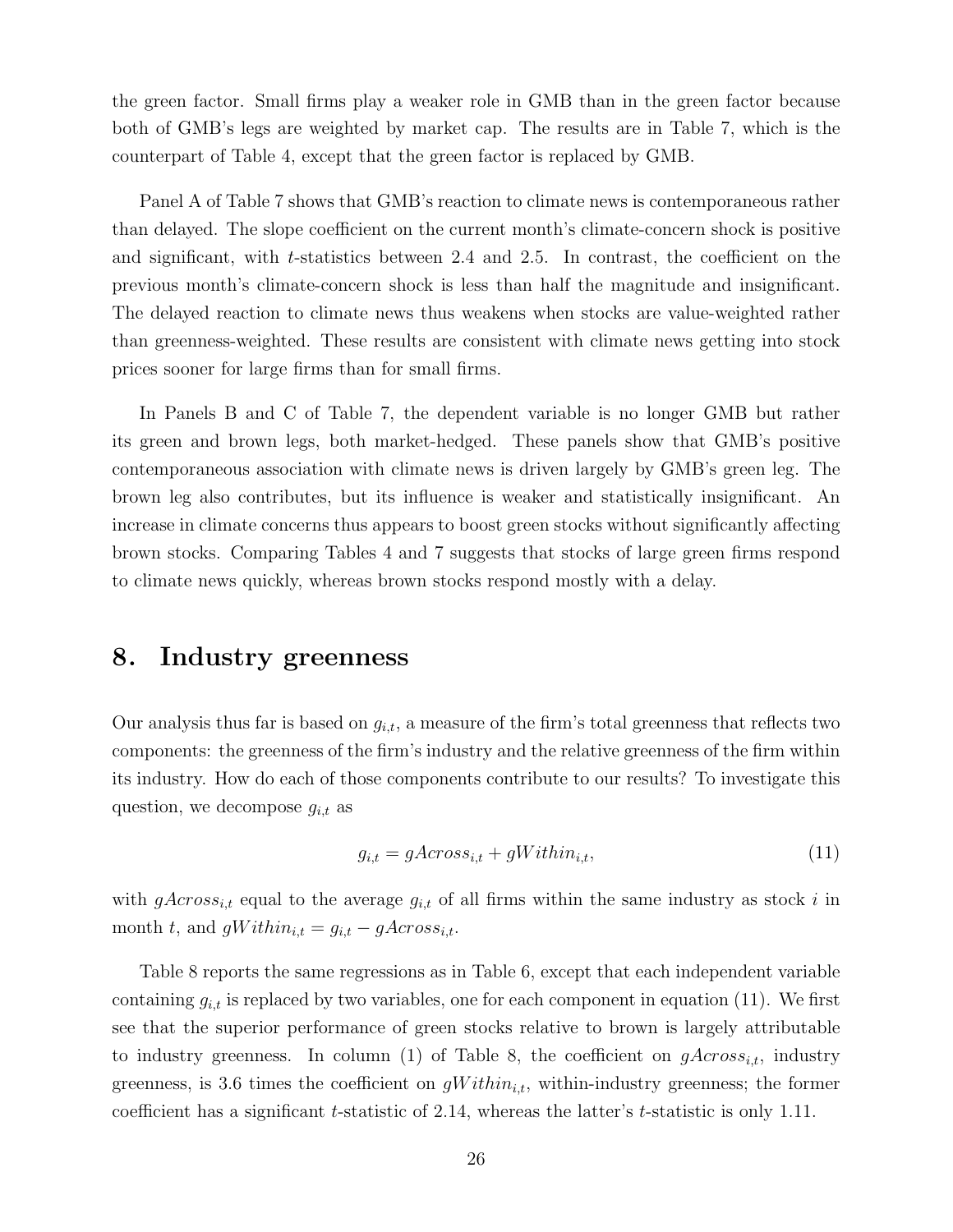the green factor. Small firms play a weaker role in GMB than in the green factor because both of GMB's legs are weighted by market cap. The results are in Table 7, which is the counterpart of Table 4, except that the green factor is replaced by GMB.

Panel A of Table 7 shows that GMB's reaction to climate news is contemporaneous rather than delayed. The slope coefficient on the current month's climate-concern shock is positive and significant, with t-statistics between 2.4 and 2.5. In contrast, the coefficient on the previous month's climate-concern shock is less than half the magnitude and insignificant. The delayed reaction to climate news thus weakens when stocks are value-weighted rather than greenness-weighted. These results are consistent with climate news getting into stock prices sooner for large firms than for small firms.

In Panels B and C of Table 7, the dependent variable is no longer GMB but rather its green and brown legs, both market-hedged. These panels show that GMB's positive contemporaneous association with climate news is driven largely by GMB's green leg. The brown leg also contributes, but its influence is weaker and statistically insignificant. An increase in climate concerns thus appears to boost green stocks without significantly affecting brown stocks. Comparing Tables 4 and 7 suggests that stocks of large green firms respond to climate news quickly, whereas brown stocks respond mostly with a delay.

## 8. Industry greenness

Our analysis thus far is based on  $g_{i,t}$ , a measure of the firm's total greenness that reflects two components: the greenness of the firm's industry and the relative greenness of the firm within its industry. How do each of those components contribute to our results? To investigate this question, we decompose  $g_{i,t}$  as

$$
g_{i,t} = gAcross_{i,t} + gWithin_{i,t},\tag{11}
$$

with  $gAcross_{i,t}$  equal to the average  $g_{i,t}$  of all firms within the same industry as stock i in month t, and  $gWithin_{i,t} = g_{i,t} - gAcross_{i,t}$ .

Table 8 reports the same regressions as in Table 6, except that each independent variable containing  $g_{i,t}$  is replaced by two variables, one for each component in equation (11). We first see that the superior performance of green stocks relative to brown is largely attributable to industry greenness. In column (1) of Table 8, the coefficient on  $gAcross_{i,t}$ , industry greenness, is 3.6 times the coefficient on  $gWithin_{i,t}$ , within-industry greenness; the former coefficient has a significant t-statistic of 2.14, whereas the latter's t-statistic is only 1.11.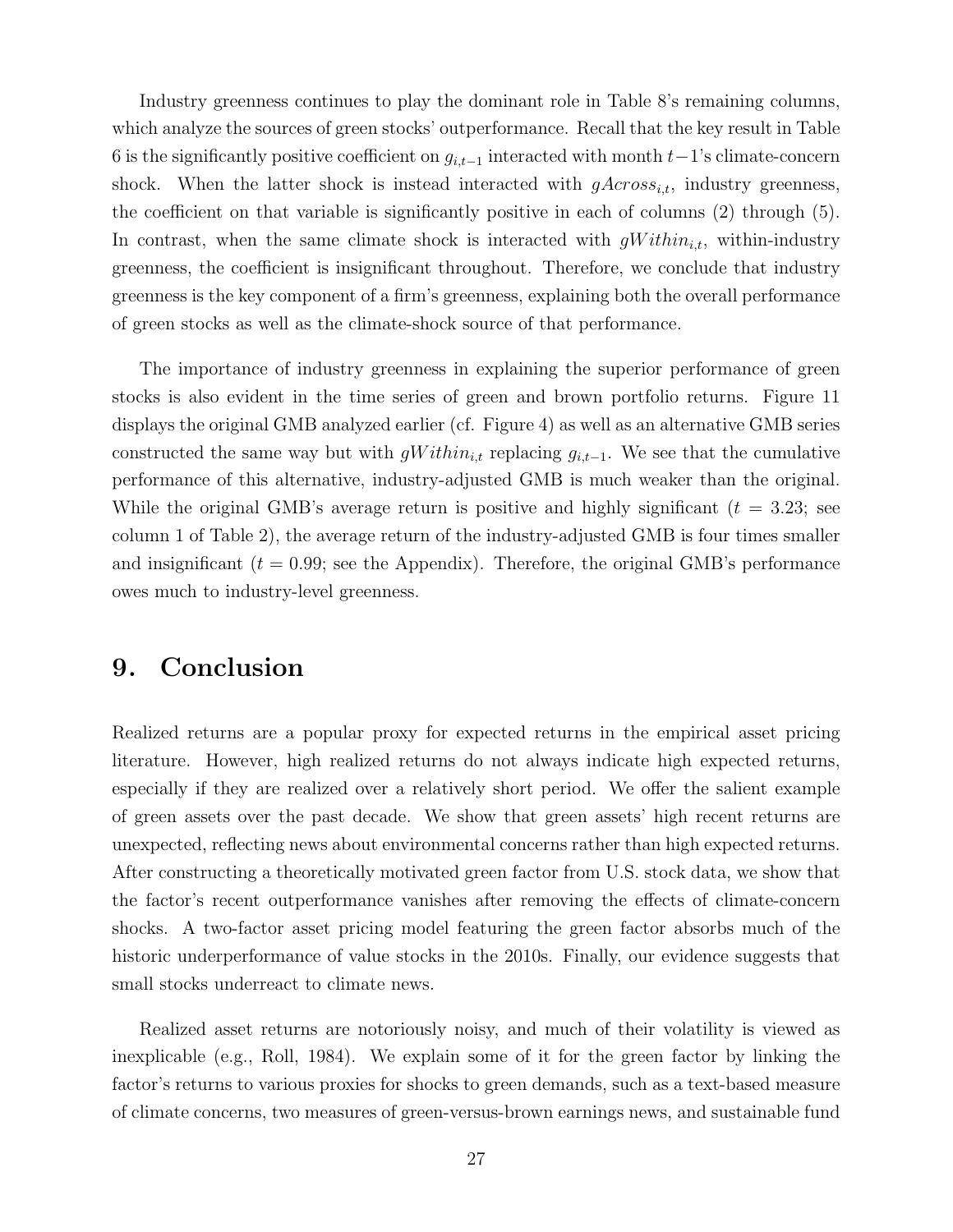Industry greenness continues to play the dominant role in Table 8's remaining columns, which analyze the sources of green stocks' outperformance. Recall that the key result in Table 6 is the significantly positive coefficient on  $g_{i,t-1}$  interacted with month  $t-1$ 's climate-concern shock. When the latter shock is instead interacted with  $gAcross_{i,t}$ , industry greenness, the coefficient on that variable is significantly positive in each of columns (2) through (5). In contrast, when the same climate shock is interacted with  $qWithin_{i,t}$ , within-industry greenness, the coefficient is insignificant throughout. Therefore, we conclude that industry greenness is the key component of a firm's greenness, explaining both the overall performance of green stocks as well as the climate-shock source of that performance.

The importance of industry greenness in explaining the superior performance of green stocks is also evident in the time series of green and brown portfolio returns. Figure 11 displays the original GMB analyzed earlier (cf. Figure 4) as well as an alternative GMB series constructed the same way but with  $gWithin_{i,t}$  replacing  $g_{i,t-1}$ . We see that the cumulative performance of this alternative, industry-adjusted GMB is much weaker than the original. While the original GMB's average return is positive and highly significant  $(t = 3.23;$  see column 1 of Table 2), the average return of the industry-adjusted GMB is four times smaller and insignificant  $(t = 0.99)$ ; see the Appendix). Therefore, the original GMB's performance owes much to industry-level greenness.

# 9. Conclusion

Realized returns are a popular proxy for expected returns in the empirical asset pricing literature. However, high realized returns do not always indicate high expected returns, especially if they are realized over a relatively short period. We offer the salient example of green assets over the past decade. We show that green assets' high recent returns are unexpected, reflecting news about environmental concerns rather than high expected returns. After constructing a theoretically motivated green factor from U.S. stock data, we show that the factor's recent outperformance vanishes after removing the effects of climate-concern shocks. A two-factor asset pricing model featuring the green factor absorbs much of the historic underperformance of value stocks in the 2010s. Finally, our evidence suggests that small stocks underreact to climate news.

Realized asset returns are notoriously noisy, and much of their volatility is viewed as inexplicable (e.g., Roll, 1984). We explain some of it for the green factor by linking the factor's returns to various proxies for shocks to green demands, such as a text-based measure of climate concerns, two measures of green-versus-brown earnings news, and sustainable fund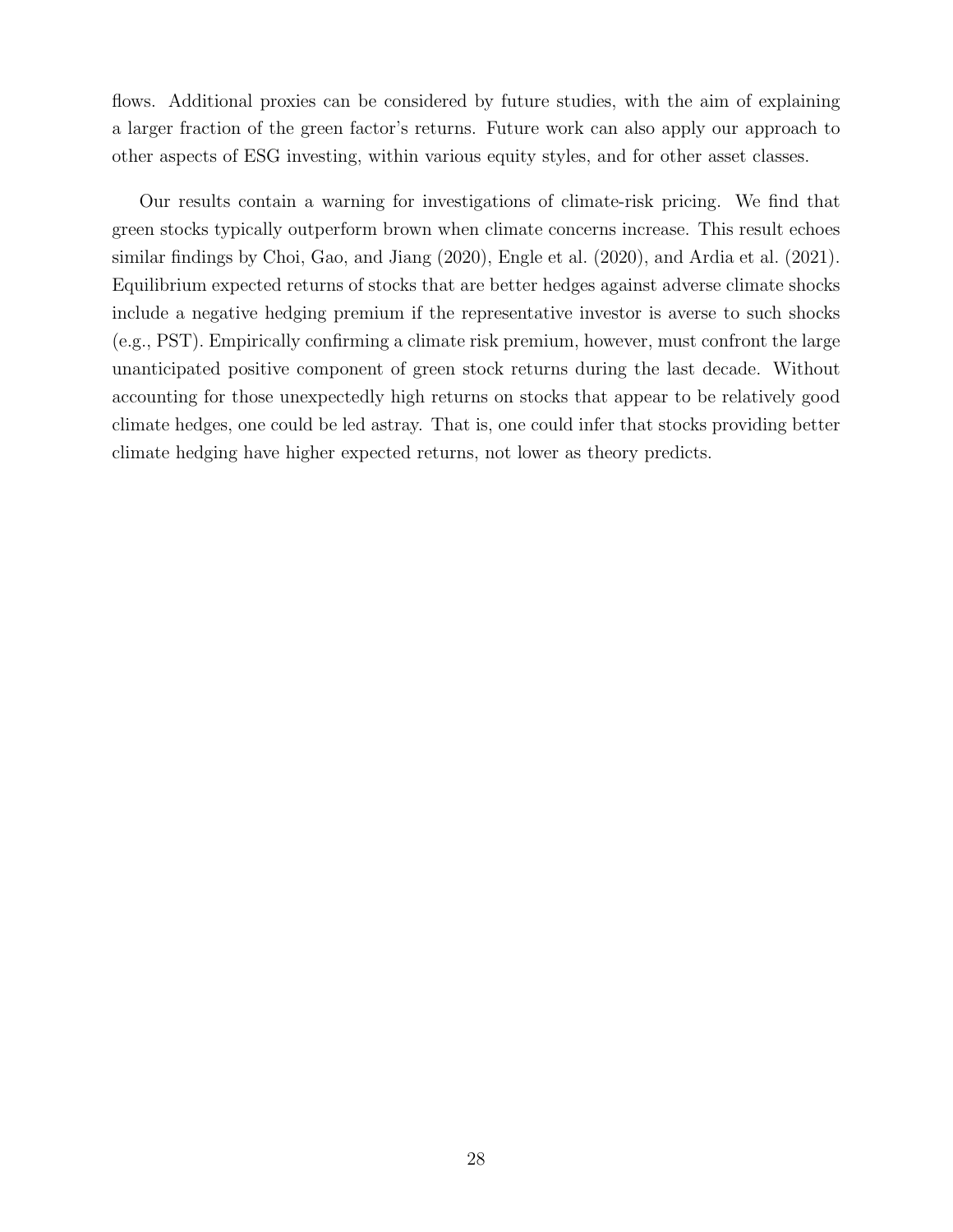flows. Additional proxies can be considered by future studies, with the aim of explaining a larger fraction of the green factor's returns. Future work can also apply our approach to other aspects of ESG investing, within various equity styles, and for other asset classes.

Our results contain a warning for investigations of climate-risk pricing. We find that green stocks typically outperform brown when climate concerns increase. This result echoes similar findings by Choi, Gao, and Jiang (2020), Engle et al. (2020), and Ardia et al. (2021). Equilibrium expected returns of stocks that are better hedges against adverse climate shocks include a negative hedging premium if the representative investor is averse to such shocks (e.g., PST). Empirically confirming a climate risk premium, however, must confront the large unanticipated positive component of green stock returns during the last decade. Without accounting for those unexpectedly high returns on stocks that appear to be relatively good climate hedges, one could be led astray. That is, one could infer that stocks providing better climate hedging have higher expected returns, not lower as theory predicts.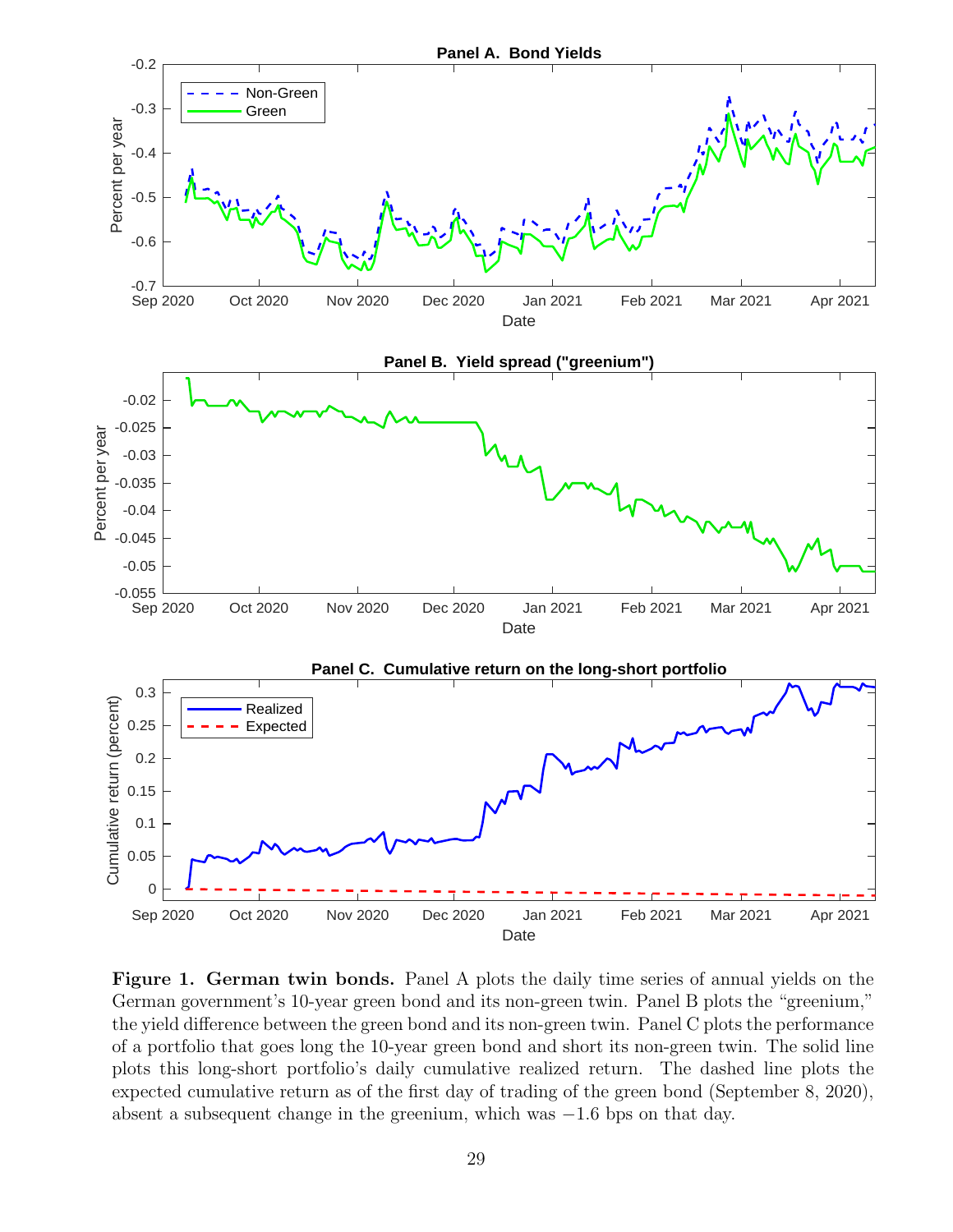

Figure 1. German twin bonds. Panel A plots the daily time series of annual yields on the German government's 10-year green bond and its non-green twin. Panel B plots the "greenium," the yield difference between the green bond and its non-green twin. Panel C plots the performance of a portfolio that goes long the 10-year green bond and short its non-green twin. The solid line plots this long-short portfolio's daily cumulative realized return. The dashed line plots the expected cumulative return as of the first day of trading of the green bond (September 8, 2020), absent a subsequent change in the greenium, which was −1.6 bps on that day.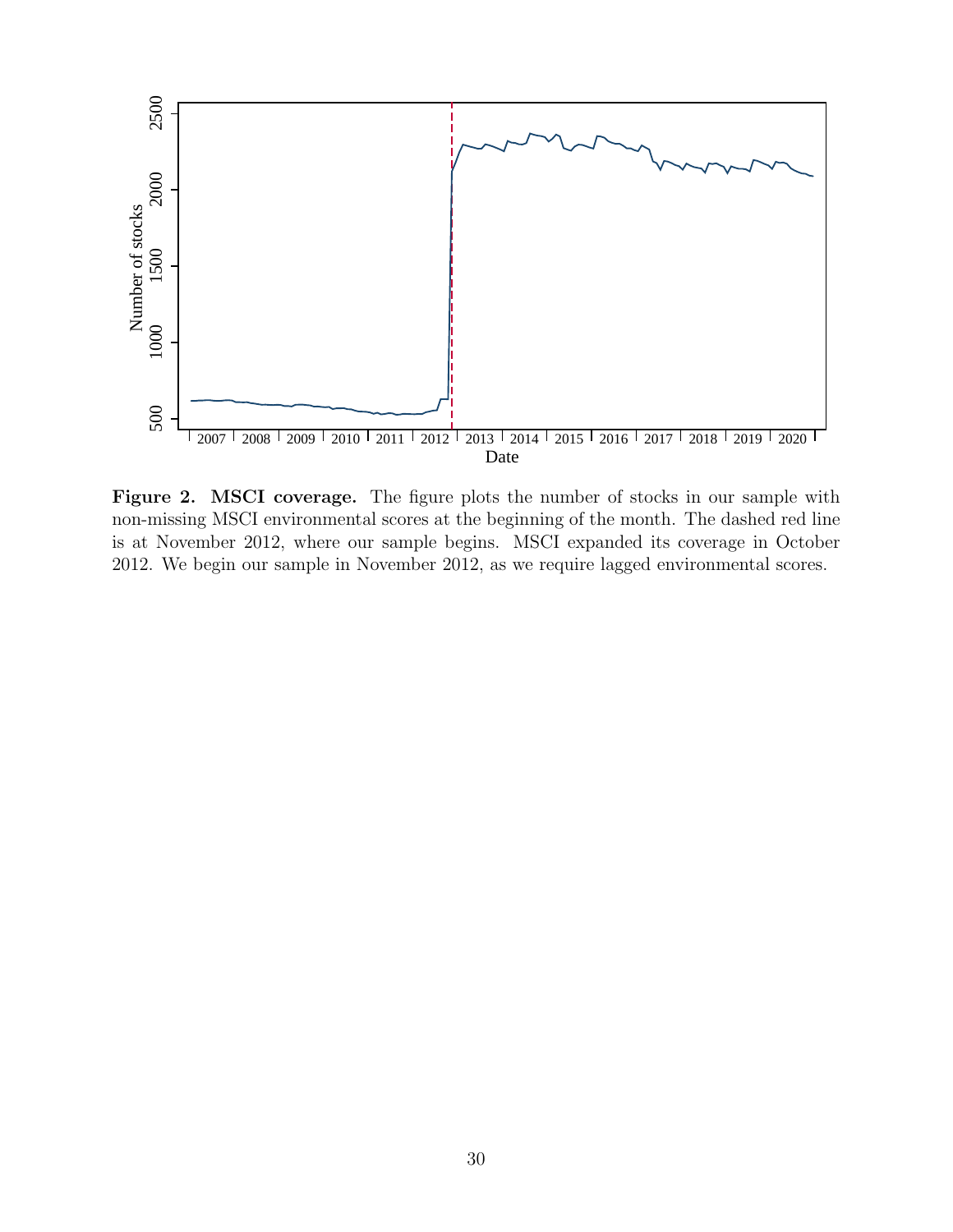

Figure 2. MSCI coverage. The figure plots the number of stocks in our sample with non-missing MSCI environmental scores at the beginning of the month. The dashed red line is at November 2012, where our sample begins. MSCI expanded its coverage in October 2012. We begin our sample in November 2012, as we require lagged environmental scores.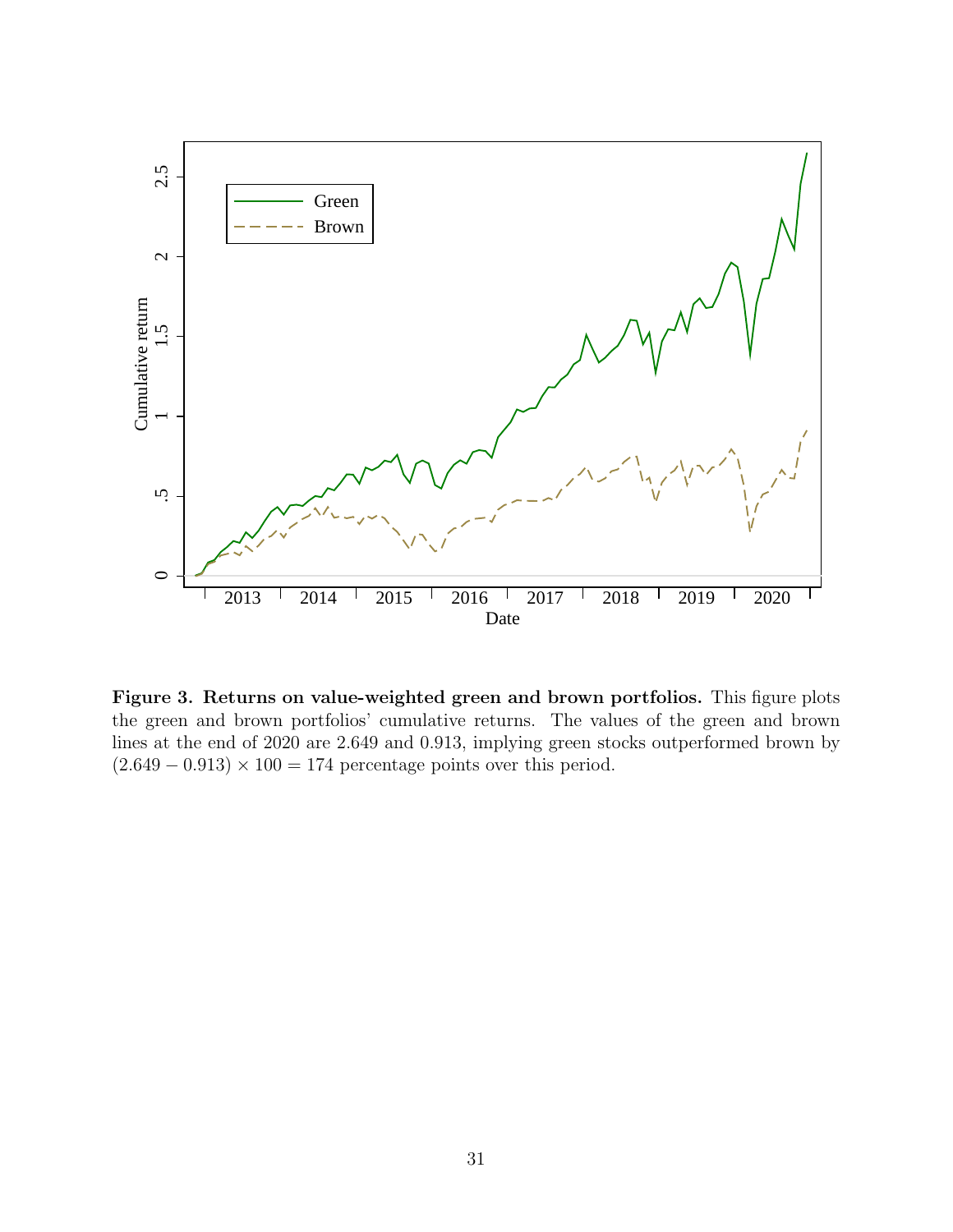

Figure 3. Returns on value-weighted green and brown portfolios. This figure plots the green and brown portfolios' cumulative returns. The values of the green and brown lines at the end of 2020 are 2.649 and 0.913, implying green stocks outperformed brown by  $(2.649 - 0.913) \times 100 = 174$  percentage points over this period.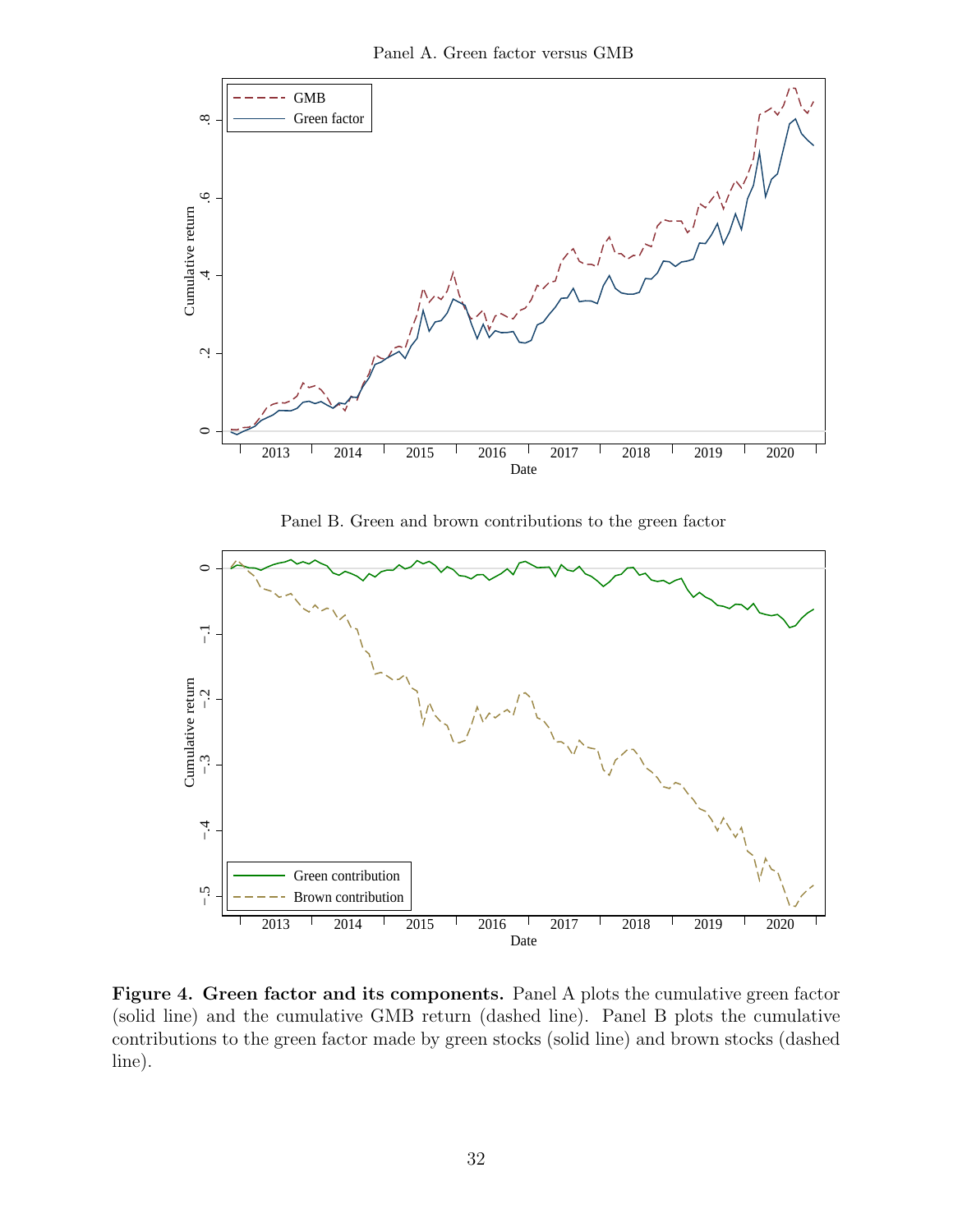Panel A. Green factor versus GMB



Panel B. Green and brown contributions to the green factor



Figure 4. Green factor and its components. Panel A plots the cumulative green factor (solid line) and the cumulative GMB return (dashed line). Panel B plots the cumulative contributions to the green factor made by green stocks (solid line) and brown stocks (dashed line).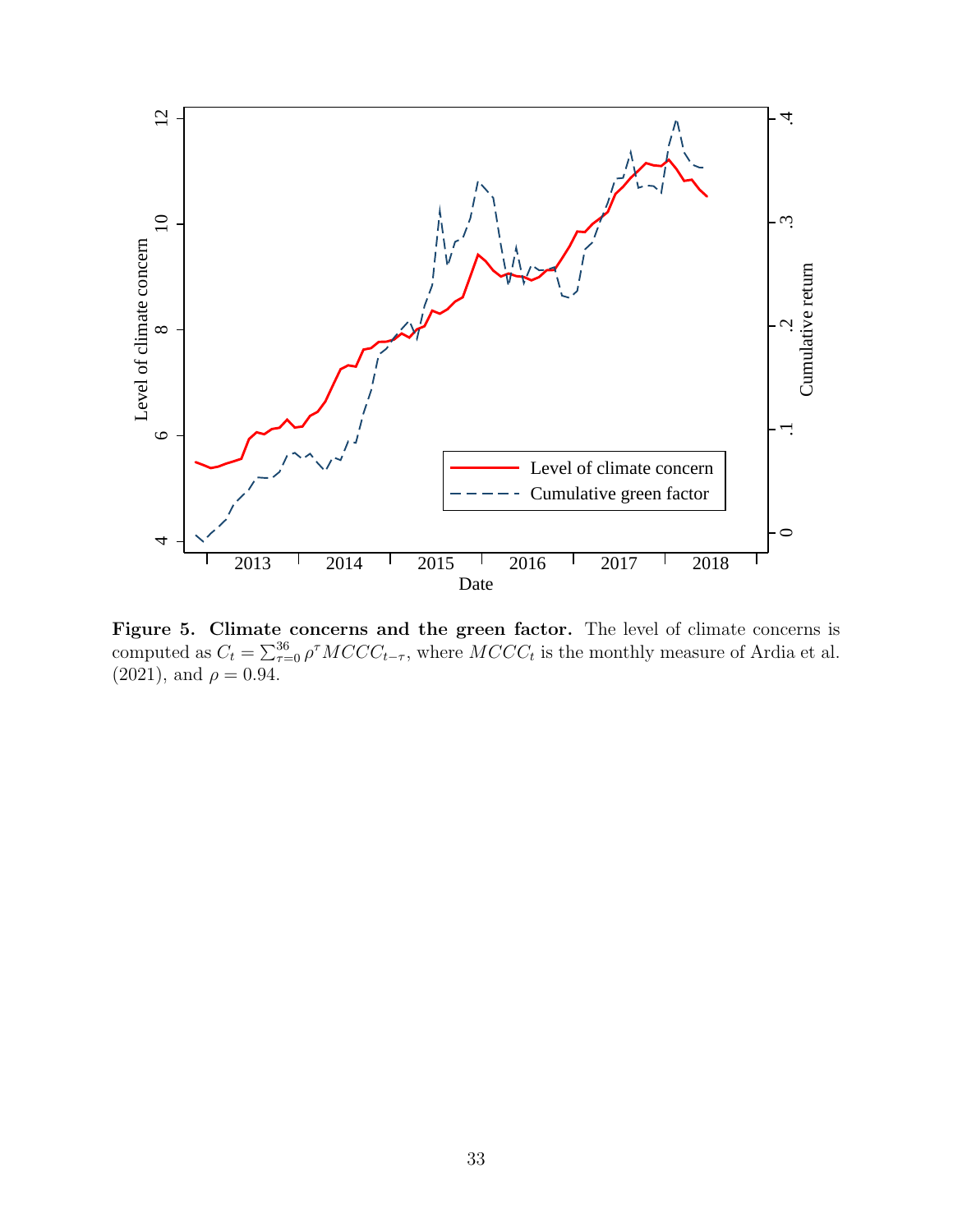

Figure 5. Climate concerns and the green factor. The level of climate concerns is computed as  $C_t = \sum_{\tau=0}^{36} \rho^{\tau} MCCC_{t-\tau}$ , where  $MCCC_t$  is the monthly measure of Ardia et al.  $(2021)$ , and  $\rho = 0.94$ .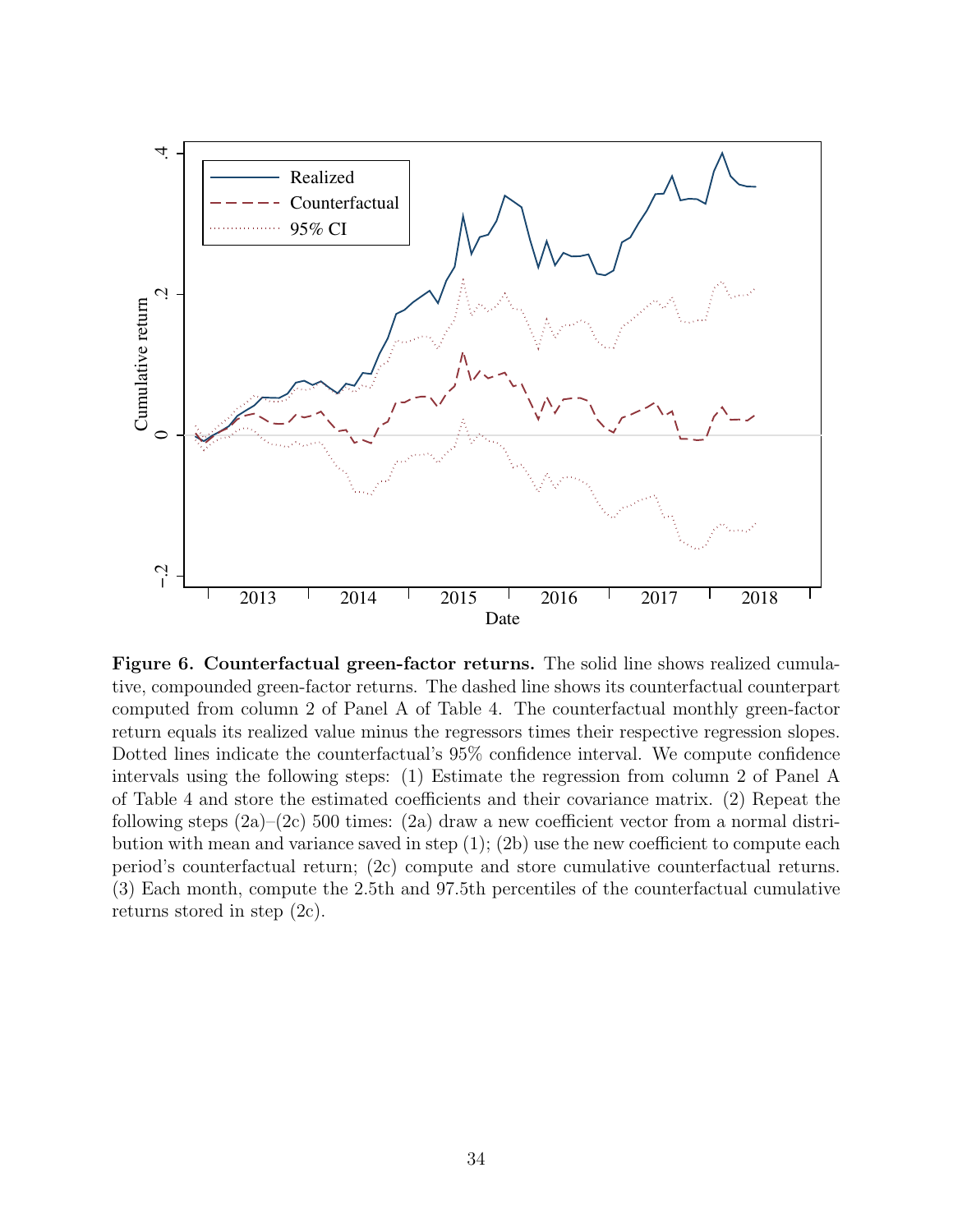

Figure 6. Counterfactual green-factor returns. The solid line shows realized cumulative, compounded green-factor returns. The dashed line shows its counterfactual counterpart computed from column 2 of Panel A of Table 4. The counterfactual monthly green-factor return equals its realized value minus the regressors times their respective regression slopes. Dotted lines indicate the counterfactual's 95% confidence interval. We compute confidence intervals using the following steps: (1) Estimate the regression from column 2 of Panel A of Table 4 and store the estimated coefficients and their covariance matrix. (2) Repeat the following steps  $(2a)-(2c)$  500 times:  $(2a)$  draw a new coefficient vector from a normal distribution with mean and variance saved in step  $(1)$ ;  $(2b)$  use the new coefficient to compute each period's counterfactual return; (2c) compute and store cumulative counterfactual returns. (3) Each month, compute the 2.5th and 97.5th percentiles of the counterfactual cumulative returns stored in step (2c).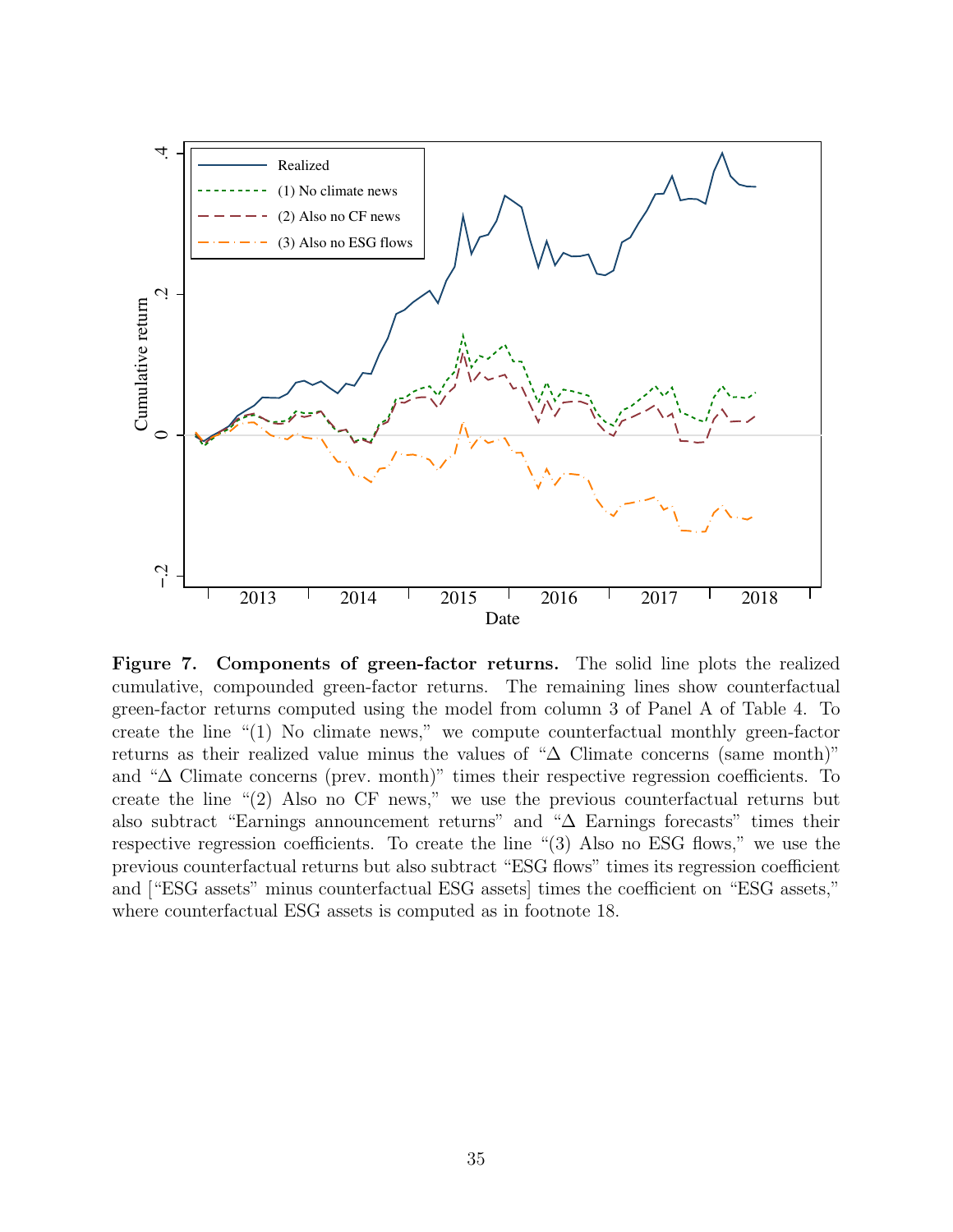

Figure 7. Components of green-factor returns. The solid line plots the realized cumulative, compounded green-factor returns. The remaining lines show counterfactual green-factor returns computed using the model from column 3 of Panel A of Table 4. To create the line "(1) No climate news," we compute counterfactual monthly green-factor returns as their realized value minus the values of "∆ Climate concerns (same month)" and "∆ Climate concerns (prev. month)" times their respective regression coefficients. To create the line "(2) Also no CF news," we use the previous counterfactual returns but also subtract "Earnings announcement returns" and "∆ Earnings forecasts" times their respective regression coefficients. To create the line "(3) Also no ESG flows," we use the previous counterfactual returns but also subtract "ESG flows" times its regression coefficient and ["ESG assets" minus counterfactual ESG assets] times the coefficient on "ESG assets," where counterfactual ESG assets is computed as in footnote 18.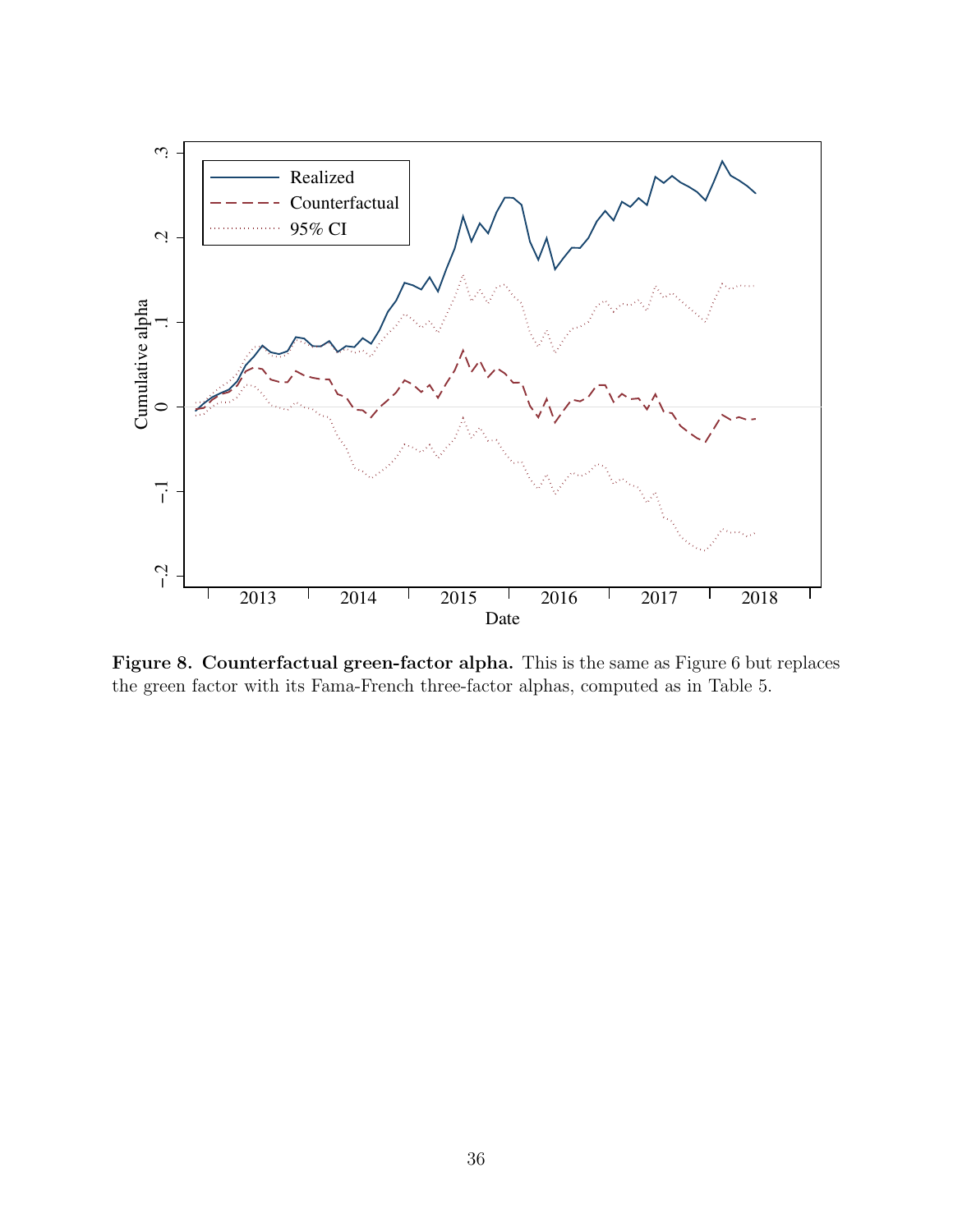

Figure 8. Counterfactual green-factor alpha. This is the same as Figure 6 but replaces the green factor with its Fama-French three-factor alphas, computed as in Table 5.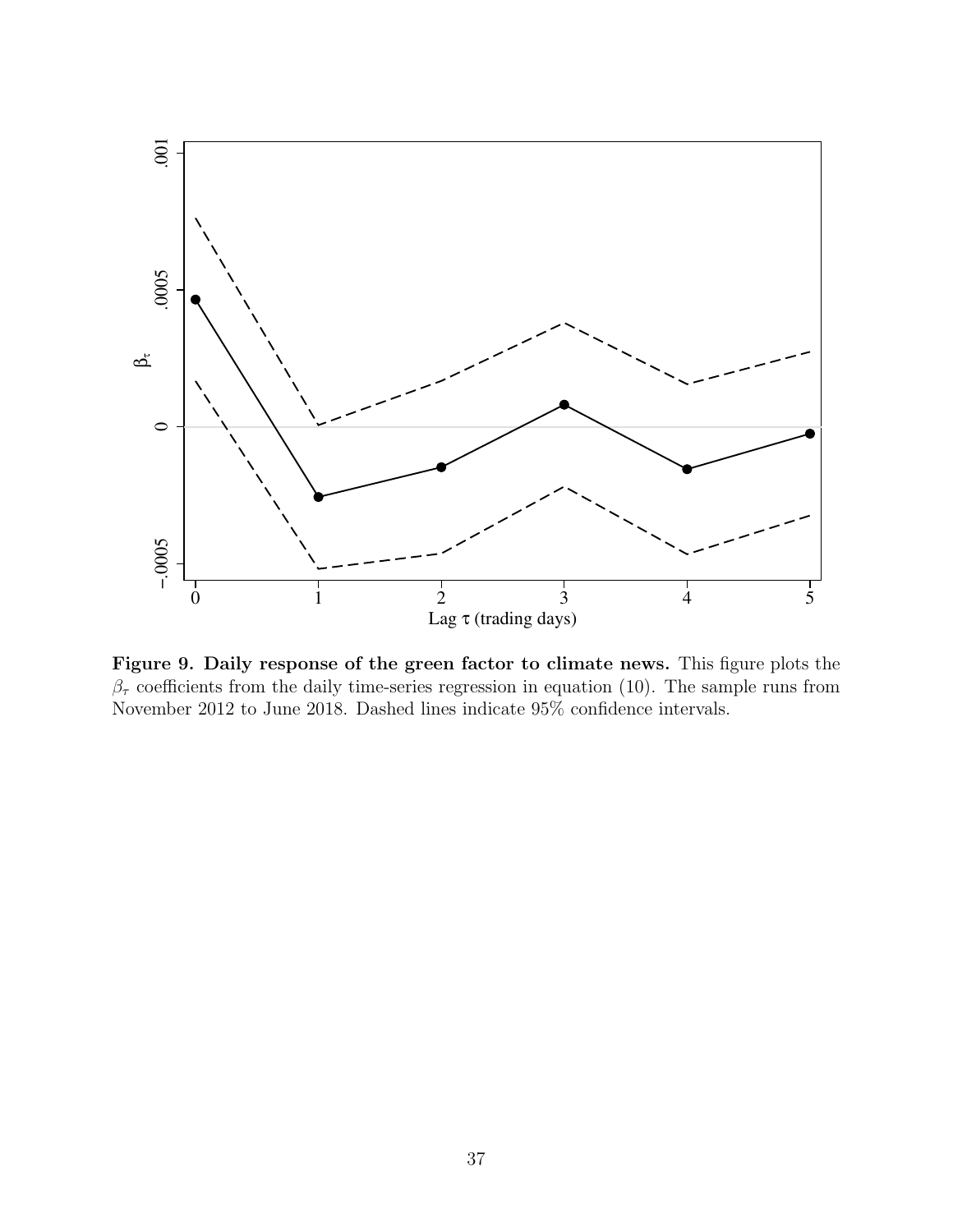

Figure 9. Daily response of the green factor to climate news. This figure plots the  $\beta_{\tau}$  coefficients from the daily time-series regression in equation (10). The sample runs from November 2012 to June 2018. Dashed lines indicate 95% confidence intervals.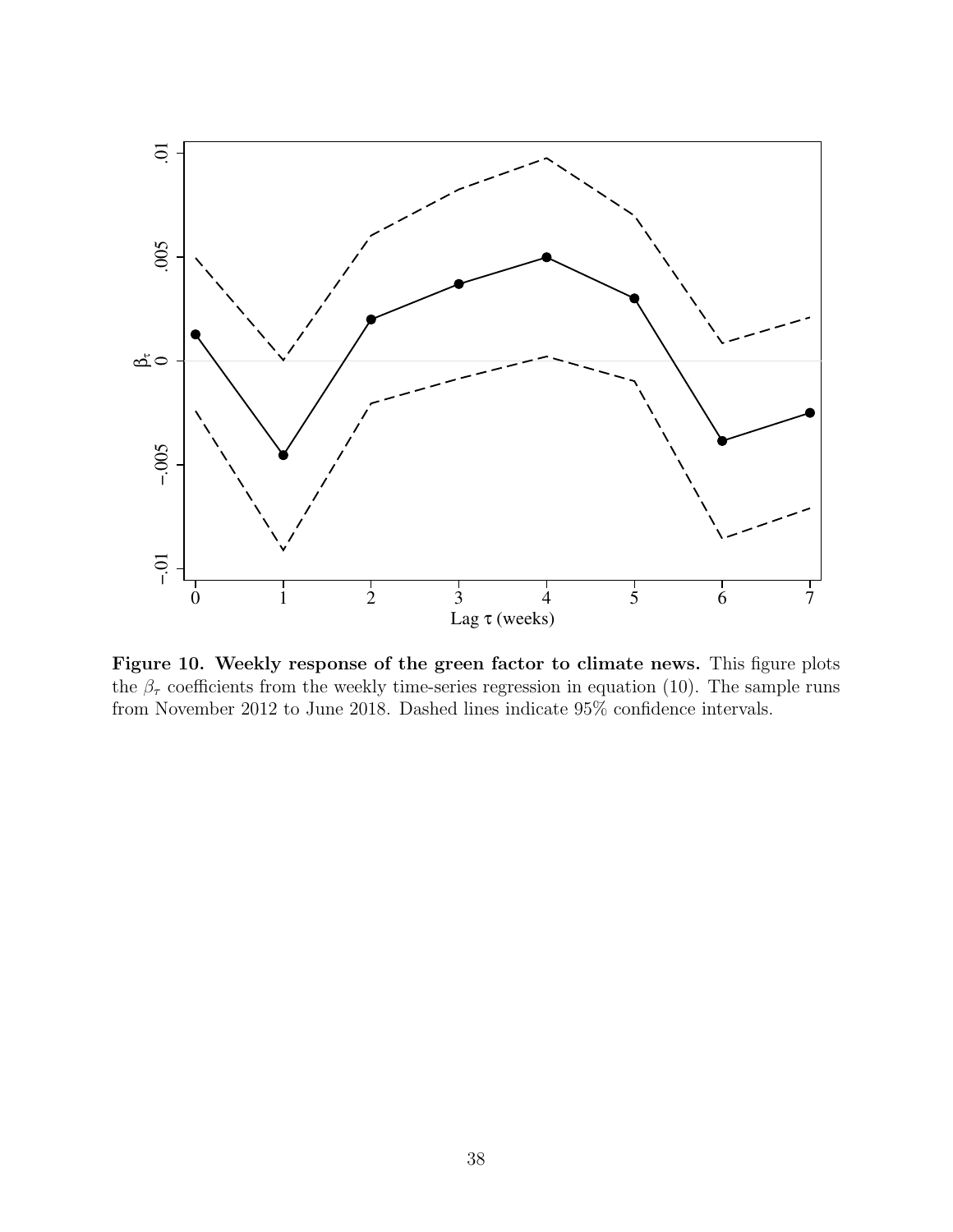

Figure 10. Weekly response of the green factor to climate news. This figure plots the  $\beta_{\tau}$  coefficients from the weekly time-series regression in equation (10). The sample runs from November 2012 to June 2018. Dashed lines indicate 95% confidence intervals.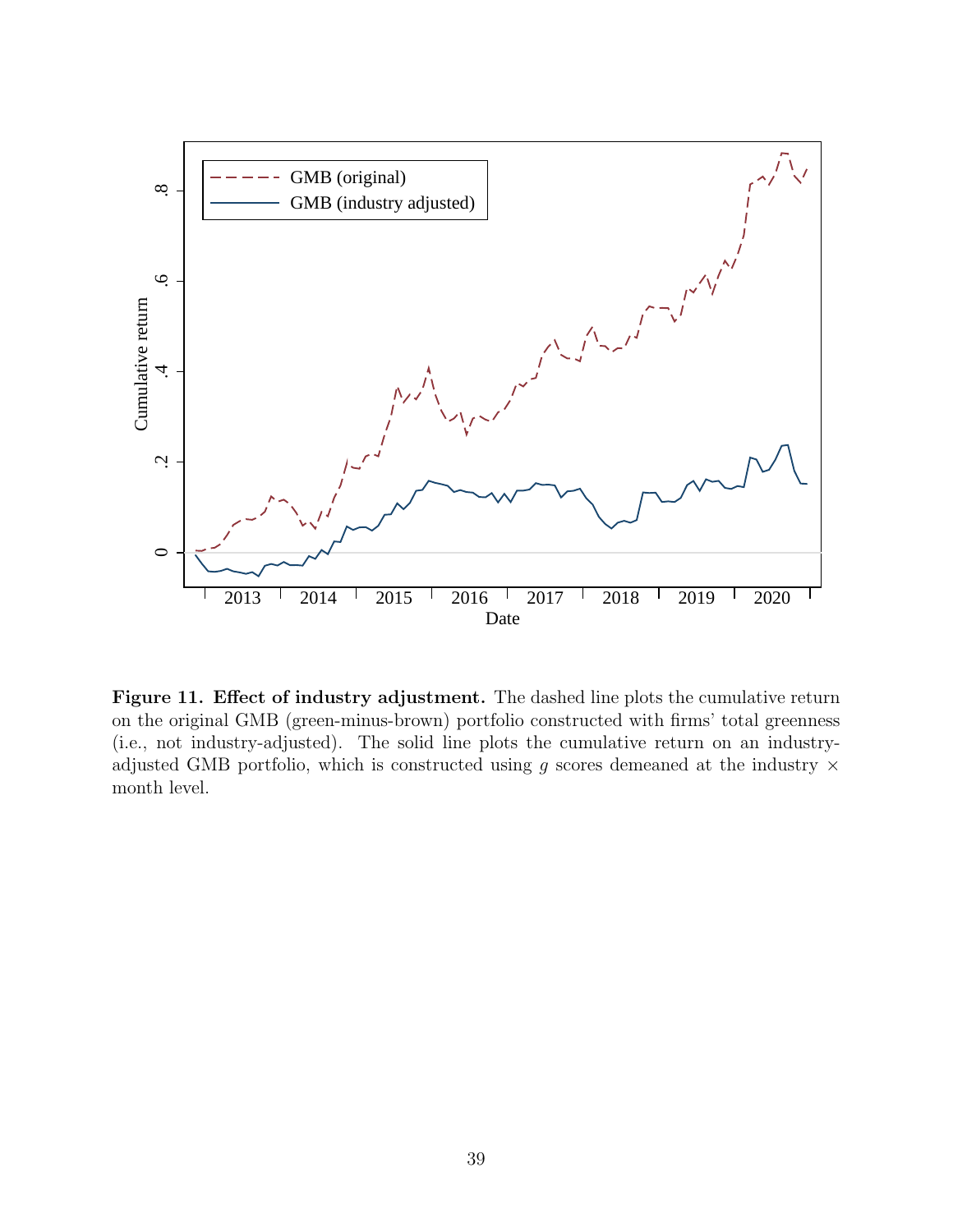

Figure 11. Effect of industry adjustment. The dashed line plots the cumulative return on the original GMB (green-minus-brown) portfolio constructed with firms' total greenness (i.e., not industry-adjusted). The solid line plots the cumulative return on an industryadjusted GMB portfolio, which is constructed using g scores demeaned at the industry  $\times$ month level.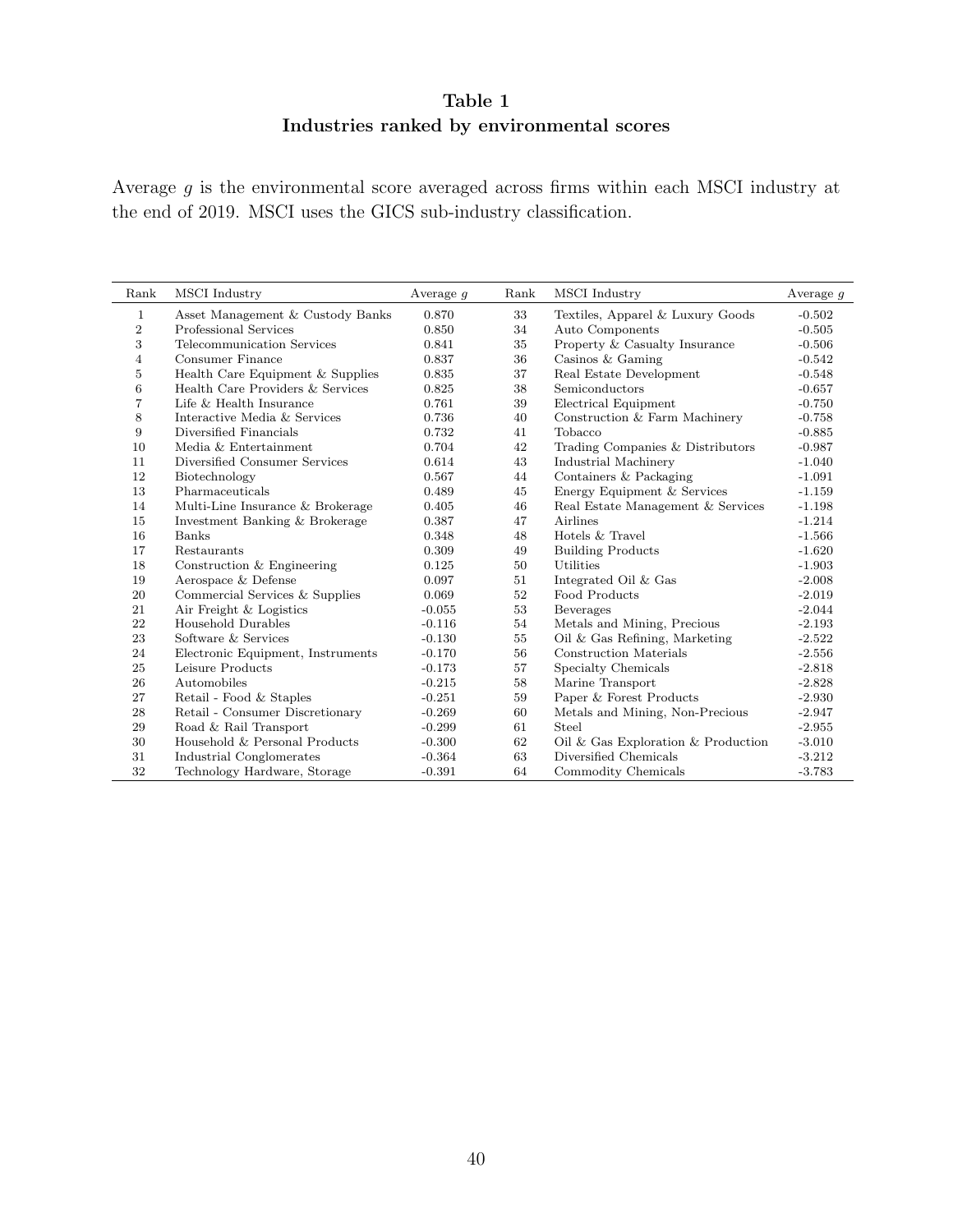## Table 1 Industries ranked by environmental scores

Average  $g$  is the environmental score averaged across firms within each MSCI industry at the end of 2019. MSCI uses the GICS sub-industry classification.

| Rank           | MSCI Industry                     | Average $q$ | Rank | MSCI Industry                      | Average $q$ |
|----------------|-----------------------------------|-------------|------|------------------------------------|-------------|
| 1              | Asset Management & Custody Banks  | 0.870       | 33   | Textiles, Apparel & Luxury Goods   | $-0.502$    |
| $\overline{2}$ | Professional Services             | 0.850       | 34   | Auto Components                    | $-0.505$    |
| 3              | Telecommunication Services        | 0.841       | 35   | Property & Casualty Insurance      | $-0.506$    |
| $\overline{4}$ | Consumer Finance                  | 0.837       | 36   | Casinos $&$ Gaming                 | $-0.542$    |
| 5              | Health Care Equipment & Supplies  | 0.835       | 37   | Real Estate Development            | $-0.548$    |
| 6              | Health Care Providers & Services  | 0.825       | 38   | Semiconductors                     | $-0.657$    |
| 7              | Life & Health Insurance           | 0.761       | 39   | Electrical Equipment               | $-0.750$    |
| 8              | Interactive Media & Services      | 0.736       | 40   | Construction & Farm Machinery      | $-0.758$    |
| 9              | Diversified Financials            | 0.732       | 41   | Tobacco                            | $-0.885$    |
| 10             | Media & Entertainment             | 0.704       | 42   | Trading Companies & Distributors   | $-0.987$    |
| 11             | Diversified Consumer Services     | 0.614       | 43   | Industrial Machinery               | $-1.040$    |
| 12             | Biotechnology                     | 0.567       | 44   | Containers & Packaging             | $-1.091$    |
| 13             | Pharmaceuticals                   | 0.489       | 45   | Energy Equipment & Services        | $-1.159$    |
| 14             | Multi-Line Insurance & Brokerage  | 0.405       | 46   | Real Estate Management & Services  | $-1.198$    |
| 15             | Investment Banking & Brokerage    | 0.387       | 47   | Airlines                           | $-1.214$    |
| 16             | Banks                             | 0.348       | 48   | Hotels & Travel                    | $-1.566$    |
| 17             | Restaurants                       | 0.309       | 49   | <b>Building Products</b>           | $-1.620$    |
| 18             | Construction $&$ Engineering      | 0.125       | 50   | Utilities                          | $-1.903$    |
| 19             | Aerospace & Defense               | 0.097       | 51   | Integrated Oil & Gas               | $-2.008$    |
| 20             | Commercial Services & Supplies    | 0.069       | 52   | Food Products                      | $-2.019$    |
| 21             | Air Freight & Logistics           | $-0.055$    | 53   | <b>Beverages</b>                   | $-2.044$    |
| 22             | Household Durables                | $-0.116$    | 54   | Metals and Mining, Precious        | $-2.193$    |
| 23             | Software & Services               | $-0.130$    | 55   | Oil $\&$ Gas Refining, Marketing   | $-2.522$    |
| 24             | Electronic Equipment, Instruments | $-0.170$    | 56   | Construction Materials             | $-2.556$    |
| 25             | Leisure Products                  | $-0.173$    | 57   | Specialty Chemicals                | $-2.818$    |
| 26             | Automobiles                       | $-0.215$    | 58   | Marine Transport                   | $-2.828$    |
| 27             | Retail - Food & Staples           | $-0.251$    | 59   | Paper & Forest Products            | $-2.930$    |
| 28             | Retail - Consumer Discretionary   | $-0.269$    | 60   | Metals and Mining, Non-Precious    | $-2.947$    |
| 29             | Road & Rail Transport             | $-0.299$    | 61   | Steel                              | $-2.955$    |
| 30             | Household & Personal Products     | $-0.300$    | 62   | Oil & Gas Exploration & Production | $-3.010$    |
| 31             | Industrial Conglomerates          | $-0.364$    | 63   | Diversified Chemicals              | $-3.212$    |
| 32             | Technology Hardware, Storage      | $-0.391$    | 64   | Commodity Chemicals                | $-3.783$    |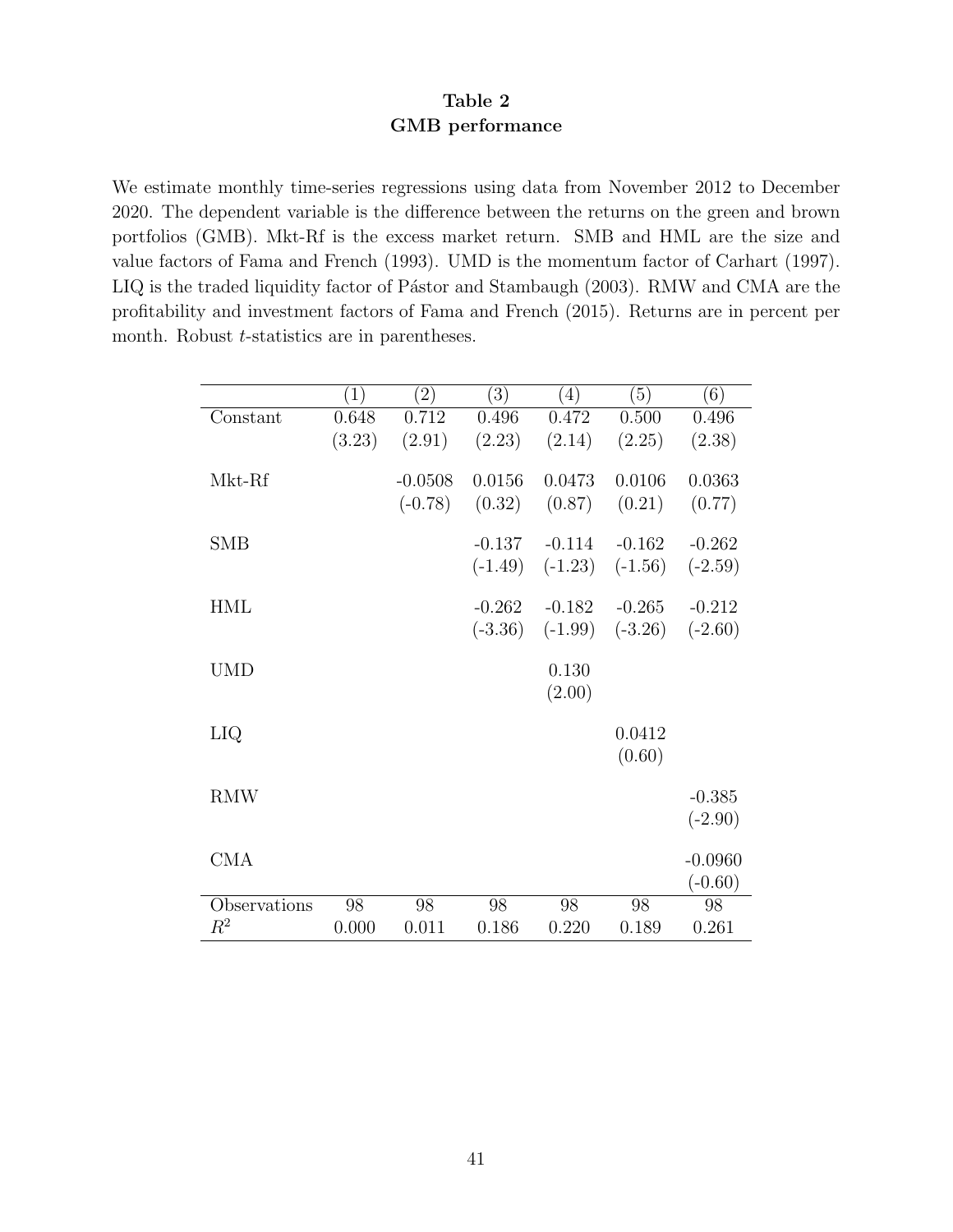## Table 2 GMB performance

We estimate monthly time-series regressions using data from November 2012 to December 2020. The dependent variable is the difference between the returns on the green and brown portfolios (GMB). Mkt-Rf is the excess market return. SMB and HML are the size and value factors of Fama and French (1993). UMD is the momentum factor of Carhart (1997). LIQ is the traded liquidity factor of Pástor and Stambaugh (2003). RMW and CMA are the profitability and investment factors of Fama and French (2015). Returns are in percent per month. Robust *t*-statistics are in parentheses.

|              | (1)    | $^{'}2)$  | $\left(3\right)$ | $\left( 4\right)$ | (5)       | (6)       |
|--------------|--------|-----------|------------------|-------------------|-----------|-----------|
| Constant     | 0.648  | 0.712     | 0.496            | 0.472             | 0.500     | 0.496     |
|              | (3.23) | (2.91)    | (2.23)           | (2.14)            | (2.25)    | (2.38)    |
|              |        |           |                  |                   |           |           |
| Mkt-Rf       |        | $-0.0508$ | 0.0156           | 0.0473            | 0.0106    | 0.0363    |
|              |        | $(-0.78)$ | (0.32)           | (0.87)            | (0.21)    | (0.77)    |
|              |        |           |                  |                   |           |           |
| <b>SMB</b>   |        |           | $-0.137$         | $-0.114$          | $-0.162$  | $-0.262$  |
|              |        |           | $(-1.49)$        | $(-1.23)$         | $(-1.56)$ | $(-2.59)$ |
|              |        |           |                  |                   |           |           |
| <b>HML</b>   |        |           | $-0.262$         | $-0.182$          | $-0.265$  | $-0.212$  |
|              |        |           | $(-3.36)$        | $(-1.99)$         | $(-3.26)$ | $(-2.60)$ |
|              |        |           |                  |                   |           |           |
| <b>UMD</b>   |        |           |                  | 0.130             |           |           |
|              |        |           |                  | (2.00)            |           |           |
|              |        |           |                  |                   |           |           |
| LIQ          |        |           |                  |                   | 0.0412    |           |
|              |        |           |                  |                   | (0.60)    |           |
|              |        |           |                  |                   |           |           |
| <b>RMW</b>   |        |           |                  |                   |           | $-0.385$  |
|              |        |           |                  |                   |           | $(-2.90)$ |
|              |        |           |                  |                   |           |           |
| <b>CMA</b>   |        |           |                  |                   |           | $-0.0960$ |
|              |        |           |                  |                   |           | $(-0.60)$ |
| Observations | 98     | 98        | 98               | 98                | 98        | 98        |
| $R^2$        | 0.000  | 0.011     | 0.186            | 0.220             | 0.189     | 0.261     |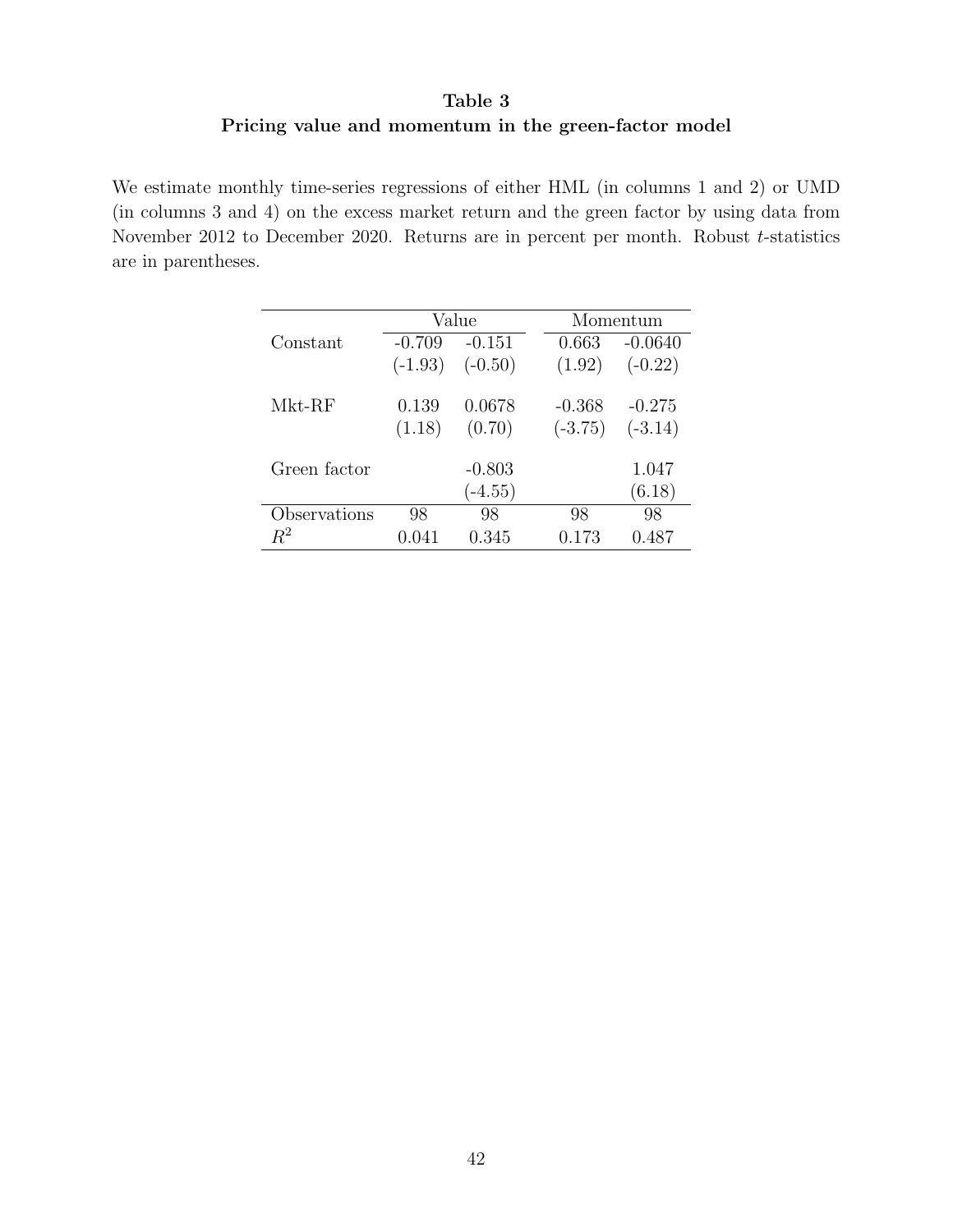## Table 3 Pricing value and momentum in the green-factor model

We estimate monthly time-series regressions of either HML (in columns 1 and 2) or UMD (in columns 3 and 4) on the excess market return and the green factor by using data from November 2012 to December 2020. Returns are in percent per month. Robust *t*-statistics are in parentheses.

|              |           | Value     |           | Momentum  |
|--------------|-----------|-----------|-----------|-----------|
| Constant     | $-0.709$  | $-0.151$  | 0.663     | $-0.0640$ |
|              | $(-1.93)$ | $(-0.50)$ | (1.92)    | $(-0.22)$ |
| Mkt-RF       | 0.139     | 0.0678    | $-0.368$  | $-0.275$  |
|              | (1.18)    | (0.70)    | $(-3.75)$ | $(-3.14)$ |
| Green factor |           | $-0.803$  |           | 1.047     |
|              |           | $(-4.55)$ |           | (6.18)    |
| Observations | 98        | 98        | 98        | 98        |
| $R^2$        |           | 0.345     | 0.173     | 0.487     |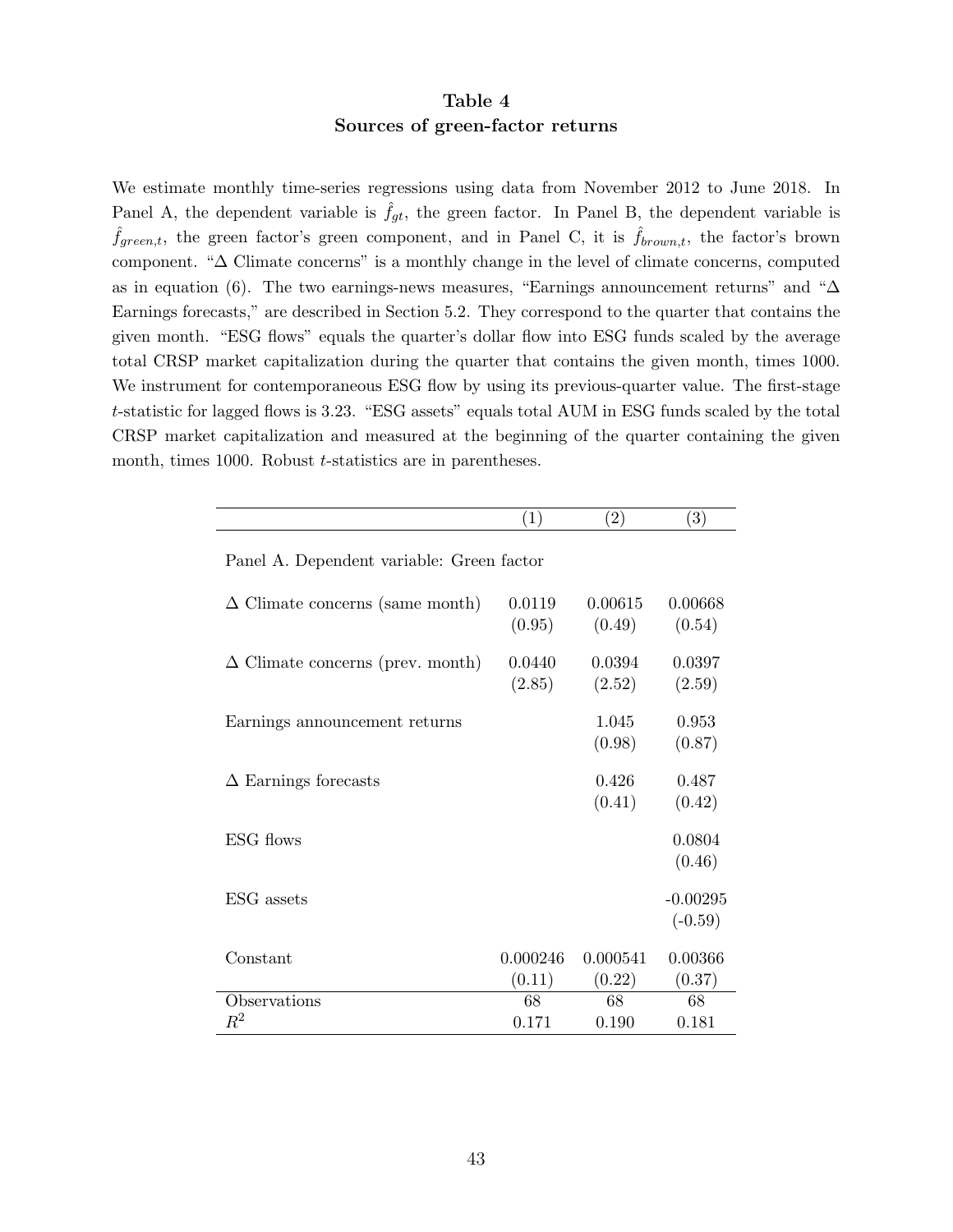### Table 4 Sources of green-factor returns

We estimate monthly time-series regressions using data from November 2012 to June 2018. In Panel A, the dependent variable is  $\hat{f}_{gt}$ , the green factor. In Panel B, the dependent variable is  $f_{green,t}$ , the green factor's green component, and in Panel C, it is  $f_{brown,t}$ , the factor's brown component. "∆ Climate concerns" is a monthly change in the level of climate concerns, computed as in equation (6). The two earnings-news measures, "Earnings announcement returns" and " $\Delta$ Earnings forecasts," are described in Section 5.2. They correspond to the quarter that contains the given month. "ESG flows" equals the quarter's dollar flow into ESG funds scaled by the average total CRSP market capitalization during the quarter that contains the given month, times 1000. We instrument for contemporaneous ESG flow by using its previous-quarter value. The first-stage t-statistic for lagged flows is 3.23. "ESG assets" equals total AUM in ESG funds scaled by the total CRSP market capitalization and measured at the beginning of the quarter containing the given month, times 1000. Robust *t*-statistics are in parentheses.

|                                           | $\left( 1\right)$  | $\left( 2\right)$  | (3)                     |  |  |  |
|-------------------------------------------|--------------------|--------------------|-------------------------|--|--|--|
| Panel A. Dependent variable: Green factor |                    |                    |                         |  |  |  |
| $\Delta$ Climate concerns (same month)    | 0.0119<br>(0.95)   | 0.00615<br>(0.49)  | 0.00668<br>(0.54)       |  |  |  |
| $\Delta$ Climate concerns (prev. month)   | 0.0440<br>(2.85)   | 0.0394<br>(2.52)   | 0.0397<br>(2.59)        |  |  |  |
| Earnings announcement returns             |                    | 1.045<br>(0.98)    | 0.953<br>(0.87)         |  |  |  |
| $\Delta$ Earnings forecasts               |                    | 0.426<br>(0.41)    | 0.487<br>(0.42)         |  |  |  |
| ESG flows                                 |                    |                    | 0.0804<br>(0.46)        |  |  |  |
| ESG assets                                |                    |                    | $-0.00295$<br>$(-0.59)$ |  |  |  |
| Constant                                  | 0.000246<br>(0.11) | 0.000541<br>(0.22) | 0.00366<br>(0.37)       |  |  |  |
| Observations<br>$\,R^2$                   | 68<br>0.171        | 68<br>0.190        | 68<br>0.181             |  |  |  |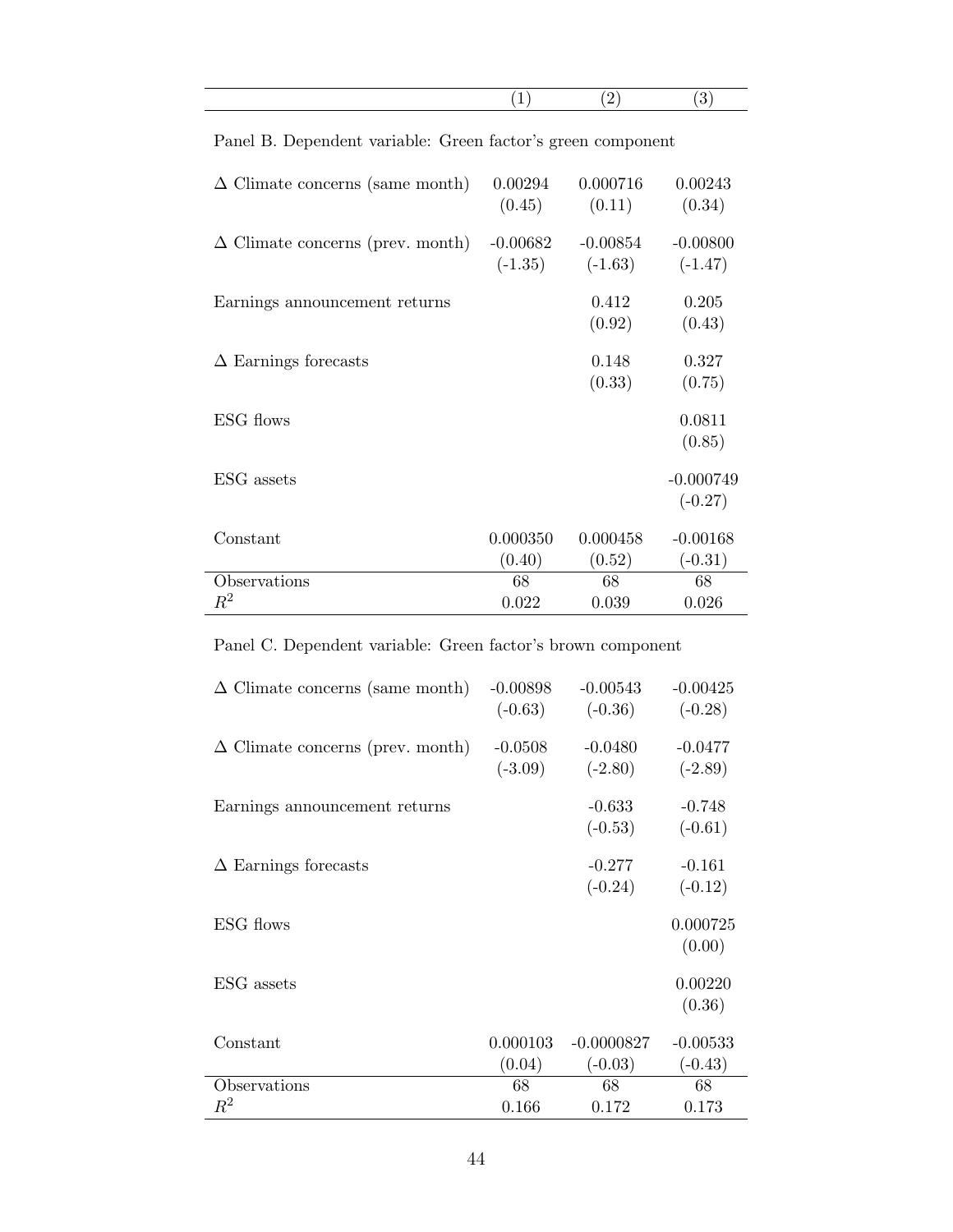| Panel B. Dependent variable: Green factor's green component |                         |                         |                          |
|-------------------------------------------------------------|-------------------------|-------------------------|--------------------------|
| $\Delta$ Climate concerns (same month)                      | 0.00294<br>(0.45)       | 0.000716<br>(0.11)      | 0.00243<br>(0.34)        |
| $\Delta$ Climate concerns (prev. month)                     | $-0.00682$<br>$(-1.35)$ | $-0.00854$<br>$(-1.63)$ | $-0.00800$<br>$(-1.47)$  |
| Earnings announcement returns                               |                         | 0.412<br>(0.92)         | 0.205<br>(0.43)          |
| $\Delta$ Earnings forecasts                                 |                         | 0.148<br>(0.33)         | 0.327<br>(0.75)          |
| ESG flows                                                   |                         |                         | 0.0811<br>(0.85)         |
| ESG assets                                                  |                         |                         | $-0.000749$<br>$(-0.27)$ |
| Constant                                                    | 0.000350<br>(0.40)      | 0.000458<br>(0.52)      | $-0.00168$<br>$(-0.31)$  |
| Observations                                                | 68                      | 68                      | 68                       |
| $\,R^2$                                                     | 0.022                   | 0.039                   | 0.026                    |

 $(1)$   $(2)$   $(3)$ 

Panel C. Dependent variable: Green factor's brown component

| $\Delta$ Climate concerns (same month)  | $-0.00898$<br>$(-0.63)$ | $-0.00543$<br>$(-0.36)$   | $-0.00425$<br>$(-0.28)$ |
|-----------------------------------------|-------------------------|---------------------------|-------------------------|
| $\Delta$ Climate concerns (prev. month) | $-0.0508$<br>$(-3.09)$  | $-0.0480$<br>$(-2.80)$    | $-0.0477$<br>$(-2.89)$  |
| Earnings announcement returns           |                         | $-0.633$<br>$(-0.53)$     | $-0.748$<br>$(-0.61)$   |
| $\Delta$ Earnings forecasts             |                         | $-0.277$<br>$(-0.24)$     | $-0.161$<br>$(-0.12)$   |
| ESG flows                               |                         |                           | 0.000725<br>(0.00)      |
| ESG assets                              |                         |                           | 0.00220<br>(0.36)       |
| Constant                                | 0.000103<br>(0.04)      | $-0.0000827$<br>$(-0.03)$ | $-0.00533$<br>$(-0.43)$ |
| Observations                            | 68                      | 68                        | 68                      |
| $R^2$                                   | 0.166                   | 0.172                     | 0.173                   |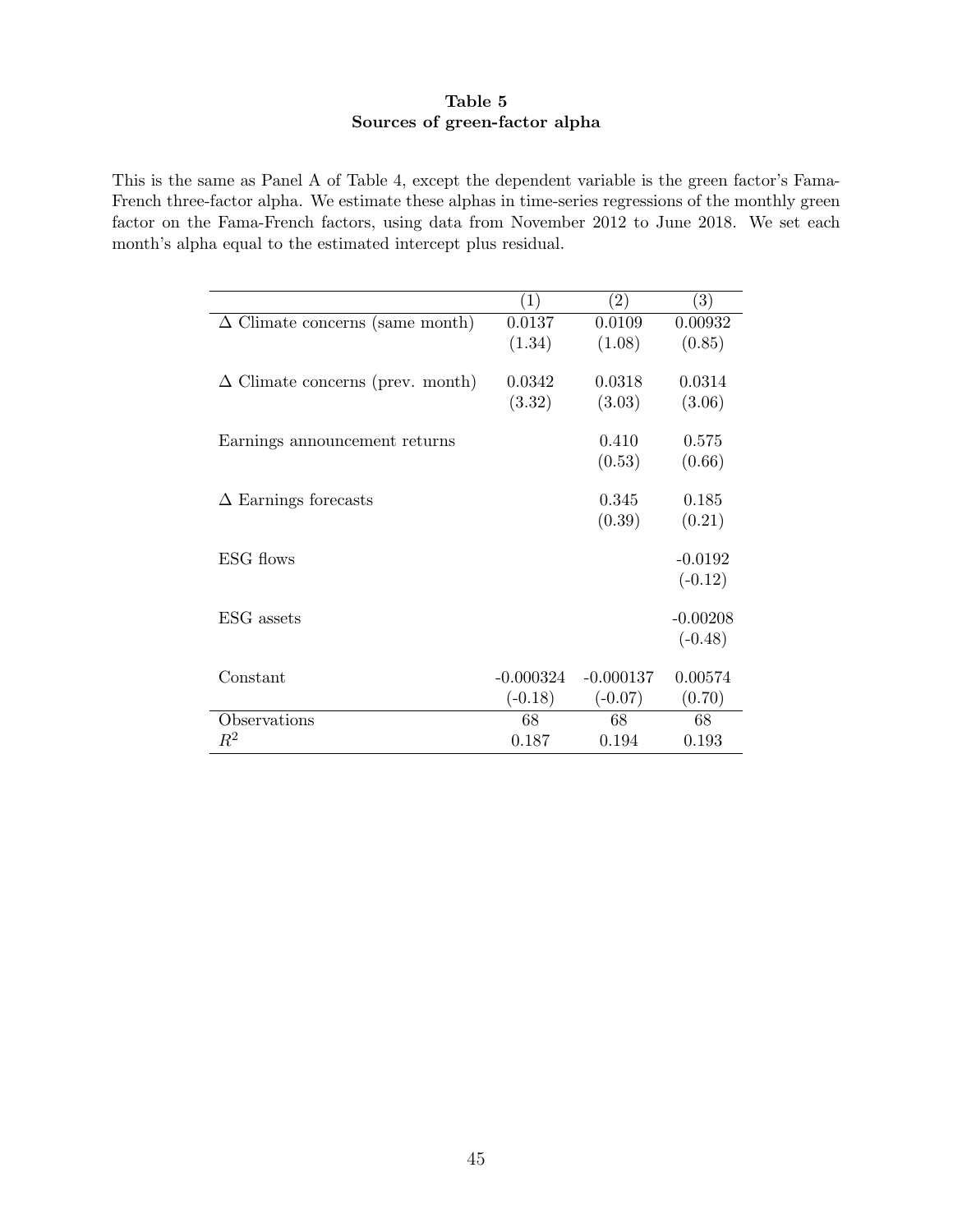### Table 5 Sources of green-factor alpha

This is the same as Panel A of Table 4, except the dependent variable is the green factor's Fama-French three-factor alpha. We estimate these alphas in time-series regressions of the monthly green factor on the Fama-French factors, using data from November 2012 to June 2018. We set each month's alpha equal to the estimated intercept plus residual.

|                                         | $\left( 1\right)$ | $\left( 2\right)$ | $\left(3\right)$        |
|-----------------------------------------|-------------------|-------------------|-------------------------|
| $\Delta$ Climate concerns (same month)  | 0.0137            | 0.0109            | 0.00932                 |
|                                         | (1.34)            | (1.08)            | (0.85)                  |
| $\Delta$ Climate concerns (prev. month) | 0.0342            | 0.0318            | 0.0314                  |
|                                         | (3.32)            | (3.03)            | (3.06)                  |
| Earnings announcement returns           |                   | 0.410             | 0.575                   |
|                                         |                   | (0.53)            | (0.66)                  |
| $\Delta$ Earnings forecasts             |                   | 0.345             | 0.185                   |
|                                         |                   | (0.39)            | (0.21)                  |
| ESG flows                               |                   |                   | $-0.0192$<br>$(-0.12)$  |
| ESG assets                              |                   |                   | $-0.00208$<br>$(-0.48)$ |
| Constant                                | $-0.000324$       | $-0.000137$       | 0.00574                 |
|                                         | $(-0.18)$         | $(-0.07)$         | (0.70)                  |
| Observations                            | 68                | 68                | 68                      |
| $R^2$                                   | 0.187             | 0.194             | 0.193                   |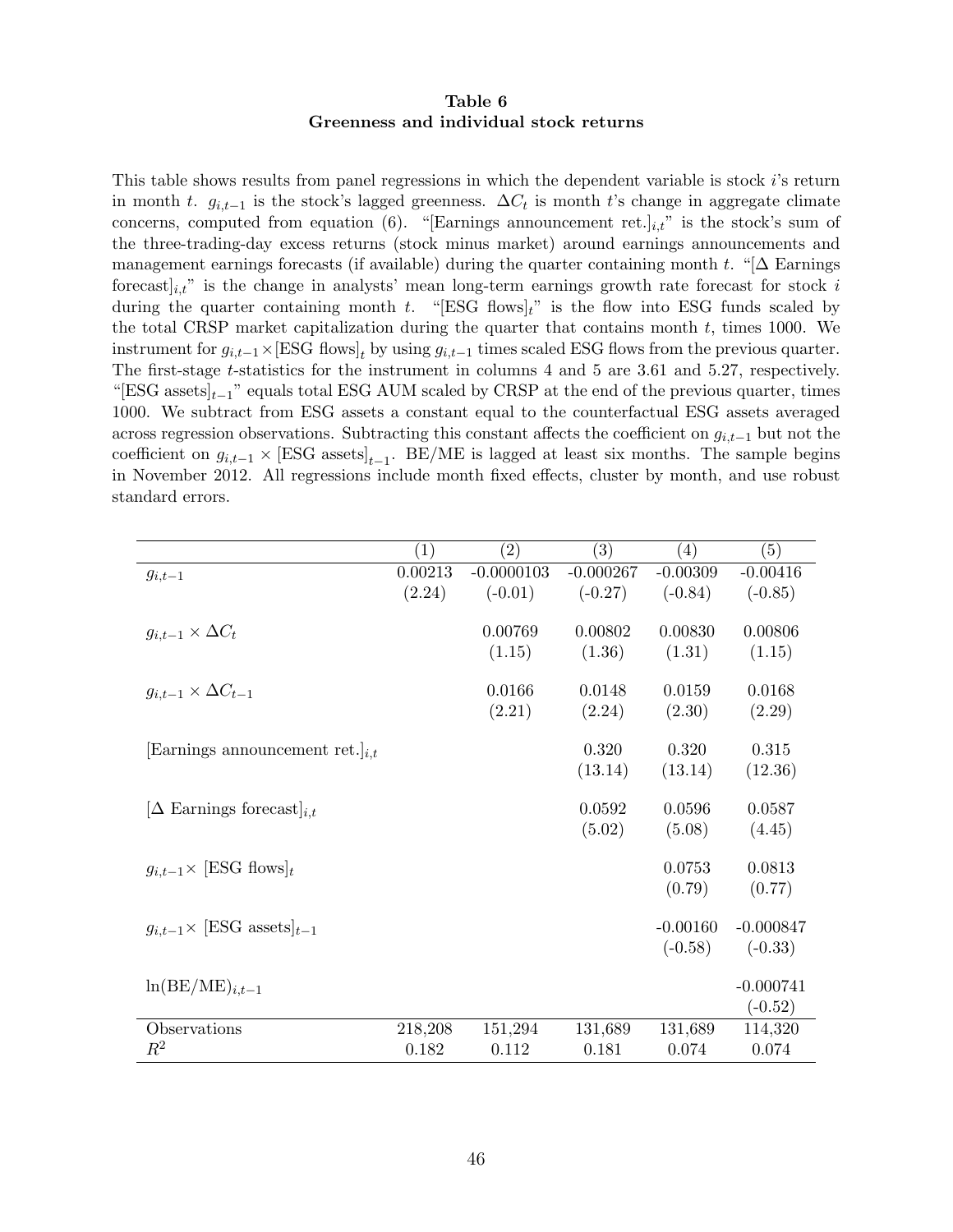#### Table 6 Greenness and individual stock returns

This table shows results from panel regressions in which the dependent variable is stock i's return in month t.  $g_{i,t-1}$  is the stock's lagged greenness.  $\Delta C_t$  is month t's change in aggregate climate concerns, computed from equation (6). "[Earnings announcement ret.]<sub>i</sub>,t" is the stock's sum of the three-trading-day excess returns (stock minus market) around earnings announcements and management earnings forecasts (if available) during the quarter containing month t. "[ $\Delta$  Earnings forecast  $i_{i,t}$ " is the change in analysts' mean long-term earnings growth rate forecast for stock i during the quarter containing month t. "[ESG flows]<sub>t</sub>" is the flow into ESG funds scaled by the total CRSP market capitalization during the quarter that contains month  $t$ , times 1000. We instrument for  $g_{i,t-1} \times [\text{ESG flows}]_t$  by using  $g_{i,t-1}$  times scaled ESG flows from the previous quarter. The first-stage t-statistics for the instrument in columns 4 and 5 are 3.61 and 5.27, respectively. "[ESG assets]<sub>t-1</sub>" equals total ESG AUM scaled by CRSP at the end of the previous quarter, times 1000. We subtract from ESG assets a constant equal to the counterfactual ESG assets averaged across regression observations. Subtracting this constant affects the coefficient on  $g_{i,t-1}$  but not the coefficient on  $g_{i,t-1} \times [\text{ESG assets}]_{t-1}$ . BE/ME is lagged at least six months. The sample begins in November 2012. All regressions include month fixed effects, cluster by month, and use robust standard errors.

|                                              | $\left( 1\right)$ | $\left( 2\right)$ | $\left(3\right)$ | (4)        | $\left( 5\right)$ |
|----------------------------------------------|-------------------|-------------------|------------------|------------|-------------------|
| $g_{i,t-1}$                                  | 0.00213           | $-0.0000103$      | $-0.000267$      | $-0.00309$ | $-0.00416$        |
|                                              | (2.24)            | $(-0.01)$         | $(-0.27)$        | $(-0.84)$  | $(-0.85)$         |
|                                              |                   |                   |                  |            |                   |
| $g_{i,t-1} \times \Delta C_t$                |                   | 0.00769           | 0.00802          | 0.00830    | 0.00806           |
|                                              |                   | (1.15)            | (1.36)           | (1.31)     | (1.15)            |
| $g_{i,t-1} \times \Delta C_{t-1}$            |                   | 0.0166            | 0.0148           | 0.0159     | 0.0168            |
|                                              |                   | (2.21)            | (2.24)           | (2.30)     | (2.29)            |
|                                              |                   |                   |                  |            |                   |
| Earnings announcement ret. $\vert_{i,t}$     |                   |                   | 0.320            | 0.320      | 0.315             |
|                                              |                   |                   | (13.14)          | (13.14)    | (12.36)           |
|                                              |                   |                   |                  |            |                   |
| $[\Delta$ Earnings forecast $]_{i,t}$        |                   |                   | 0.0592           | 0.0596     | 0.0587            |
|                                              |                   |                   | (5.02)           | (5.08)     | (4.45)            |
|                                              |                   |                   |                  |            |                   |
| $g_{i,t-1} \times \text{[ESG flows]}_{t}$    |                   |                   |                  | 0.0753     | 0.0813            |
|                                              |                   |                   |                  | (0.79)     | (0.77)            |
|                                              |                   |                   |                  | $-0.00160$ | $-0.000847$       |
| $g_{i,t-1} \times [\text{ESG assets}]_{t-1}$ |                   |                   |                  |            |                   |
|                                              |                   |                   |                  | $(-0.58)$  | $(-0.33)$         |
| $ln(BE/ME)_{i,t-1}$                          |                   |                   |                  |            | $-0.000741$       |
|                                              |                   |                   |                  |            | $(-0.52)$         |
| Observations                                 | 218,208           | 151,294           | 131,689          | 131,689    | 114,320           |
| $R^2$                                        | 0.182             | 0.112             | 0.181            | 0.074      | 0.074             |
|                                              |                   |                   |                  |            |                   |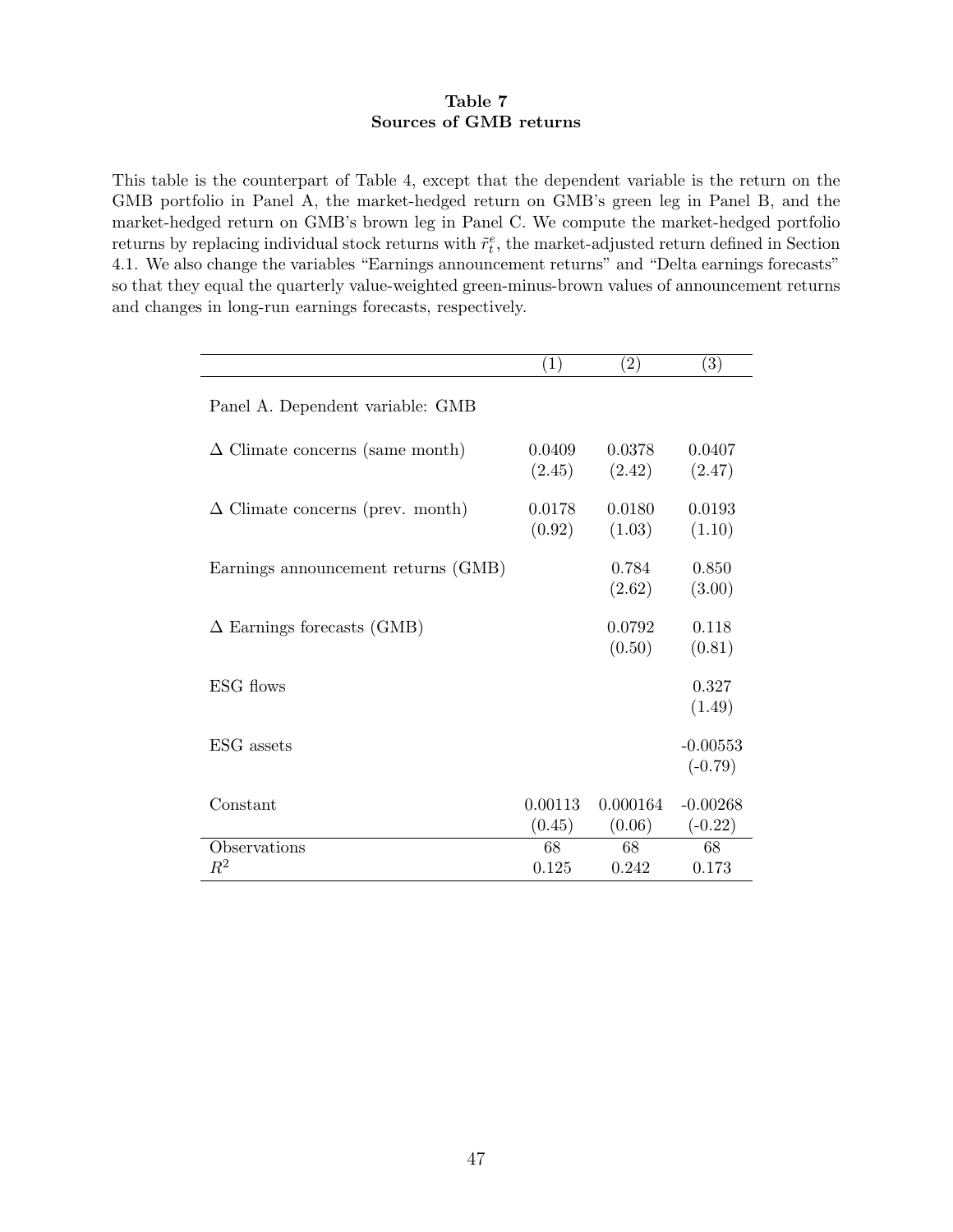### Table 7 Sources of GMB returns

This table is the counterpart of Table 4, except that the dependent variable is the return on the GMB portfolio in Panel A, the market-hedged return on GMB's green leg in Panel B, and the market-hedged return on GMB's brown leg in Panel C. We compute the market-hedged portfolio returns by replacing individual stock returns with  $\tilde{r}_t^e$ , the market-adjusted return defined in Section 4.1. We also change the variables "Earnings announcement returns" and "Delta earnings forecasts" so that they equal the quarterly value-weighted green-minus-brown values of announcement returns and changes in long-run earnings forecasts, respectively.

|                                         | (1)               | $\left( 2\right)$  | (3)                     |
|-----------------------------------------|-------------------|--------------------|-------------------------|
|                                         |                   |                    |                         |
| Panel A. Dependent variable: GMB        |                   |                    |                         |
| $\Delta$ Climate concerns (same month)  | 0.0409<br>(2.45)  | 0.0378<br>(2.42)   | 0.0407<br>(2.47)        |
| $\Delta$ Climate concerns (prev. month) | 0.0178<br>(0.92)  | 0.0180<br>(1.03)   | 0.0193<br>(1.10)        |
| Earnings announcement returns (GMB)     |                   | 0.784<br>(2.62)    | 0.850<br>(3.00)         |
| $\Delta$ Earnings forecasts (GMB)       |                   | 0.0792<br>(0.50)   | 0.118<br>(0.81)         |
| ESG flows                               |                   |                    | 0.327<br>(1.49)         |
| ESG assets                              |                   |                    | $-0.00553$<br>$(-0.79)$ |
| Constant                                | 0.00113<br>(0.45) | 0.000164<br>(0.06) | $-0.00268$<br>$(-0.22)$ |
| Observations                            | 68                | 68                 | 68                      |
| $\,R^2$                                 | 0.125             | 0.242              | 0.173                   |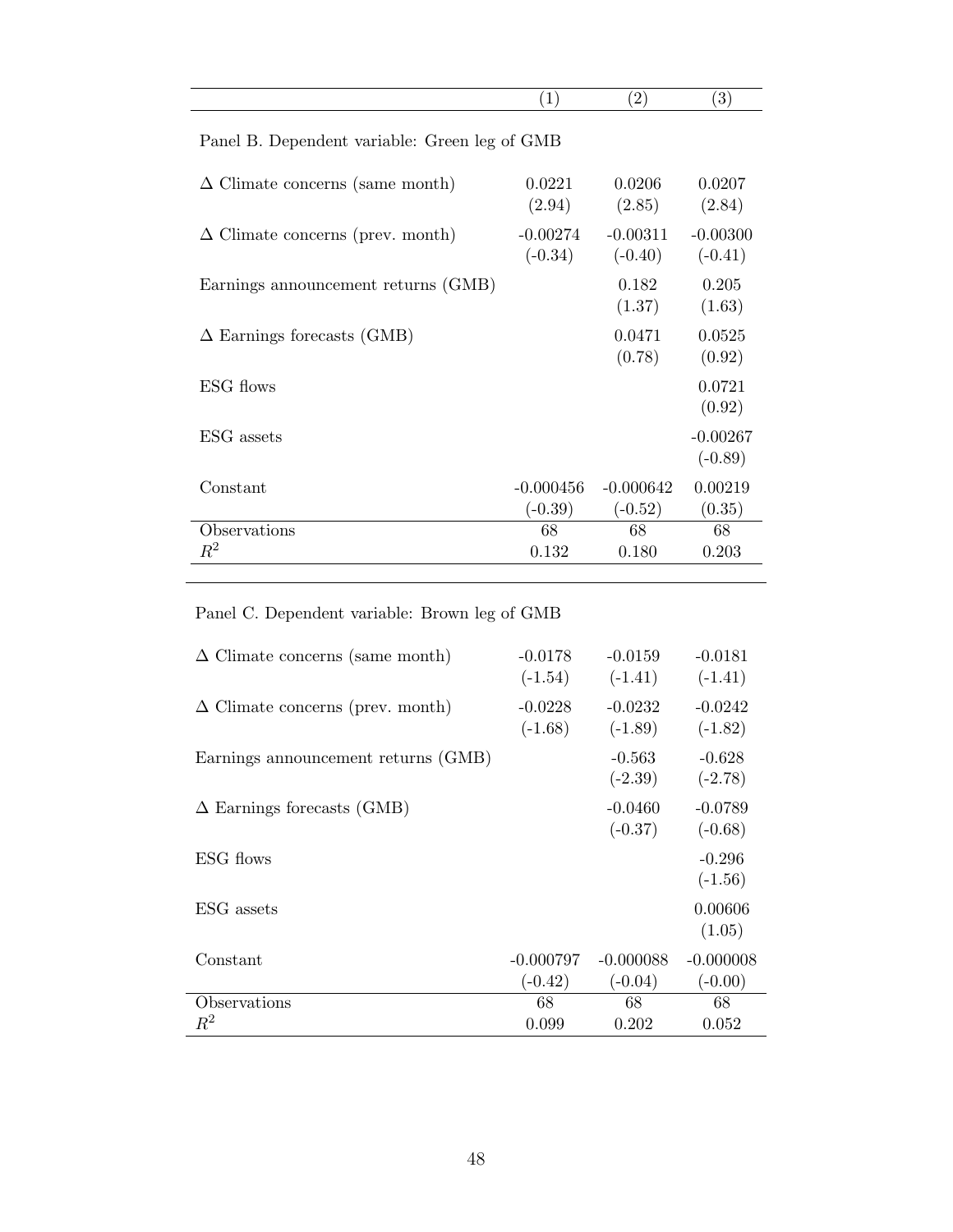|                                               | $\left( 1\right)$        | $\left( 2\right)$        | (3)                     |
|-----------------------------------------------|--------------------------|--------------------------|-------------------------|
| Panel B. Dependent variable: Green leg of GMB |                          |                          |                         |
| $\Delta$ Climate concerns (same month)        | 0.0221<br>(2.94)         | 0.0206<br>(2.85)         | 0.0207<br>(2.84)        |
| $\Delta$ Climate concerns (prev. month)       | $-0.00274$<br>$(-0.34)$  | $-0.00311$<br>$(-0.40)$  | $-0.00300$<br>$(-0.41)$ |
| Earnings announcement returns (GMB)           |                          | 0.182<br>(1.37)          | 0.205<br>(1.63)         |
| $\Delta$ Earnings forecasts (GMB)             |                          | 0.0471<br>(0.78)         | 0.0525<br>(0.92)        |
| ESG flows                                     |                          |                          | 0.0721<br>(0.92)        |
| ESG assets                                    |                          |                          | $-0.00267$<br>$(-0.89)$ |
| Constant                                      | $-0.000456$<br>$(-0.39)$ | $-0.000642$<br>$(-0.52)$ | 0.00219<br>(0.35)       |
| Observations                                  | 68                       | 68                       | 68                      |
| $\,R^2$                                       | 0.132                    | 0.180                    | 0.203                   |

Panel C. Dependent variable: Brown leg of GMB

| $\Delta$ Climate concerns (same month)  | $-0.0178$<br>$(-1.54)$   | $-0.0159$<br>$(-1.41)$   | $-0.0181$<br>$(-1.41)$   |
|-----------------------------------------|--------------------------|--------------------------|--------------------------|
| $\Delta$ Climate concerns (prev. month) | $-0.0228$<br>$(-1.68)$   | $-0.0232$<br>$(-1.89)$   | $-0.0242$<br>$(-1.82)$   |
| Earnings announcement returns (GMB)     |                          | $-0.563$<br>$(-2.39)$    | $-0.628$<br>$(-2.78)$    |
| $\Delta$ Earnings forecasts (GMB)       |                          | $-0.0460$<br>$(-0.37)$   | $-0.0789$<br>$(-0.68)$   |
| ESG flows                               |                          |                          | $-0.296$<br>$(-1.56)$    |
| ESG assets                              |                          |                          | 0.00606<br>(1.05)        |
| Constant                                | $-0.000797$<br>$(-0.42)$ | $-0.000088$<br>$(-0.04)$ | $-0.000008$<br>$(-0.00)$ |
| Observations                            | 68                       | 68                       | 68                       |
| $R^2$                                   | 0.099                    | 0.202                    | 0.052                    |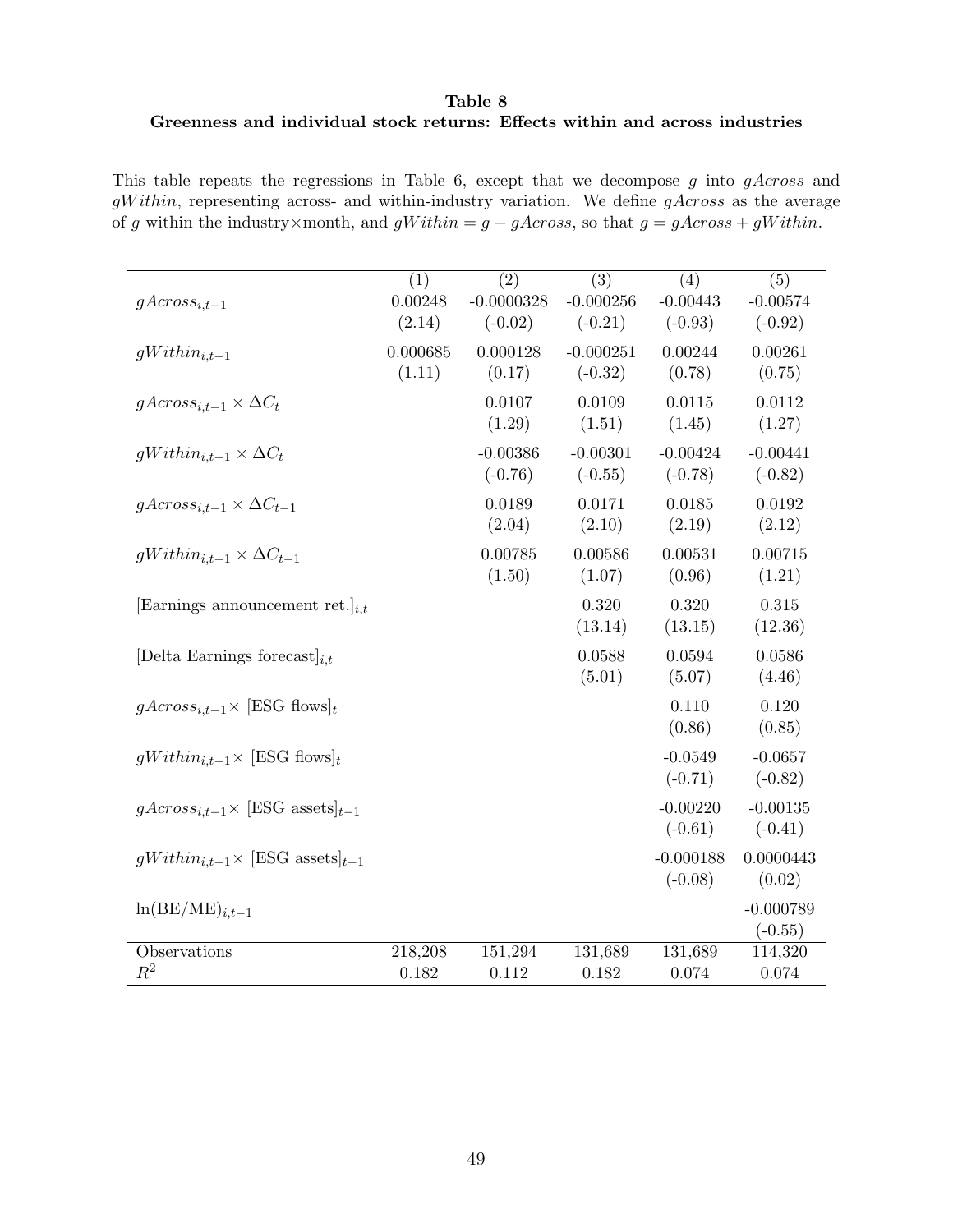### Table 8 Greenness and individual stock returns: Effects within and across industries

This table repeats the regressions in Table 6, except that we decompose g into gAcross and  $gWithin$ , representing across- and within-industry variation. We define  $gAcross$  as the average of g within the industry×month, and  $gWithin = g - gAcross$ , so that  $g = gAcross + gWithin$ .

|                                                     | $\overline{(1)}$   | $\overline{(2)}$          | $\overline{(3)}$         | (4)                      | $\overline{(5)}$         |
|-----------------------------------------------------|--------------------|---------------------------|--------------------------|--------------------------|--------------------------|
| $qA cross_{i,t-1}$                                  | 0.00248<br>(2.14)  | $-0.0000328$<br>$(-0.02)$ | $-0.000256$<br>$(-0.21)$ | $-0.00443$<br>$(-0.93)$  | $-0.00574$<br>$(-0.92)$  |
| $gWithin_{i,t-1}$                                   | 0.000685<br>(1.11) | 0.000128<br>(0.17)        | $-0.000251$<br>$(-0.32)$ | 0.00244<br>(0.78)        | 0.00261<br>(0.75)        |
| $gAcross_{i,t-1} \times \Delta C_t$                 |                    | 0.0107<br>(1.29)          | 0.0109<br>(1.51)         | 0.0115<br>(1.45)         | 0.0112<br>(1.27)         |
| $qWithin_{i,t-1} \times \Delta C_t$                 |                    | $-0.00386$<br>$(-0.76)$   | $-0.00301$<br>$(-0.55)$  | $-0.00424$<br>$(-0.78)$  | $-0.00441$<br>$(-0.82)$  |
| $gAcross_{i,t-1} \times \Delta C_{t-1}$             |                    | 0.0189<br>(2.04)          | 0.0171<br>(2.10)         | 0.0185<br>(2.19)         | 0.0192<br>(2.12)         |
| $gWithin_{i,t-1} \times \Delta C_{t-1}$             |                    | 0.00785<br>(1.50)         | 0.00586<br>(1.07)        | 0.00531<br>(0.96)        | 0.00715<br>(1.21)        |
| Earnings announcement ret. $i_{i,t}$                |                    |                           | 0.320<br>(13.14)         | 0.320<br>(13.15)         | 0.315<br>(12.36)         |
| [Delta Earnings forecast] <sub>i.t</sub>            |                    |                           | 0.0588<br>(5.01)         | 0.0594<br>(5.07)         | 0.0586<br>(4.46)         |
| $gAcross_{i,t-1} \times [ESG \text{ flows}]_t$      |                    |                           |                          | 0.110<br>(0.86)          | 0.120<br>(0.85)          |
| $gWithin_{i,t-1} \times [ESG \text{ flows}]_{t}$    |                    |                           |                          | $-0.0549$<br>$(-0.71)$   | $-0.0657$<br>$(-0.82)$   |
| $gAcross_{i,t-1} \times [ESG \text{ assets}]_{t-1}$ |                    |                           |                          | $-0.00220$<br>$(-0.61)$  | $-0.00135$<br>$(-0.41)$  |
| $gWithin_{i,t-1} \times [ESG \; assets]_{t-1}$      |                    |                           |                          | $-0.000188$<br>$(-0.08)$ | 0.0000443<br>(0.02)      |
| $ln(BE/ME)_{i,t-1}$                                 |                    |                           |                          |                          | $-0.000789$<br>$(-0.55)$ |
| Observations<br>$R^2$                               | 218,208<br>0.182   | 151,294<br>0.112          | 131,689<br>0.182         | 131,689<br>0.074         | 114,320<br>0.074         |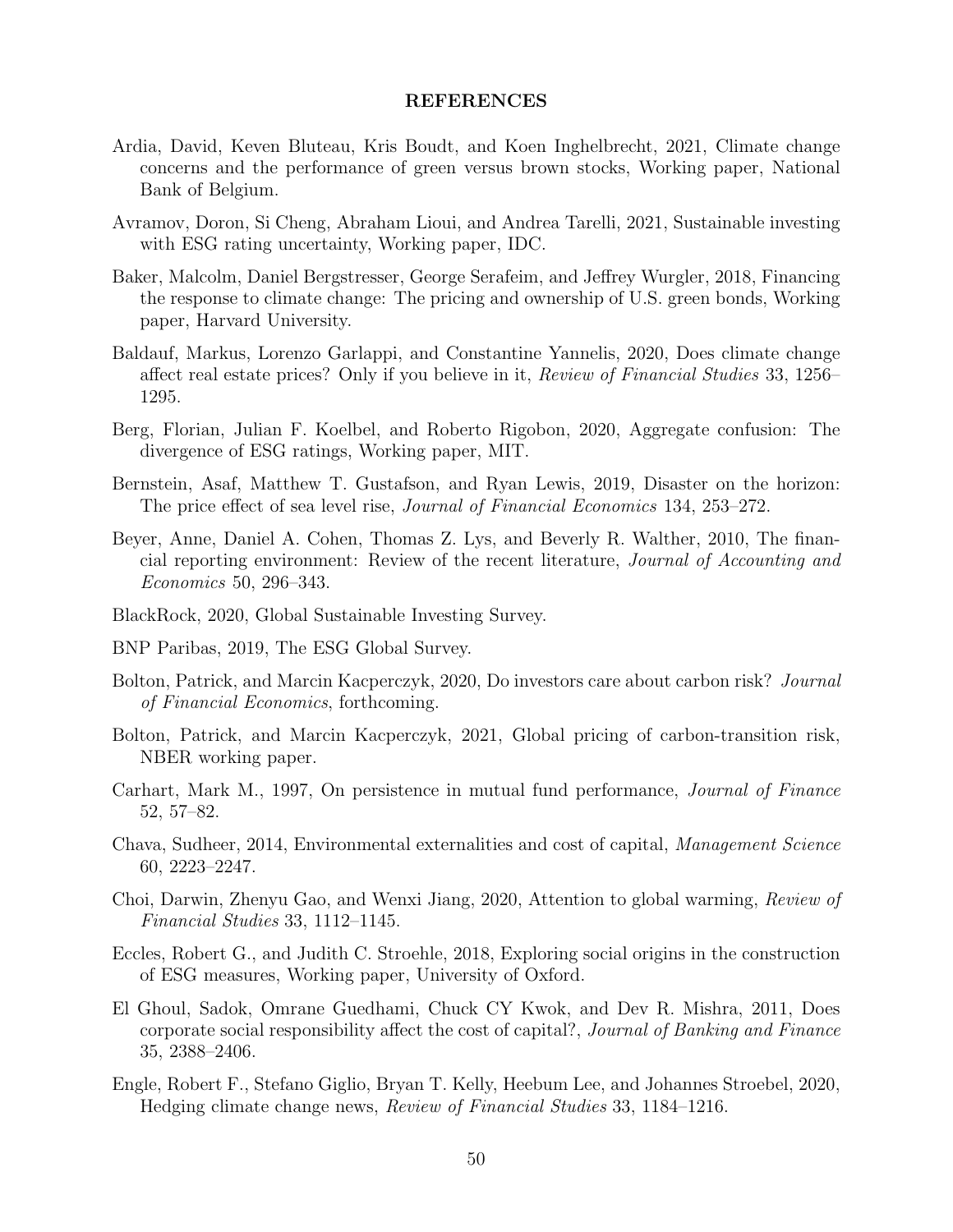#### REFERENCES

- Ardia, David, Keven Bluteau, Kris Boudt, and Koen Inghelbrecht, 2021, Climate change concerns and the performance of green versus brown stocks, Working paper, National Bank of Belgium.
- Avramov, Doron, Si Cheng, Abraham Lioui, and Andrea Tarelli, 2021, Sustainable investing with ESG rating uncertainty, Working paper, IDC.
- Baker, Malcolm, Daniel Bergstresser, George Serafeim, and Jeffrey Wurgler, 2018, Financing the response to climate change: The pricing and ownership of U.S. green bonds, Working paper, Harvard University.
- Baldauf, Markus, Lorenzo Garlappi, and Constantine Yannelis, 2020, Does climate change affect real estate prices? Only if you believe in it, Review of Financial Studies 33, 1256– 1295.
- Berg, Florian, Julian F. Koelbel, and Roberto Rigobon, 2020, Aggregate confusion: The divergence of ESG ratings, Working paper, MIT.
- Bernstein, Asaf, Matthew T. Gustafson, and Ryan Lewis, 2019, Disaster on the horizon: The price effect of sea level rise, Journal of Financial Economics 134, 253–272.
- Beyer, Anne, Daniel A. Cohen, Thomas Z. Lys, and Beverly R. Walther, 2010, The financial reporting environment: Review of the recent literature, Journal of Accounting and Economics 50, 296–343.
- BlackRock, 2020, Global Sustainable Investing Survey.
- BNP Paribas, 2019, The ESG Global Survey.
- Bolton, Patrick, and Marcin Kacperczyk, 2020, Do investors care about carbon risk? Journal of Financial Economics, forthcoming.
- Bolton, Patrick, and Marcin Kacperczyk, 2021, Global pricing of carbon-transition risk, NBER working paper.
- Carhart, Mark M., 1997, On persistence in mutual fund performance, Journal of Finance 52, 57–82.
- Chava, Sudheer, 2014, Environmental externalities and cost of capital, Management Science 60, 2223–2247.
- Choi, Darwin, Zhenyu Gao, and Wenxi Jiang, 2020, Attention to global warming, Review of Financial Studies 33, 1112–1145.
- Eccles, Robert G., and Judith C. Stroehle, 2018, Exploring social origins in the construction of ESG measures, Working paper, University of Oxford.
- El Ghoul, Sadok, Omrane Guedhami, Chuck CY Kwok, and Dev R. Mishra, 2011, Does corporate social responsibility affect the cost of capital?, Journal of Banking and Finance 35, 2388–2406.
- Engle, Robert F., Stefano Giglio, Bryan T. Kelly, Heebum Lee, and Johannes Stroebel, 2020, Hedging climate change news, Review of Financial Studies 33, 1184–1216.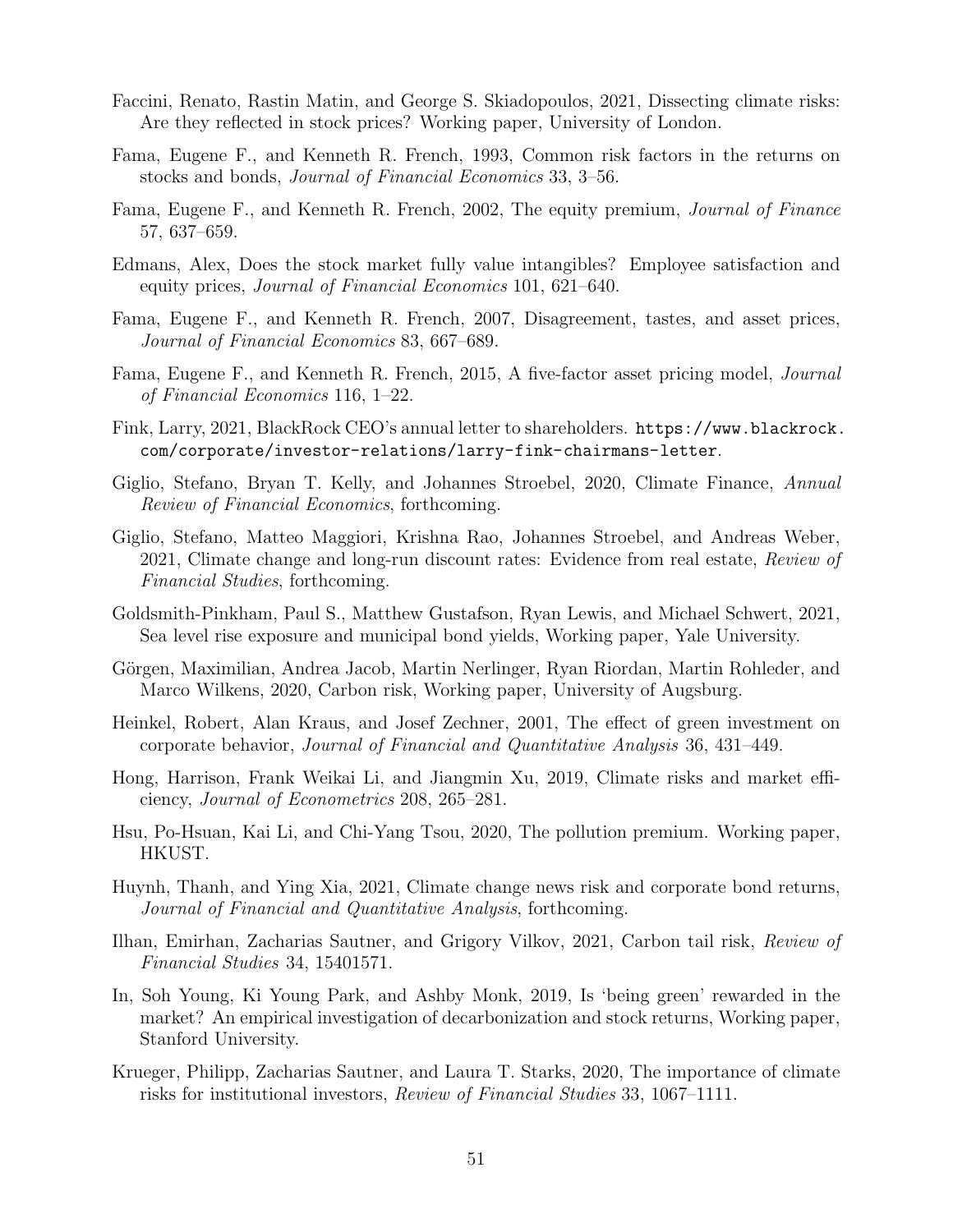- Faccini, Renato, Rastin Matin, and George S. Skiadopoulos, 2021, Dissecting climate risks: Are they reflected in stock prices? Working paper, University of London.
- Fama, Eugene F., and Kenneth R. French, 1993, Common risk factors in the returns on stocks and bonds, Journal of Financial Economics 33, 3–56.
- Fama, Eugene F., and Kenneth R. French, 2002, The equity premium, Journal of Finance 57, 637–659.
- Edmans, Alex, Does the stock market fully value intangibles? Employee satisfaction and equity prices, Journal of Financial Economics 101, 621–640.
- Fama, Eugene F., and Kenneth R. French, 2007, Disagreement, tastes, and asset prices, Journal of Financial Economics 83, 667–689.
- Fama, Eugene F., and Kenneth R. French, 2015, A five-factor asset pricing model, Journal of Financial Economics 116, 1–22.
- Fink, Larry, 2021, BlackRock CEO's annual letter to shareholders. https://www.blackrock. com/corporate/investor-relations/larry-fink-chairmans-letter.
- Giglio, Stefano, Bryan T. Kelly, and Johannes Stroebel, 2020, Climate Finance, Annual Review of Financial Economics, forthcoming.
- Giglio, Stefano, Matteo Maggiori, Krishna Rao, Johannes Stroebel, and Andreas Weber, 2021, Climate change and long-run discount rates: Evidence from real estate, Review of Financial Studies, forthcoming.
- Goldsmith-Pinkham, Paul S., Matthew Gustafson, Ryan Lewis, and Michael Schwert, 2021, Sea level rise exposure and municipal bond yields, Working paper, Yale University.
- Görgen, Maximilian, Andrea Jacob, Martin Nerlinger, Ryan Riordan, Martin Rohleder, and Marco Wilkens, 2020, Carbon risk, Working paper, University of Augsburg.
- Heinkel, Robert, Alan Kraus, and Josef Zechner, 2001, The effect of green investment on corporate behavior, Journal of Financial and Quantitative Analysis 36, 431–449.
- Hong, Harrison, Frank Weikai Li, and Jiangmin Xu, 2019, Climate risks and market efficiency, Journal of Econometrics 208, 265–281.
- Hsu, Po-Hsuan, Kai Li, and Chi-Yang Tsou, 2020, The pollution premium. Working paper, HKUST.
- Huynh, Thanh, and Ying Xia, 2021, Climate change news risk and corporate bond returns, Journal of Financial and Quantitative Analysis, forthcoming.
- Ilhan, Emirhan, Zacharias Sautner, and Grigory Vilkov, 2021, Carbon tail risk, Review of Financial Studies 34, 15401571.
- In, Soh Young, Ki Young Park, and Ashby Monk, 2019, Is 'being green' rewarded in the market? An empirical investigation of decarbonization and stock returns, Working paper, Stanford University.
- Krueger, Philipp, Zacharias Sautner, and Laura T. Starks, 2020, The importance of climate risks for institutional investors, Review of Financial Studies 33, 1067–1111.